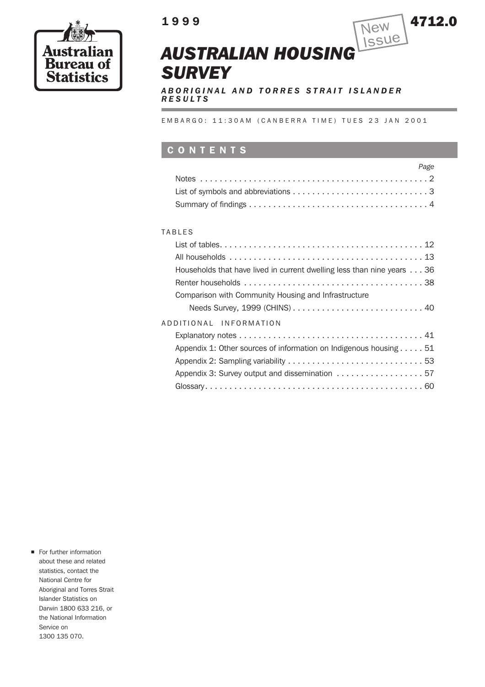

# **1999** 4712.0



*ABORIGINAL AND TORRES STRAIT ISLANDER RESULTS*

EMBARGO: 11:30AM (CANBERRA TIME) TUES 23 JAN 2001

### **CONTENTS**

| Page |
|------|
|      |
|      |
|      |

### TABLES

| Households that have lived in current dwelling less than nine years 36      |
|-----------------------------------------------------------------------------|
|                                                                             |
| Comparison with Community Housing and Infrastructure                        |
|                                                                             |
| ADDITIONAL INFORMATION                                                      |
|                                                                             |
| Appendix 1: Other sources of information on Indigenous housing $\dots$ . 51 |
|                                                                             |
| Appendix 3: Survey output and dissemination  57                             |
|                                                                             |
|                                                                             |

**n** For further information about these and related statistics, contact the National Centre for Aboriginal and Torres Strait Islander Statistics on Darwin 1800 633 216, or the National Information Service on 1300 135 070.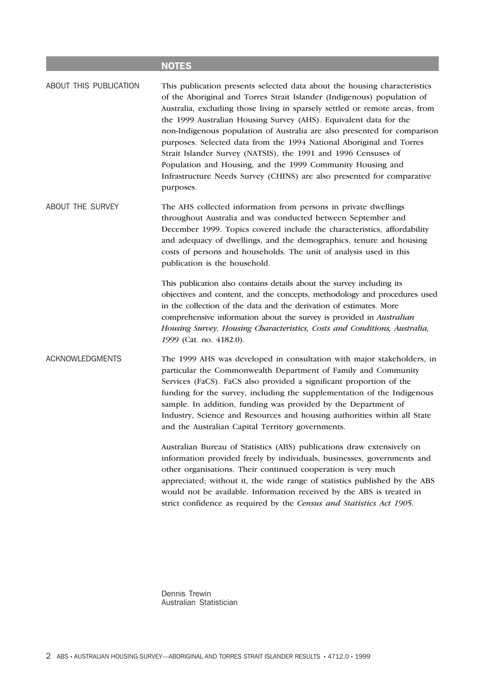### **NOTES**

ABOUT THIS PUBLICATION This publication presents selected data about the housing characteristics of the Aboriginal and Torres Strait Islander (Indigenous) population of Australia, excluding those living in sparsely settled or remote areas, from the 1999 Australian Housing Survey (AHS). Equivalent data for the non-Indigenous population of Australia are also presented for comparison purposes. Selected data from the 1994 National Aboriginal and Torres Strait Islander Survey (NATSIS), the 1991 and 1996 Censuses of Population and Housing, and the 1999 Community Housing and Infrastructure Needs Survey (CHINS) are also presented for comparative purposes.

ABOUT THE SURVEY The AHS collected information from persons in private dwellings throughout Australia and was conducted between September and December 1999. Topics covered include the characteristics, affordability and adequacy of dwellings, and the demographics, tenure and housing costs of persons and households. The unit of analysis used in this publication is the household.

> This publication also contains details about the survey including its objectives and content, and the concepts, methodology and procedures used in the collection of the data and the derivation of estimates. More comprehensive information about the survey is provided in *Australian Housing Survey, Housing Characteristics, Costs and Conditions, Australia, 1999* (Cat. no. 4182.0).

ACKNOWLEDGMENTS The 1999 AHS was developed in consultation with major stakeholders, in particular the Commonwealth Department of Family and Community Services (FaCS). FaCS also provided a significant proportion of the funding for the survey, including the supplementation of the Indigenous sample. In addition, funding was provided by the Department of Industry, Science and Resources and housing authorities within all State and the Australian Capital Territory governments.

> Australian Bureau of Statistics (ABS) publications draw extensively on information provided freely by individuals, businesses, governments and other organisations. Their continued cooperation is very much appreciated; without it, the wide range of statistics published by the ABS would not be available. Information received by the ABS is treated in strict confidence as required by the *Census and Statistics Act 1905.*

Dennis Trewin Australian Statistician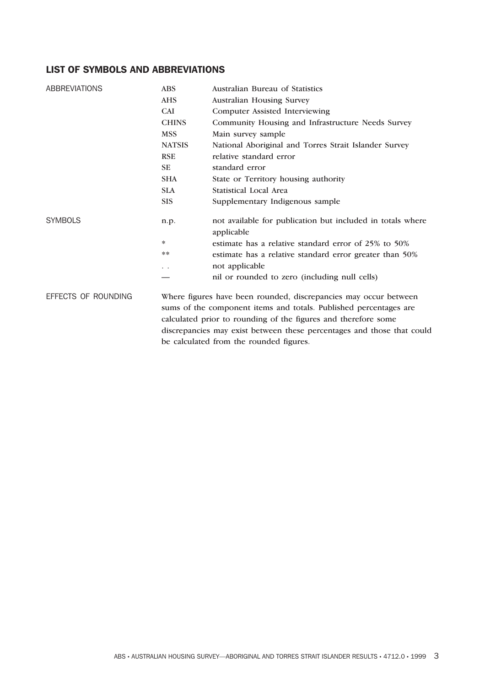### **LIST OF SYMBOLS AND ABBREVIATIONS**

| <b>ABBREVIATIONS</b> | <b>ABS</b>    | Australian Bureau of Statistics                                                                                                       |  |  |  |  |  |
|----------------------|---------------|---------------------------------------------------------------------------------------------------------------------------------------|--|--|--|--|--|
|                      | <b>AHS</b>    | Australian Housing Survey                                                                                                             |  |  |  |  |  |
|                      | <b>CAI</b>    | <b>Computer Assisted Interviewing</b>                                                                                                 |  |  |  |  |  |
|                      | <b>CHINS</b>  | Community Housing and Infrastructure Needs Survey                                                                                     |  |  |  |  |  |
|                      | <b>MSS</b>    | Main survey sample                                                                                                                    |  |  |  |  |  |
|                      | <b>NATSIS</b> | National Aboriginal and Torres Strait Islander Survey                                                                                 |  |  |  |  |  |
|                      | <b>RSE</b>    | relative standard error                                                                                                               |  |  |  |  |  |
|                      | <b>SE</b>     | standard error                                                                                                                        |  |  |  |  |  |
|                      | <b>SHA</b>    | State or Territory housing authority                                                                                                  |  |  |  |  |  |
|                      | <b>SLA</b>    | <b>Statistical Local Area</b>                                                                                                         |  |  |  |  |  |
|                      | <b>SIS</b>    | Supplementary Indigenous sample                                                                                                       |  |  |  |  |  |
| <b>SYMBOLS</b>       | n.p.          | not available for publication but included in totals where<br>applicable                                                              |  |  |  |  |  |
|                      | *             | estimate has a relative standard error of 25% to 50%                                                                                  |  |  |  |  |  |
|                      | **            | estimate has a relative standard error greater than 50%                                                                               |  |  |  |  |  |
|                      | $\ddotsc$     | not applicable                                                                                                                        |  |  |  |  |  |
|                      |               | nil or rounded to zero (including null cells)                                                                                         |  |  |  |  |  |
| EFFECTS OF ROUNDING  |               | Where figures have been rounded, discrepancies may occur between<br>sums of the component items and totals. Published percentages are |  |  |  |  |  |
|                      |               | calculated prior to rounding of the figures and therefore some                                                                        |  |  |  |  |  |
|                      |               | discrepancies may exist between these percentages and those that could                                                                |  |  |  |  |  |
|                      |               | be calculated from the rounded figures.                                                                                               |  |  |  |  |  |
|                      |               |                                                                                                                                       |  |  |  |  |  |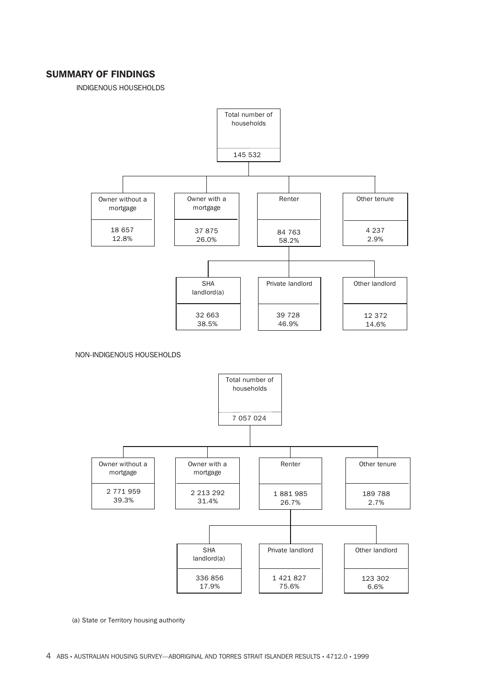### **SUMMARY OF FINDINGS**

INDIGENOUS HOUSEHOLDS



NON-INDIGENOUS HOUSEHOLDS



(a) State or Territory housing authority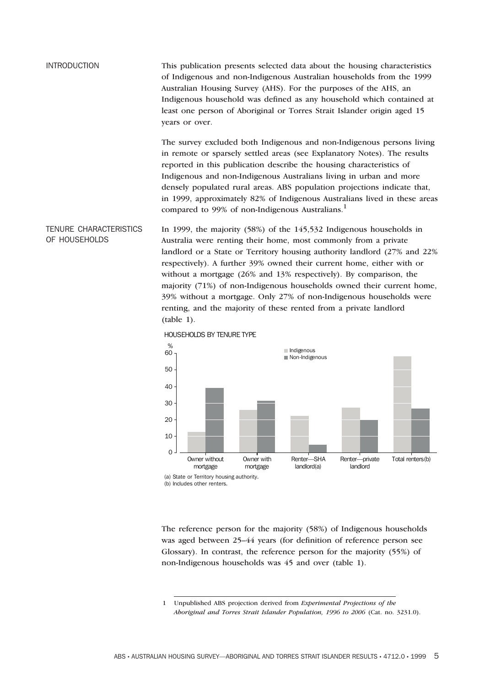```
INTRODUCTION This publication presents selected data about the housing characteristics
                 of Indigenous and non-Indigenous Australian households from the 1999
                 Australian Housing Survey (AHS). For the purposes of the AHS, an
                 Indigenous household was defined as any household which contained at
                 least one person of Aboriginal or Torres Strait Islander origin aged 15
                 years or over.
```
The survey excluded both Indigenous and non-Indigenous persons living in remote or sparsely settled areas (see Explanatory Notes). The results reported in this publication describe the housing characteristics of Indigenous and non-Indigenous Australians living in urban and more densely populated rural areas. ABS population projections indicate that, in 1999, approximately 82% of Indigenous Australians lived in these areas compared to 99% of non-Indigenous Australians.<sup>1</sup>

TENURE CHARACTERISTICS OF HOUSEHOLDS In 1999, the majority (58%) of the 145,532 Indigenous households in Australia were renting their home, most commonly from a private landlord or a State or Territory housing authority landlord (27% and 22% respectively). A further 39% owned their current home, either with or without a mortgage (26% and 13% respectively). By comparison, the majority (71%) of non-Indigenous households owned their current home, 39% without a mortgage. Only 27% of non-Indigenous households were renting, and the majority of these rented from a private landlord (table 1).



HOUSEHOLDS BY TENURE TYPE

(b) Includes other renters.

The reference person for the majority (58%) of Indigenous households was aged between 25–44 years (for definition of reference person see Glossary). In contrast, the reference person for the majority (55%) of non-Indigenous households was 45 and over (table 1).

1 Unpublished ABS projection derived from *Experimental Projections of the Aboriginal and Torres Strait Islander Population, 1996 to 2006* (Cat. no. 3231.0).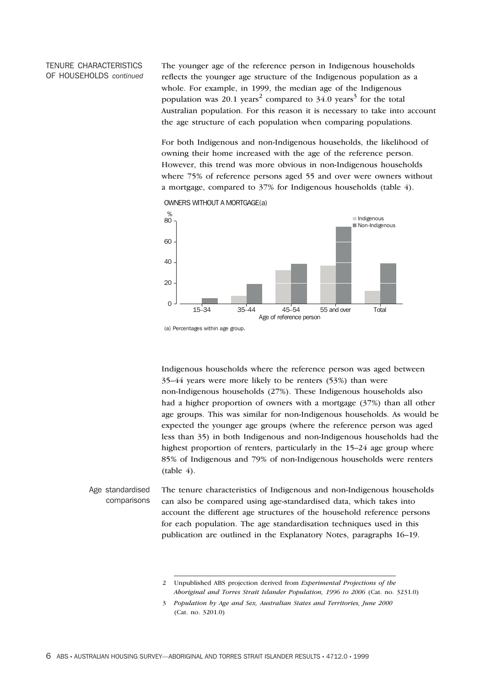### TENURE CHARACTERISTICS OF HOUSEHOLDS *continued*

The younger age of the reference person in Indigenous households reflects the younger age structure of the Indigenous population as a whole. For example, in 1999, the median age of the Indigenous population was 20.1 years<sup>2</sup> compared to 34.0 years<sup>3</sup> for the total Australian population. For this reason it is necessary to take into account the age structure of each population when comparing populations.

For both Indigenous and non-Indigenous households, the likelihood of owning their home increased with the age of the reference person. However, this trend was more obvious in non-Indigenous households where 75% of reference persons aged 55 and over were owners without a mortgage, compared to 37% for Indigenous households (table 4).

OWNERS WITHOUT A MORTGAGE(a)



<sup>(</sup>a) Percentages within age group.

Indigenous households where the reference person was aged between 35–44 years were more likely to be renters (53%) than were non-Indigenous households (27%). These Indigenous households also had a higher proportion of owners with a mortgage (37%) than all other age groups. This was similar for non-Indigenous households. As would be expected the younger age groups (where the reference person was aged less than 35) in both Indigenous and non-Indigenous households had the highest proportion of renters, particularly in the 15–24 age group where 85% of Indigenous and 79% of non-Indigenous households were renters  $(table 4)$ .

Age standardised comparisons The tenure characteristics of Indigenous and non-Indigenous households can also be compared using age-standardised data, which takes into account the different age structures of the household reference persons for each population. The age standardisation techniques used in this publication are outlined in the Explanatory Notes, paragraphs 16–19.

<sup>2</sup> Unpublished ABS projection derived from *Experimental Projections of the Aboriginal and Torres Strait Islander Population, 1996 to 2006* (Cat. no. 3231.0)

<sup>3</sup> *Population by Age and Sex, Australian States and Territories, June 2000* (Cat. no. 3201.0)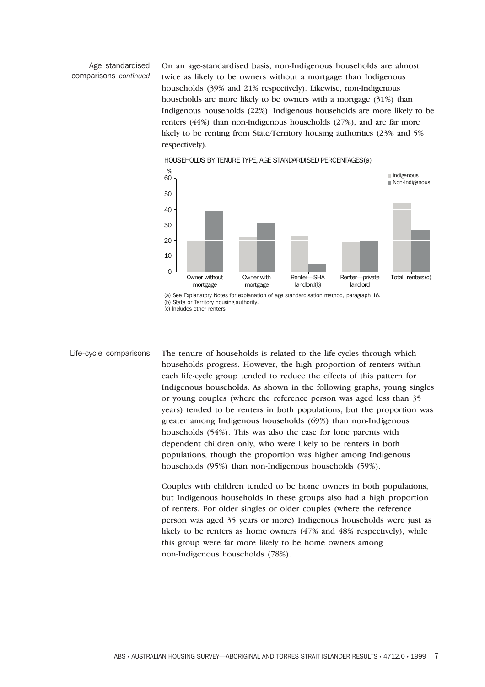### Age standardised comparisons *continued*

On an age-standardised basis, non-Indigenous households are almost twice as likely to be owners without a mortgage than Indigenous households (39% and 21% respectively). Likewise, non-Indigenous households are more likely to be owners with a mortgage (31%) than Indigenous households (22%). Indigenous households are more likely to be renters (44%) than non-Indigenous households (27%), and are far more likely to be renting from State/Territory housing authorities (23% and 5% respectively).



HOUSEHOLDS BY TENURE TYPE, AGE STANDARDISED PERCENTAGES(a)

(a) See Explanatory Notes for explanation of age standardisation method, paragraph 16. (b) State or Territory housing authority. (c) Includes other renters.

Life-cycle comparisons The tenure of households is related to the life-cycles through which households progress. However, the high proportion of renters within each life-cycle group tended to reduce the effects of this pattern for Indigenous households. As shown in the following graphs, young singles or young couples (where the reference person was aged less than 35 years) tended to be renters in both populations, but the proportion was greater among Indigenous households (69%) than non-Indigenous households (54%). This was also the case for lone parents with dependent children only, who were likely to be renters in both populations, though the proportion was higher among Indigenous households (95%) than non-Indigenous households (59%).

> Couples with children tended to be home owners in both populations, but Indigenous households in these groups also had a high proportion of renters. For older singles or older couples (where the reference person was aged 35 years or more) Indigenous households were just as likely to be renters as home owners (47% and 48% respectively), while this group were far more likely to be home owners among non-Indigenous households (78%).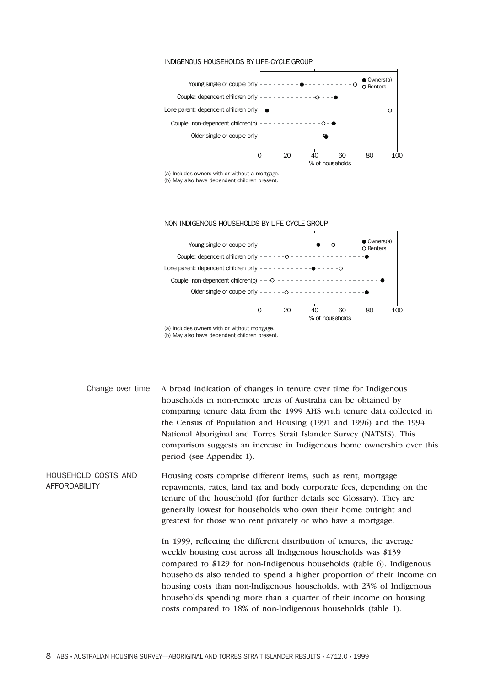#### INDIGENOUS HOUSEHOLDS BY LIFE-CYCLE GROUP



(a) Includes owners with or without a mortgage. (b) May also have dependent children present.



(a) Includes owners with or without mortgage. (b) May also have dependent children present.

Change over time A broad indication of changes in tenure over time for Indigenous households in non-remote areas of Australia can be obtained by comparing tenure data from the 1999 AHS with tenure data collected in the Census of Population and Housing (1991 and 1996) and the 1994 National Aboriginal and Torres Strait Islander Survey (NATSIS). This comparison suggests an increase in Indigenous home ownership over this period (see Appendix 1).

HOUSEHOLD COSTS AND AFFORDABILITY Housing costs comprise different items, such as rent, mortgage repayments, rates, land tax and body corporate fees, depending on the tenure of the household (for further details see Glossary). They are generally lowest for households who own their home outright and greatest for those who rent privately or who have a mortgage.

> In 1999, reflecting the different distribution of tenures, the average weekly housing cost across all Indigenous households was \$139 compared to \$129 for non-Indigenous households (table 6). Indigenous households also tended to spend a higher proportion of their income on housing costs than non-Indigenous households, with 23% of Indigenous households spending more than a quarter of their income on housing costs compared to 18% of non-Indigenous households (table 1).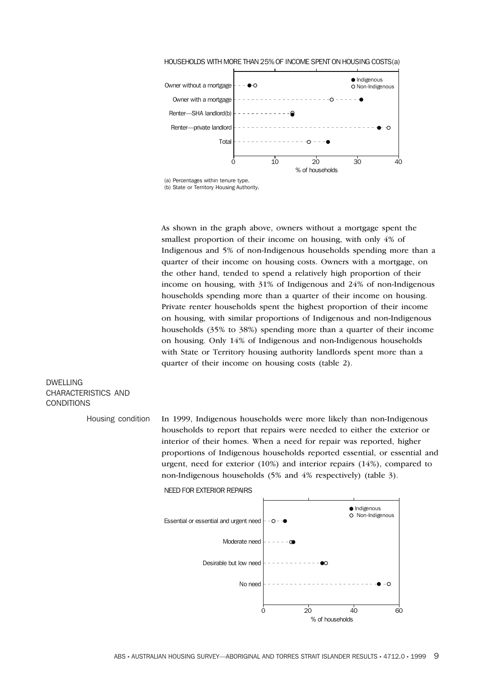

HOUSEHOLDS WITH MORE THAN 25% OF INCOME SPENT ON HOUSING COSTS(a)

(a) Percentages within tenure type. (b) State or Territory Housing Authority.

As shown in the graph above, owners without a mortgage spent the smallest proportion of their income on housing, with only 4% of Indigenous and 5% of non-Indigenous households spending more than a quarter of their income on housing costs. Owners with a mortgage, on the other hand, tended to spend a relatively high proportion of their income on housing, with 31% of Indigenous and 24% of non-Indigenous households spending more than a quarter of their income on housing. Private renter households spent the highest proportion of their income on housing, with similar proportions of Indigenous and non-Indigenous households (35% to 38%) spending more than a quarter of their income on housing. Only 14% of Indigenous and non-Indigenous households with State or Territory housing authority landlords spent more than a quarter of their income on housing costs (table 2).

### DWELLING CHARACTERISTICS AND CONDITIONS

Housing condition In 1999, Indigenous households were more likely than non-Indigenous households to report that repairs were needed to either the exterior or interior of their homes. When a need for repair was reported, higher proportions of Indigenous households reported essential, or essential and urgent, need for exterior (10%) and interior repairs (14%), compared to non-Indigenous households (5% and 4% respectively) (table 3).

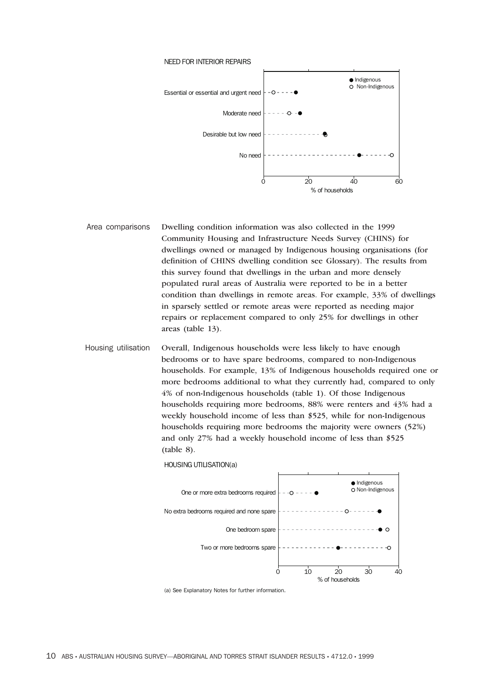

- Area comparisons Dwelling condition information was also collected in the 1999 Community Housing and Infrastructure Needs Survey (CHINS) for dwellings owned or managed by Indigenous housing organisations (for definition of CHINS dwelling condition see Glossary). The results from this survey found that dwellings in the urban and more densely populated rural areas of Australia were reported to be in a better condition than dwellings in remote areas. For example, 33% of dwellings in sparsely settled or remote areas were reported as needing major repairs or replacement compared to only 25% for dwellings in other areas (table 13).
- Housing utilisation Overall, Indigenous households were less likely to have enough bedrooms or to have spare bedrooms, compared to non-Indigenous households. For example, 13% of Indigenous households required one or more bedrooms additional to what they currently had, compared to only 4% of non-Indigenous households (table 1). Of those Indigenous households requiring more bedrooms, 88% were renters and 43% had a weekly household income of less than \$525, while for non-Indigenous households requiring more bedrooms the majority were owners (52%) and only 27% had a weekly household income of less than \$525 (table 8).

HOUSING UTILISATION(a)



(a) See Explanatory Notes for further information.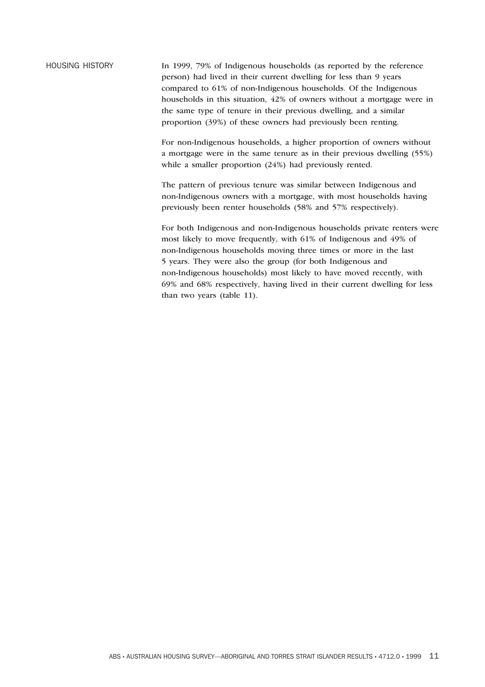HOUSING HISTORY In 1999, 79% of Indigenous households (as reported by the reference person) had lived in their current dwelling for less than 9 years compared to 61% of non-Indigenous households. Of the Indigenous households in this situation, 42% of owners without a mortgage were in the same type of tenure in their previous dwelling, and a similar proportion (39%) of these owners had previously been renting.

> For non-Indigenous households, a higher proportion of owners without a mortgage were in the same tenure as in their previous dwelling (55%) while a smaller proportion (24%) had previously rented.

The pattern of previous tenure was similar between Indigenous and non-Indigenous owners with a mortgage, with most households having previously been renter households (58% and 57% respectively).

For both Indigenous and non-Indigenous households private renters were most likely to move frequently, with 61% of Indigenous and 49% of non-Indigenous households moving three times or more in the last 5 years. They were also the group (for both Indigenous and non-Indigenous households) most likely to have moved recently, with 69% and 68% respectively, having lived in their current dwelling for less than two years (table 11).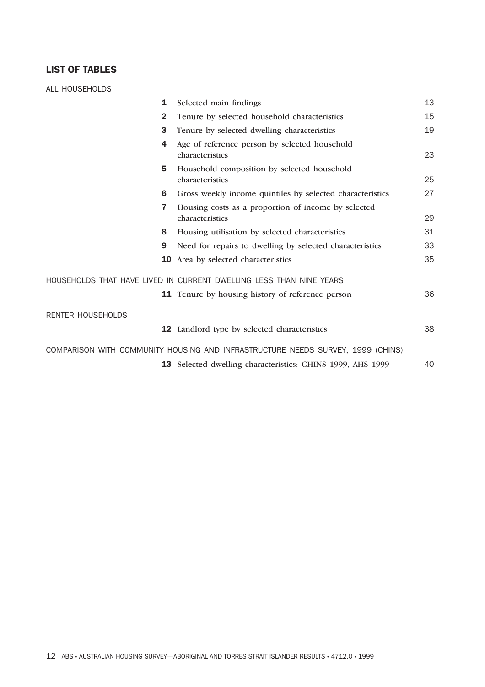### **LIST OF TABLES**

ALL HOUSEHOLDS

| 1                        | Selected main findings                                                                                                                     | 13 |
|--------------------------|--------------------------------------------------------------------------------------------------------------------------------------------|----|
| $\mathbf{2}$             | Tenure by selected household characteristics                                                                                               | 15 |
| 3                        | Tenure by selected dwelling characteristics                                                                                                | 19 |
| 4                        | Age of reference person by selected household<br>characteristics                                                                           | 23 |
| 5                        | Household composition by selected household<br>characteristics                                                                             | 25 |
| 6                        | Gross weekly income quintiles by selected characteristics                                                                                  | 27 |
| 7                        | Housing costs as a proportion of income by selected<br>characteristics                                                                     | 29 |
| 8                        | Housing utilisation by selected characteristics                                                                                            | 31 |
| 9                        | Need for repairs to dwelling by selected characteristics                                                                                   | 33 |
| 10                       | Area by selected characteristics                                                                                                           | 35 |
|                          | HOUSEHOLDS THAT HAVE LIVED IN CURRENT DWELLING LESS THAN NINE YEARS                                                                        |    |
|                          | <b>11</b> Tenure by housing history of reference person                                                                                    | 36 |
| <b>RENTER HOUSEHOLDS</b> |                                                                                                                                            |    |
|                          | 12 Landlord type by selected characteristics                                                                                               | 38 |
| 13                       | COMPARISON WITH COMMUNITY HOUSING AND INFRASTRUCTURE NEEDS SURVEY, 1999 (CHINS)<br>Selected dwelling characteristics: CHINS 1999, AHS 1999 | 40 |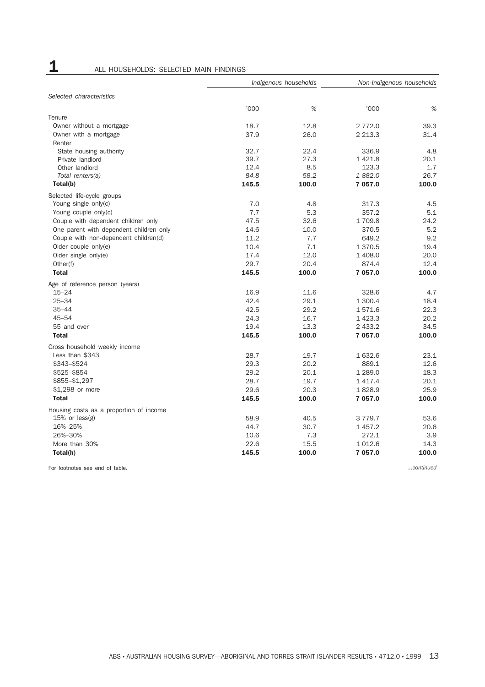1 ALL HOUSEHOLDS: SELECTED MAIN FINDINGS

|                                         | Indigenous households |       | Non-Indigenous households |           |
|-----------------------------------------|-----------------------|-------|---------------------------|-----------|
| Selected characteristics                |                       |       |                           |           |
|                                         | '000                  | %     | '000                      | %         |
| Tenure                                  |                       |       |                           |           |
| Owner without a mortgage                | 18.7                  | 12.8  | 2 772.0                   | 39.3      |
| Owner with a mortgage                   | 37.9                  | 26.0  | 2 2 1 3 . 3               | 31.4      |
| Renter                                  |                       |       |                           |           |
| State housing authority                 | 32.7                  | 22.4  | 336.9                     | 4.8       |
| Private landlord                        | 39.7                  | 27.3  | 1421.8                    | 20.1      |
| Other landlord                          | 12.4                  | 8.5   | 123.3                     | 1.7       |
| Total renters(a)                        | 84.8                  | 58.2  | 1882.0                    | 26.7      |
| Total(b)                                | 145.5                 | 100.0 | 7 057.0                   | 100.0     |
| Selected life-cycle groups              |                       |       |                           |           |
| Young single only(c)                    | 7.0                   | 4.8   | 317.3                     | 4.5       |
| Young couple only(c)                    | 7.7                   | 5.3   | 357.2                     | 5.1       |
| Couple with dependent children only     | 47.5                  | 32.6  | 1 709.8                   | 24.2      |
| One parent with dependent children only | 14.6                  | 10.0  | 370.5                     | 5.2       |
| Couple with non-dependent children(d)   | 11.2                  | 7.7   | 649.2                     | 9.2       |
| Older couple only(e)                    | 10.4                  | 7.1   | 1 370.5                   | 19.4      |
| Older single $only(e)$                  | 17.4                  | 12.0  | 1 408.0                   | 20.0      |
| Other(f)                                | 29.7                  | 20.4  | 874.4                     | 12.4      |
| <b>Total</b>                            | 145.5                 | 100.0 | 7 057.0                   | 100.0     |
| Age of reference person (years)         |                       |       |                           |           |
| $15 - 24$                               | 16.9                  | 11.6  | 328.6                     | 4.7       |
| $25 - 34$                               | 42.4                  | 29.1  | 1 300.4                   | 18.4      |
| $35 - 44$                               | 42.5                  | 29.2  | 1571.6                    | 22.3      |
| $45 - 54$                               | 24.3                  | 16.7  | 1423.3                    | 20.2      |
| 55 and over                             | 19.4                  | 13.3  | 2 433.2                   | 34.5      |
| <b>Total</b>                            | 145.5                 | 100.0 | 7 057.0                   | 100.0     |
| Gross household weekly income           |                       |       |                           |           |
| Less than \$343                         | 28.7                  | 19.7  | 1 632.6                   | 23.1      |
| \$343-\$524                             | 29.3                  | 20.2  | 889.1                     | 12.6      |
| \$525-\$854                             | 29.2                  | 20.1  | 1 289.0                   | 18.3      |
| \$855-\$1,297                           | 28.7                  | 19.7  | 1417.4                    | 20.1      |
| \$1,298 or more                         | 29.6                  | 20.3  | 1828.9                    | 25.9      |
| <b>Total</b>                            | 145.5                 | 100.0 | 7 057.0                   | 100.0     |
|                                         |                       |       |                           |           |
| Housing costs as a proportion of income |                       |       |                           |           |
| $15%$ or less(g)                        | 58.9                  | 40.5  | 3 7 7 9 . 7               | 53.6      |
| 16%-25%                                 | 44.7                  | 30.7  | 1 457.2                   | 20.6      |
| 26%-30%                                 | 10.6                  | 7.3   | 272.1                     | 3.9       |
| More than 30%                           | 22.6                  | 15.5  | 1 0 1 2.6                 | 14.3      |
| Total(h)                                | 145.5                 | 100.0 | 7 057.0                   | 100.0     |
| For footnotes see end of table.         |                       |       |                           | continued |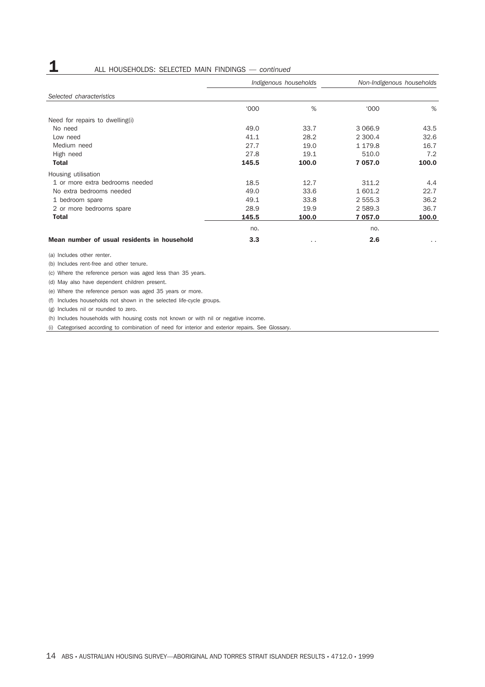# **1** ALL HOUSEHOLDS: SELECTED MAIN FINDINGS — *continued*

|                                             | Indigenous households |           | Non-Indigenous households |               |  |
|---------------------------------------------|-----------------------|-----------|---------------------------|---------------|--|
| Selected characteristics                    |                       |           |                           |               |  |
|                                             | <b>'000</b>           | %         | $000^{\circ}$             | %             |  |
| Need for repairs to dwelling(i)             |                       |           |                           |               |  |
| No need                                     | 49.0                  | 33.7      | 3 0 6 6.9                 | 43.5          |  |
| Low need                                    | 41.1                  | 28.2      | 2 300.4                   | 32.6          |  |
| Medium need                                 | 27.7                  | 19.0      | 1 179.8                   | 16.7          |  |
| High need                                   | 27.8                  | 19.1      | 510.0                     | 7.2           |  |
| <b>Total</b>                                | 145.5                 | 100.0     | 7 057.0                   | 100.0         |  |
| Housing utilisation                         |                       |           |                           |               |  |
| 1 or more extra bedrooms needed             | 18.5                  | 12.7      | 311.2                     | 4.4           |  |
| No extra bedrooms needed                    | 49.0                  | 33.6      | 1 601.2                   | 22.7          |  |
| 1 bedroom spare                             | 49.1                  | 33.8      | 2 555.3                   | 36.2          |  |
| 2 or more bedrooms spare                    | 28.9                  | 19.9      | 2 589.3                   | 36.7          |  |
| <b>Total</b>                                | 145.5                 | 100.0     | 7 057.0                   | 100.0         |  |
|                                             | no.                   |           | no.                       |               |  |
| Mean number of usual residents in household | 3.3                   | $\cdot$ . | 2.6                       | $\sim$ $\sim$ |  |

(a) Includes other renter.

(b) Includes rent-free and other tenure.

(c) Where the reference person was aged less than 35 years.

(d) May also have dependent children present.

(e) Where the reference person was aged 35 years or more.

(f) Includes households not shown in the selected life-cycle groups.

(g) Includes nil or rounded to zero.

(h) Includes households with housing costs not known or with nil or negative income.

(i) Categorised according to combination of need for interior and exterior repairs. See Glossary.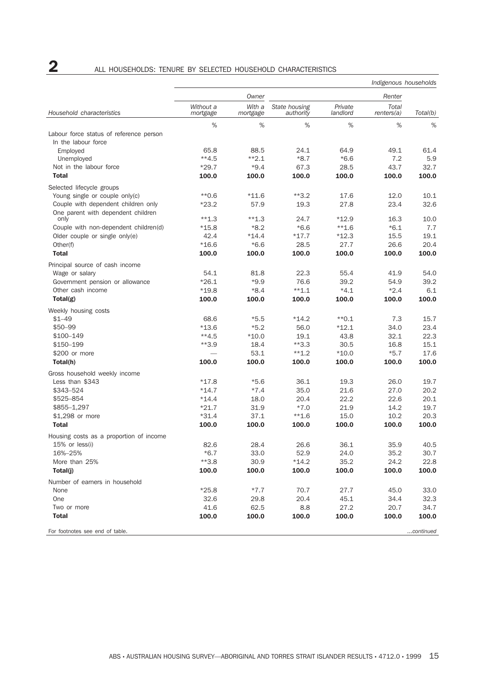# **2** ALL HOUSEHOLDS: TENURE BY SELECTED HOUSEHOLD CHARACTERISTICS

| Owner<br>Renter<br>Without a<br>With a<br>Private<br>Total<br>State housing<br>Household characteristics<br>landlord<br>Total(b)<br>mortgage<br>mortgage<br>authority<br>renters(a)<br>%<br>%<br>%<br>%<br>%<br>%<br>Labour force status of reference person<br>In the labour force<br>65.8<br>88.5<br>24.1<br>64.9<br>49.1<br>61.4<br>Employed<br>$*2.1$<br>$**4.5$<br>$*8.7$<br>$*6.6$<br>7.2<br>5.9<br>Unemployed<br>43.7<br>32.7<br>Not in the labour force<br>$*29.7$<br>$*9.4$<br>67.3<br>28.5<br><b>Total</b><br>100.0<br>100.0<br>100.0<br>100.0<br>100.0<br>100.0<br>Selected lifecycle groups<br>Young single or couple only(c)<br>$*0.6$<br>$*11.6$<br>$**3.2$<br>17.6<br>12.0<br>10.1<br>Couple with dependent children only<br>$*23.2$<br>57.9<br>27.8<br>23.4<br>32.6<br>19.3<br>One parent with dependent children<br>$**1.3$<br>$**1.3$<br>24.7<br>$*12.9$<br>16.3<br>10.0<br>only<br>$*6.6$<br>$*6.1$<br>7.7<br>Couple with non-dependent children(d)<br>$*15.8$<br>$*8.2$<br>$**1.6$<br>15.5<br>Older couple or single only(e)<br>42.4<br>$*14.4$<br>$*17.7$<br>$*12.3$<br>19.1<br>$*16.6$<br>$*6.6$<br>26.6<br>20.4<br>Other(f)<br>28.5<br>27.7<br><b>Total</b><br>100.0<br>100.0<br>100.0<br>100.0<br>100.0<br>100.0<br>Principal source of cash income<br>54.1<br>81.8<br>22.3<br>55.4<br>41.9<br>54.0<br>Wage or salary<br>$*9.9$<br>39.2<br>$*26.1$<br>76.6<br>39.2<br>54.9<br>Government pension or allowance<br>$*19.8$<br>$*8.4$<br>$**1.1$<br>$*4.1$<br>$*2.4$<br>6.1<br>Other cash income<br>Total(g)<br>100.0<br>100.0<br>100.0<br>100.0<br>100.0<br>100.0<br>Weekly housing costs<br>$$1 - 49$<br>68.6<br>$*5.5$<br>$*14.2$<br>$*$ 0.1<br>7.3<br>15.7<br>\$50-99<br>$*13.6$<br>$*5.2$<br>$*12.1$<br>34.0<br>23.4<br>56.0<br>\$100-149<br>$**4.5$<br>$*10.0$<br>32.1<br>22.3<br>19.1<br>43.8<br>\$150-199<br>$**3.9$<br>18.4<br>$*3.3$<br>15.1<br>30.5<br>16.8<br>\$200 or more<br>53.1<br>$**1.2$<br>$*10.0$<br>$*5.7$<br>17.6<br>100.0<br>100.0<br>Total(h)<br>100.0<br>100.0<br>100.0<br>100.0<br>Gross household weekly income<br>Less than \$343<br>$*5.6$<br>19.3<br>*17.8<br>36.1<br>26.0<br>19.7<br>\$343-524<br>$*14.7$<br>$*7.4$<br>35.0<br>21.6<br>27.0<br>20.2<br>\$525-854<br>$*14.4$<br>18.0<br>20.4<br>22.2<br>22.6<br>20.1<br>$*21.7$<br>31.9<br>$*7.0$<br>21.9<br>14.2<br>19.7<br>\$855-1,297<br>37.1<br>15.0<br>$*31.4$<br>$**1.6$<br>10.2<br>20.3<br>\$1,298 or more<br><b>Total</b><br>100.0<br>100.0<br>100.0<br>100.0<br>100.0<br>100.0<br>Housing costs as a proportion of income<br>28.4<br>36.1<br>$15%$ or less(i)<br>82.6<br>26.6<br>35.9<br>40.5<br>16%-25%<br>$*6.7$<br>33.0<br>52.9<br>35.2<br>24.0<br>30.7<br>More than 25%<br>$**3.8$<br>30.9<br>$*14.2$<br>35.2<br>24.2<br>22.8<br>100.0<br>Total(j)<br>100.0<br>100.0<br>100.0<br>100.0<br>100.0<br>Number of earners in household<br>None<br>$*25.8$<br>$*7.7$<br>70.7<br>27.7<br>45.0<br>33.0<br>32.6<br>34.4<br>One<br>29.8<br>20.4<br>45.1<br>32.3<br>62.5<br>27.2<br>Two or more<br>41.6<br>8.8<br>20.7<br>34.7<br>100.0<br>100.0<br>100.0<br>100.0<br>100.0<br><b>Total</b><br>100.0<br>continued<br>For footnotes see end of table. |  |  |  | Indigenous households |  |  |
|-----------------------------------------------------------------------------------------------------------------------------------------------------------------------------------------------------------------------------------------------------------------------------------------------------------------------------------------------------------------------------------------------------------------------------------------------------------------------------------------------------------------------------------------------------------------------------------------------------------------------------------------------------------------------------------------------------------------------------------------------------------------------------------------------------------------------------------------------------------------------------------------------------------------------------------------------------------------------------------------------------------------------------------------------------------------------------------------------------------------------------------------------------------------------------------------------------------------------------------------------------------------------------------------------------------------------------------------------------------------------------------------------------------------------------------------------------------------------------------------------------------------------------------------------------------------------------------------------------------------------------------------------------------------------------------------------------------------------------------------------------------------------------------------------------------------------------------------------------------------------------------------------------------------------------------------------------------------------------------------------------------------------------------------------------------------------------------------------------------------------------------------------------------------------------------------------------------------------------------------------------------------------------------------------------------------------------------------------------------------------------------------------------------------------------------------------------------------------------------------------------------------------------------------------------------------------------------------------------------------------------------------------------------------------------------------------------------------------------------------------------------------------------------------------------------------------------------------------------------------------------------------------------------------------------------------------------------------------------------------------------------------------------------------------------------------------------------------------------------------------------------------------------------|--|--|--|-----------------------|--|--|
|                                                                                                                                                                                                                                                                                                                                                                                                                                                                                                                                                                                                                                                                                                                                                                                                                                                                                                                                                                                                                                                                                                                                                                                                                                                                                                                                                                                                                                                                                                                                                                                                                                                                                                                                                                                                                                                                                                                                                                                                                                                                                                                                                                                                                                                                                                                                                                                                                                                                                                                                                                                                                                                                                                                                                                                                                                                                                                                                                                                                                                                                                                                                                           |  |  |  |                       |  |  |
|                                                                                                                                                                                                                                                                                                                                                                                                                                                                                                                                                                                                                                                                                                                                                                                                                                                                                                                                                                                                                                                                                                                                                                                                                                                                                                                                                                                                                                                                                                                                                                                                                                                                                                                                                                                                                                                                                                                                                                                                                                                                                                                                                                                                                                                                                                                                                                                                                                                                                                                                                                                                                                                                                                                                                                                                                                                                                                                                                                                                                                                                                                                                                           |  |  |  |                       |  |  |
|                                                                                                                                                                                                                                                                                                                                                                                                                                                                                                                                                                                                                                                                                                                                                                                                                                                                                                                                                                                                                                                                                                                                                                                                                                                                                                                                                                                                                                                                                                                                                                                                                                                                                                                                                                                                                                                                                                                                                                                                                                                                                                                                                                                                                                                                                                                                                                                                                                                                                                                                                                                                                                                                                                                                                                                                                                                                                                                                                                                                                                                                                                                                                           |  |  |  |                       |  |  |
|                                                                                                                                                                                                                                                                                                                                                                                                                                                                                                                                                                                                                                                                                                                                                                                                                                                                                                                                                                                                                                                                                                                                                                                                                                                                                                                                                                                                                                                                                                                                                                                                                                                                                                                                                                                                                                                                                                                                                                                                                                                                                                                                                                                                                                                                                                                                                                                                                                                                                                                                                                                                                                                                                                                                                                                                                                                                                                                                                                                                                                                                                                                                                           |  |  |  |                       |  |  |
|                                                                                                                                                                                                                                                                                                                                                                                                                                                                                                                                                                                                                                                                                                                                                                                                                                                                                                                                                                                                                                                                                                                                                                                                                                                                                                                                                                                                                                                                                                                                                                                                                                                                                                                                                                                                                                                                                                                                                                                                                                                                                                                                                                                                                                                                                                                                                                                                                                                                                                                                                                                                                                                                                                                                                                                                                                                                                                                                                                                                                                                                                                                                                           |  |  |  |                       |  |  |
|                                                                                                                                                                                                                                                                                                                                                                                                                                                                                                                                                                                                                                                                                                                                                                                                                                                                                                                                                                                                                                                                                                                                                                                                                                                                                                                                                                                                                                                                                                                                                                                                                                                                                                                                                                                                                                                                                                                                                                                                                                                                                                                                                                                                                                                                                                                                                                                                                                                                                                                                                                                                                                                                                                                                                                                                                                                                                                                                                                                                                                                                                                                                                           |  |  |  |                       |  |  |
|                                                                                                                                                                                                                                                                                                                                                                                                                                                                                                                                                                                                                                                                                                                                                                                                                                                                                                                                                                                                                                                                                                                                                                                                                                                                                                                                                                                                                                                                                                                                                                                                                                                                                                                                                                                                                                                                                                                                                                                                                                                                                                                                                                                                                                                                                                                                                                                                                                                                                                                                                                                                                                                                                                                                                                                                                                                                                                                                                                                                                                                                                                                                                           |  |  |  |                       |  |  |
|                                                                                                                                                                                                                                                                                                                                                                                                                                                                                                                                                                                                                                                                                                                                                                                                                                                                                                                                                                                                                                                                                                                                                                                                                                                                                                                                                                                                                                                                                                                                                                                                                                                                                                                                                                                                                                                                                                                                                                                                                                                                                                                                                                                                                                                                                                                                                                                                                                                                                                                                                                                                                                                                                                                                                                                                                                                                                                                                                                                                                                                                                                                                                           |  |  |  |                       |  |  |
|                                                                                                                                                                                                                                                                                                                                                                                                                                                                                                                                                                                                                                                                                                                                                                                                                                                                                                                                                                                                                                                                                                                                                                                                                                                                                                                                                                                                                                                                                                                                                                                                                                                                                                                                                                                                                                                                                                                                                                                                                                                                                                                                                                                                                                                                                                                                                                                                                                                                                                                                                                                                                                                                                                                                                                                                                                                                                                                                                                                                                                                                                                                                                           |  |  |  |                       |  |  |
|                                                                                                                                                                                                                                                                                                                                                                                                                                                                                                                                                                                                                                                                                                                                                                                                                                                                                                                                                                                                                                                                                                                                                                                                                                                                                                                                                                                                                                                                                                                                                                                                                                                                                                                                                                                                                                                                                                                                                                                                                                                                                                                                                                                                                                                                                                                                                                                                                                                                                                                                                                                                                                                                                                                                                                                                                                                                                                                                                                                                                                                                                                                                                           |  |  |  |                       |  |  |
|                                                                                                                                                                                                                                                                                                                                                                                                                                                                                                                                                                                                                                                                                                                                                                                                                                                                                                                                                                                                                                                                                                                                                                                                                                                                                                                                                                                                                                                                                                                                                                                                                                                                                                                                                                                                                                                                                                                                                                                                                                                                                                                                                                                                                                                                                                                                                                                                                                                                                                                                                                                                                                                                                                                                                                                                                                                                                                                                                                                                                                                                                                                                                           |  |  |  |                       |  |  |
|                                                                                                                                                                                                                                                                                                                                                                                                                                                                                                                                                                                                                                                                                                                                                                                                                                                                                                                                                                                                                                                                                                                                                                                                                                                                                                                                                                                                                                                                                                                                                                                                                                                                                                                                                                                                                                                                                                                                                                                                                                                                                                                                                                                                                                                                                                                                                                                                                                                                                                                                                                                                                                                                                                                                                                                                                                                                                                                                                                                                                                                                                                                                                           |  |  |  |                       |  |  |
|                                                                                                                                                                                                                                                                                                                                                                                                                                                                                                                                                                                                                                                                                                                                                                                                                                                                                                                                                                                                                                                                                                                                                                                                                                                                                                                                                                                                                                                                                                                                                                                                                                                                                                                                                                                                                                                                                                                                                                                                                                                                                                                                                                                                                                                                                                                                                                                                                                                                                                                                                                                                                                                                                                                                                                                                                                                                                                                                                                                                                                                                                                                                                           |  |  |  |                       |  |  |
|                                                                                                                                                                                                                                                                                                                                                                                                                                                                                                                                                                                                                                                                                                                                                                                                                                                                                                                                                                                                                                                                                                                                                                                                                                                                                                                                                                                                                                                                                                                                                                                                                                                                                                                                                                                                                                                                                                                                                                                                                                                                                                                                                                                                                                                                                                                                                                                                                                                                                                                                                                                                                                                                                                                                                                                                                                                                                                                                                                                                                                                                                                                                                           |  |  |  |                       |  |  |
|                                                                                                                                                                                                                                                                                                                                                                                                                                                                                                                                                                                                                                                                                                                                                                                                                                                                                                                                                                                                                                                                                                                                                                                                                                                                                                                                                                                                                                                                                                                                                                                                                                                                                                                                                                                                                                                                                                                                                                                                                                                                                                                                                                                                                                                                                                                                                                                                                                                                                                                                                                                                                                                                                                                                                                                                                                                                                                                                                                                                                                                                                                                                                           |  |  |  |                       |  |  |
|                                                                                                                                                                                                                                                                                                                                                                                                                                                                                                                                                                                                                                                                                                                                                                                                                                                                                                                                                                                                                                                                                                                                                                                                                                                                                                                                                                                                                                                                                                                                                                                                                                                                                                                                                                                                                                                                                                                                                                                                                                                                                                                                                                                                                                                                                                                                                                                                                                                                                                                                                                                                                                                                                                                                                                                                                                                                                                                                                                                                                                                                                                                                                           |  |  |  |                       |  |  |
|                                                                                                                                                                                                                                                                                                                                                                                                                                                                                                                                                                                                                                                                                                                                                                                                                                                                                                                                                                                                                                                                                                                                                                                                                                                                                                                                                                                                                                                                                                                                                                                                                                                                                                                                                                                                                                                                                                                                                                                                                                                                                                                                                                                                                                                                                                                                                                                                                                                                                                                                                                                                                                                                                                                                                                                                                                                                                                                                                                                                                                                                                                                                                           |  |  |  |                       |  |  |
|                                                                                                                                                                                                                                                                                                                                                                                                                                                                                                                                                                                                                                                                                                                                                                                                                                                                                                                                                                                                                                                                                                                                                                                                                                                                                                                                                                                                                                                                                                                                                                                                                                                                                                                                                                                                                                                                                                                                                                                                                                                                                                                                                                                                                                                                                                                                                                                                                                                                                                                                                                                                                                                                                                                                                                                                                                                                                                                                                                                                                                                                                                                                                           |  |  |  |                       |  |  |
|                                                                                                                                                                                                                                                                                                                                                                                                                                                                                                                                                                                                                                                                                                                                                                                                                                                                                                                                                                                                                                                                                                                                                                                                                                                                                                                                                                                                                                                                                                                                                                                                                                                                                                                                                                                                                                                                                                                                                                                                                                                                                                                                                                                                                                                                                                                                                                                                                                                                                                                                                                                                                                                                                                                                                                                                                                                                                                                                                                                                                                                                                                                                                           |  |  |  |                       |  |  |
|                                                                                                                                                                                                                                                                                                                                                                                                                                                                                                                                                                                                                                                                                                                                                                                                                                                                                                                                                                                                                                                                                                                                                                                                                                                                                                                                                                                                                                                                                                                                                                                                                                                                                                                                                                                                                                                                                                                                                                                                                                                                                                                                                                                                                                                                                                                                                                                                                                                                                                                                                                                                                                                                                                                                                                                                                                                                                                                                                                                                                                                                                                                                                           |  |  |  |                       |  |  |
|                                                                                                                                                                                                                                                                                                                                                                                                                                                                                                                                                                                                                                                                                                                                                                                                                                                                                                                                                                                                                                                                                                                                                                                                                                                                                                                                                                                                                                                                                                                                                                                                                                                                                                                                                                                                                                                                                                                                                                                                                                                                                                                                                                                                                                                                                                                                                                                                                                                                                                                                                                                                                                                                                                                                                                                                                                                                                                                                                                                                                                                                                                                                                           |  |  |  |                       |  |  |
|                                                                                                                                                                                                                                                                                                                                                                                                                                                                                                                                                                                                                                                                                                                                                                                                                                                                                                                                                                                                                                                                                                                                                                                                                                                                                                                                                                                                                                                                                                                                                                                                                                                                                                                                                                                                                                                                                                                                                                                                                                                                                                                                                                                                                                                                                                                                                                                                                                                                                                                                                                                                                                                                                                                                                                                                                                                                                                                                                                                                                                                                                                                                                           |  |  |  |                       |  |  |
|                                                                                                                                                                                                                                                                                                                                                                                                                                                                                                                                                                                                                                                                                                                                                                                                                                                                                                                                                                                                                                                                                                                                                                                                                                                                                                                                                                                                                                                                                                                                                                                                                                                                                                                                                                                                                                                                                                                                                                                                                                                                                                                                                                                                                                                                                                                                                                                                                                                                                                                                                                                                                                                                                                                                                                                                                                                                                                                                                                                                                                                                                                                                                           |  |  |  |                       |  |  |
|                                                                                                                                                                                                                                                                                                                                                                                                                                                                                                                                                                                                                                                                                                                                                                                                                                                                                                                                                                                                                                                                                                                                                                                                                                                                                                                                                                                                                                                                                                                                                                                                                                                                                                                                                                                                                                                                                                                                                                                                                                                                                                                                                                                                                                                                                                                                                                                                                                                                                                                                                                                                                                                                                                                                                                                                                                                                                                                                                                                                                                                                                                                                                           |  |  |  |                       |  |  |
|                                                                                                                                                                                                                                                                                                                                                                                                                                                                                                                                                                                                                                                                                                                                                                                                                                                                                                                                                                                                                                                                                                                                                                                                                                                                                                                                                                                                                                                                                                                                                                                                                                                                                                                                                                                                                                                                                                                                                                                                                                                                                                                                                                                                                                                                                                                                                                                                                                                                                                                                                                                                                                                                                                                                                                                                                                                                                                                                                                                                                                                                                                                                                           |  |  |  |                       |  |  |
|                                                                                                                                                                                                                                                                                                                                                                                                                                                                                                                                                                                                                                                                                                                                                                                                                                                                                                                                                                                                                                                                                                                                                                                                                                                                                                                                                                                                                                                                                                                                                                                                                                                                                                                                                                                                                                                                                                                                                                                                                                                                                                                                                                                                                                                                                                                                                                                                                                                                                                                                                                                                                                                                                                                                                                                                                                                                                                                                                                                                                                                                                                                                                           |  |  |  |                       |  |  |
|                                                                                                                                                                                                                                                                                                                                                                                                                                                                                                                                                                                                                                                                                                                                                                                                                                                                                                                                                                                                                                                                                                                                                                                                                                                                                                                                                                                                                                                                                                                                                                                                                                                                                                                                                                                                                                                                                                                                                                                                                                                                                                                                                                                                                                                                                                                                                                                                                                                                                                                                                                                                                                                                                                                                                                                                                                                                                                                                                                                                                                                                                                                                                           |  |  |  |                       |  |  |
|                                                                                                                                                                                                                                                                                                                                                                                                                                                                                                                                                                                                                                                                                                                                                                                                                                                                                                                                                                                                                                                                                                                                                                                                                                                                                                                                                                                                                                                                                                                                                                                                                                                                                                                                                                                                                                                                                                                                                                                                                                                                                                                                                                                                                                                                                                                                                                                                                                                                                                                                                                                                                                                                                                                                                                                                                                                                                                                                                                                                                                                                                                                                                           |  |  |  |                       |  |  |
|                                                                                                                                                                                                                                                                                                                                                                                                                                                                                                                                                                                                                                                                                                                                                                                                                                                                                                                                                                                                                                                                                                                                                                                                                                                                                                                                                                                                                                                                                                                                                                                                                                                                                                                                                                                                                                                                                                                                                                                                                                                                                                                                                                                                                                                                                                                                                                                                                                                                                                                                                                                                                                                                                                                                                                                                                                                                                                                                                                                                                                                                                                                                                           |  |  |  |                       |  |  |
|                                                                                                                                                                                                                                                                                                                                                                                                                                                                                                                                                                                                                                                                                                                                                                                                                                                                                                                                                                                                                                                                                                                                                                                                                                                                                                                                                                                                                                                                                                                                                                                                                                                                                                                                                                                                                                                                                                                                                                                                                                                                                                                                                                                                                                                                                                                                                                                                                                                                                                                                                                                                                                                                                                                                                                                                                                                                                                                                                                                                                                                                                                                                                           |  |  |  |                       |  |  |
|                                                                                                                                                                                                                                                                                                                                                                                                                                                                                                                                                                                                                                                                                                                                                                                                                                                                                                                                                                                                                                                                                                                                                                                                                                                                                                                                                                                                                                                                                                                                                                                                                                                                                                                                                                                                                                                                                                                                                                                                                                                                                                                                                                                                                                                                                                                                                                                                                                                                                                                                                                                                                                                                                                                                                                                                                                                                                                                                                                                                                                                                                                                                                           |  |  |  |                       |  |  |
|                                                                                                                                                                                                                                                                                                                                                                                                                                                                                                                                                                                                                                                                                                                                                                                                                                                                                                                                                                                                                                                                                                                                                                                                                                                                                                                                                                                                                                                                                                                                                                                                                                                                                                                                                                                                                                                                                                                                                                                                                                                                                                                                                                                                                                                                                                                                                                                                                                                                                                                                                                                                                                                                                                                                                                                                                                                                                                                                                                                                                                                                                                                                                           |  |  |  |                       |  |  |
|                                                                                                                                                                                                                                                                                                                                                                                                                                                                                                                                                                                                                                                                                                                                                                                                                                                                                                                                                                                                                                                                                                                                                                                                                                                                                                                                                                                                                                                                                                                                                                                                                                                                                                                                                                                                                                                                                                                                                                                                                                                                                                                                                                                                                                                                                                                                                                                                                                                                                                                                                                                                                                                                                                                                                                                                                                                                                                                                                                                                                                                                                                                                                           |  |  |  |                       |  |  |
|                                                                                                                                                                                                                                                                                                                                                                                                                                                                                                                                                                                                                                                                                                                                                                                                                                                                                                                                                                                                                                                                                                                                                                                                                                                                                                                                                                                                                                                                                                                                                                                                                                                                                                                                                                                                                                                                                                                                                                                                                                                                                                                                                                                                                                                                                                                                                                                                                                                                                                                                                                                                                                                                                                                                                                                                                                                                                                                                                                                                                                                                                                                                                           |  |  |  |                       |  |  |
|                                                                                                                                                                                                                                                                                                                                                                                                                                                                                                                                                                                                                                                                                                                                                                                                                                                                                                                                                                                                                                                                                                                                                                                                                                                                                                                                                                                                                                                                                                                                                                                                                                                                                                                                                                                                                                                                                                                                                                                                                                                                                                                                                                                                                                                                                                                                                                                                                                                                                                                                                                                                                                                                                                                                                                                                                                                                                                                                                                                                                                                                                                                                                           |  |  |  |                       |  |  |
|                                                                                                                                                                                                                                                                                                                                                                                                                                                                                                                                                                                                                                                                                                                                                                                                                                                                                                                                                                                                                                                                                                                                                                                                                                                                                                                                                                                                                                                                                                                                                                                                                                                                                                                                                                                                                                                                                                                                                                                                                                                                                                                                                                                                                                                                                                                                                                                                                                                                                                                                                                                                                                                                                                                                                                                                                                                                                                                                                                                                                                                                                                                                                           |  |  |  |                       |  |  |
|                                                                                                                                                                                                                                                                                                                                                                                                                                                                                                                                                                                                                                                                                                                                                                                                                                                                                                                                                                                                                                                                                                                                                                                                                                                                                                                                                                                                                                                                                                                                                                                                                                                                                                                                                                                                                                                                                                                                                                                                                                                                                                                                                                                                                                                                                                                                                                                                                                                                                                                                                                                                                                                                                                                                                                                                                                                                                                                                                                                                                                                                                                                                                           |  |  |  |                       |  |  |
|                                                                                                                                                                                                                                                                                                                                                                                                                                                                                                                                                                                                                                                                                                                                                                                                                                                                                                                                                                                                                                                                                                                                                                                                                                                                                                                                                                                                                                                                                                                                                                                                                                                                                                                                                                                                                                                                                                                                                                                                                                                                                                                                                                                                                                                                                                                                                                                                                                                                                                                                                                                                                                                                                                                                                                                                                                                                                                                                                                                                                                                                                                                                                           |  |  |  |                       |  |  |
|                                                                                                                                                                                                                                                                                                                                                                                                                                                                                                                                                                                                                                                                                                                                                                                                                                                                                                                                                                                                                                                                                                                                                                                                                                                                                                                                                                                                                                                                                                                                                                                                                                                                                                                                                                                                                                                                                                                                                                                                                                                                                                                                                                                                                                                                                                                                                                                                                                                                                                                                                                                                                                                                                                                                                                                                                                                                                                                                                                                                                                                                                                                                                           |  |  |  |                       |  |  |
|                                                                                                                                                                                                                                                                                                                                                                                                                                                                                                                                                                                                                                                                                                                                                                                                                                                                                                                                                                                                                                                                                                                                                                                                                                                                                                                                                                                                                                                                                                                                                                                                                                                                                                                                                                                                                                                                                                                                                                                                                                                                                                                                                                                                                                                                                                                                                                                                                                                                                                                                                                                                                                                                                                                                                                                                                                                                                                                                                                                                                                                                                                                                                           |  |  |  |                       |  |  |
|                                                                                                                                                                                                                                                                                                                                                                                                                                                                                                                                                                                                                                                                                                                                                                                                                                                                                                                                                                                                                                                                                                                                                                                                                                                                                                                                                                                                                                                                                                                                                                                                                                                                                                                                                                                                                                                                                                                                                                                                                                                                                                                                                                                                                                                                                                                                                                                                                                                                                                                                                                                                                                                                                                                                                                                                                                                                                                                                                                                                                                                                                                                                                           |  |  |  |                       |  |  |
|                                                                                                                                                                                                                                                                                                                                                                                                                                                                                                                                                                                                                                                                                                                                                                                                                                                                                                                                                                                                                                                                                                                                                                                                                                                                                                                                                                                                                                                                                                                                                                                                                                                                                                                                                                                                                                                                                                                                                                                                                                                                                                                                                                                                                                                                                                                                                                                                                                                                                                                                                                                                                                                                                                                                                                                                                                                                                                                                                                                                                                                                                                                                                           |  |  |  |                       |  |  |
|                                                                                                                                                                                                                                                                                                                                                                                                                                                                                                                                                                                                                                                                                                                                                                                                                                                                                                                                                                                                                                                                                                                                                                                                                                                                                                                                                                                                                                                                                                                                                                                                                                                                                                                                                                                                                                                                                                                                                                                                                                                                                                                                                                                                                                                                                                                                                                                                                                                                                                                                                                                                                                                                                                                                                                                                                                                                                                                                                                                                                                                                                                                                                           |  |  |  |                       |  |  |
|                                                                                                                                                                                                                                                                                                                                                                                                                                                                                                                                                                                                                                                                                                                                                                                                                                                                                                                                                                                                                                                                                                                                                                                                                                                                                                                                                                                                                                                                                                                                                                                                                                                                                                                                                                                                                                                                                                                                                                                                                                                                                                                                                                                                                                                                                                                                                                                                                                                                                                                                                                                                                                                                                                                                                                                                                                                                                                                                                                                                                                                                                                                                                           |  |  |  |                       |  |  |
|                                                                                                                                                                                                                                                                                                                                                                                                                                                                                                                                                                                                                                                                                                                                                                                                                                                                                                                                                                                                                                                                                                                                                                                                                                                                                                                                                                                                                                                                                                                                                                                                                                                                                                                                                                                                                                                                                                                                                                                                                                                                                                                                                                                                                                                                                                                                                                                                                                                                                                                                                                                                                                                                                                                                                                                                                                                                                                                                                                                                                                                                                                                                                           |  |  |  |                       |  |  |
|                                                                                                                                                                                                                                                                                                                                                                                                                                                                                                                                                                                                                                                                                                                                                                                                                                                                                                                                                                                                                                                                                                                                                                                                                                                                                                                                                                                                                                                                                                                                                                                                                                                                                                                                                                                                                                                                                                                                                                                                                                                                                                                                                                                                                                                                                                                                                                                                                                                                                                                                                                                                                                                                                                                                                                                                                                                                                                                                                                                                                                                                                                                                                           |  |  |  |                       |  |  |
|                                                                                                                                                                                                                                                                                                                                                                                                                                                                                                                                                                                                                                                                                                                                                                                                                                                                                                                                                                                                                                                                                                                                                                                                                                                                                                                                                                                                                                                                                                                                                                                                                                                                                                                                                                                                                                                                                                                                                                                                                                                                                                                                                                                                                                                                                                                                                                                                                                                                                                                                                                                                                                                                                                                                                                                                                                                                                                                                                                                                                                                                                                                                                           |  |  |  |                       |  |  |
|                                                                                                                                                                                                                                                                                                                                                                                                                                                                                                                                                                                                                                                                                                                                                                                                                                                                                                                                                                                                                                                                                                                                                                                                                                                                                                                                                                                                                                                                                                                                                                                                                                                                                                                                                                                                                                                                                                                                                                                                                                                                                                                                                                                                                                                                                                                                                                                                                                                                                                                                                                                                                                                                                                                                                                                                                                                                                                                                                                                                                                                                                                                                                           |  |  |  |                       |  |  |
|                                                                                                                                                                                                                                                                                                                                                                                                                                                                                                                                                                                                                                                                                                                                                                                                                                                                                                                                                                                                                                                                                                                                                                                                                                                                                                                                                                                                                                                                                                                                                                                                                                                                                                                                                                                                                                                                                                                                                                                                                                                                                                                                                                                                                                                                                                                                                                                                                                                                                                                                                                                                                                                                                                                                                                                                                                                                                                                                                                                                                                                                                                                                                           |  |  |  |                       |  |  |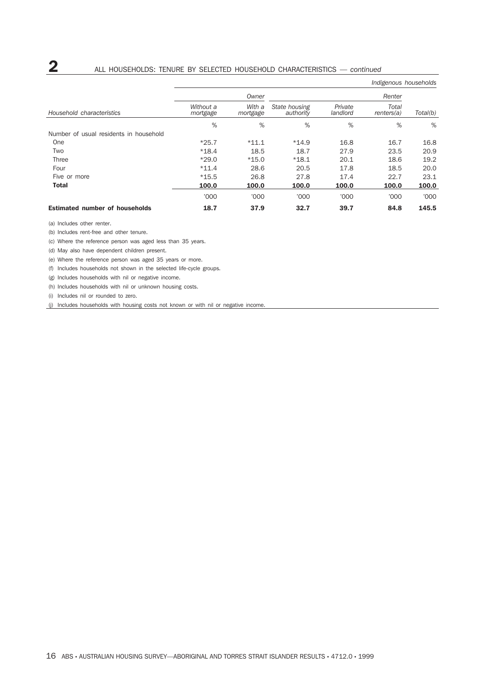|                                        |                       |                    |                            |                     | Indigenous households |          |
|----------------------------------------|-----------------------|--------------------|----------------------------|---------------------|-----------------------|----------|
|                                        |                       | Owner              |                            |                     | Renter                |          |
| Household characteristics              | Without a<br>mortgage | With a<br>mortgage | State housing<br>authority | Private<br>landlord | Total<br>renters(a)   | Total(b) |
|                                        | %                     | %                  | %                          | %                   | %                     | %        |
| Number of usual residents in household |                       |                    |                            |                     |                       |          |
| One                                    | $*25.7$               | $*11.1$            | $*14.9$                    | 16.8                | 16.7                  | 16.8     |
| Two                                    | $*18.4$               | 18.5               | 18.7                       | 27.9                | 23.5                  | 20.9     |
| Three                                  | $*29.0$               | $*15.0$            | $*18.1$                    | 20.1                | 18.6                  | 19.2     |
| Four                                   | $*11.4$               | 28.6               | 20.5                       | 17.8                | 18.5                  | 20.0     |
| Five or more                           | $*15.5$               | 26.8               | 27.8                       | 17.4                | 22.7                  | 23.1     |
| <b>Total</b>                           | 100.0                 | 100.0              | 100.0                      | 100.0               | 100.0                 | 100.0    |
|                                        | '000                  | '000               | '000                       | '000                | '000                  | '000     |
| <b>Estimated number of households</b>  | 18.7                  | 37.9               | 32.7                       | 39.7                | 84.8                  | 145.5    |

(a) Includes other renter.

(b) Includes rent-free and other tenure.

(c) Where the reference person was aged less than 35 years.

(d) May also have dependent children present.

(e) Where the reference person was aged 35 years or more.

(f) Includes households not shown in the selected life-cycle groups.

(g) Includes households with nil or negative income.

(h) Includes households with nil or unknown housing costs.

(i) Includes nil or rounded to zero.

(j) Includes households with housing costs not known or with nil or negative income.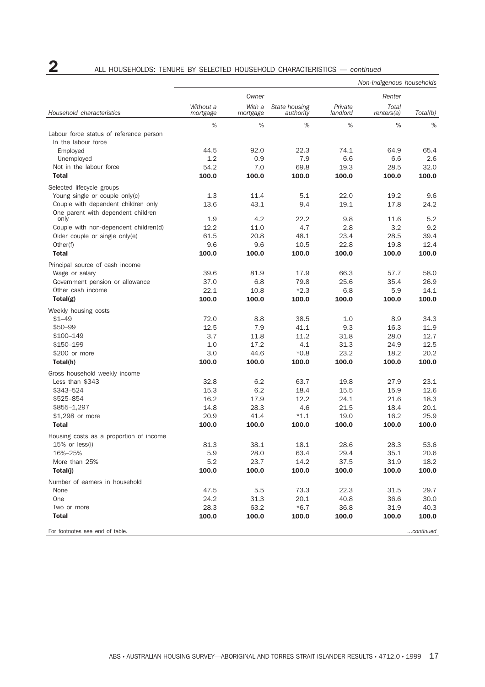# **2** ALL HOUSEHOLDS: TENURE BY SELECTED HOUSEHOLD CHARACTERISTICS — *continued*

|                                                   | Non-Indigenous households |                    |                            |                     |                     |               |
|---------------------------------------------------|---------------------------|--------------------|----------------------------|---------------------|---------------------|---------------|
|                                                   |                           | Owner              |                            |                     | Renter              |               |
| Household characteristics                         | Without a<br>mortgage     | With a<br>mortgage | State housing<br>authority | Private<br>landlord | Total<br>renters(a) | Total(b)      |
|                                                   | %                         | %                  | %                          | %                   | %                   | %             |
| Labour force status of reference person           |                           |                    |                            |                     |                     |               |
| In the labour force                               |                           |                    |                            |                     |                     |               |
| Employed                                          | 44.5                      | 92.0               | 22.3                       | 74.1                | 64.9                | 65.4          |
| Unemployed                                        | 1.2                       | 0.9                | 7.9                        | 6.6                 | 6.6                 | 2.6           |
| Not in the labour force                           | 54.2                      | 7.0                | 69.8                       | 19.3                | 28.5                | 32.0          |
| <b>Total</b>                                      | 100.0                     | 100.0              | 100.0                      | 100.0               | 100.0               | 100.0         |
| Selected lifecycle groups                         |                           |                    |                            |                     |                     |               |
| Young single or couple only(c)                    | 1.3                       | 11.4               | 5.1                        | 22.0                | 19.2                | 9.6           |
| Couple with dependent children only               | 13.6                      | 43.1               | 9.4                        | 19.1                | 17.8                | 24.2          |
| One parent with dependent children<br>only        | 1.9                       | 4.2                | 22.2                       | 9.8                 | 11.6                | 5.2           |
| Couple with non-dependent children(d)             | 12.2                      | 11.0               | 4.7                        | 2.8                 | 3.2                 | 9.2           |
| Older couple or single only(e)                    | 61.5                      | 20.8               | 48.1                       | 23.4                | 28.5                | 39.4          |
| Other(f)                                          | 9.6                       | 9.6                | 10.5                       | 22.8                | 19.8                | 12.4          |
| <b>Total</b>                                      | 100.0                     | 100.0              | 100.0                      | 100.0               | 100.0               | 100.0         |
|                                                   |                           |                    |                            |                     |                     |               |
| Principal source of cash income<br>Wage or salary | 39.6                      | 81.9               | 17.9                       | 66.3                | 57.7                | 58.0          |
| Government pension or allowance                   | 37.0                      | 6.8                | 79.8                       | 25.6                | 35.4                | 26.9          |
| Other cash income                                 | 22.1                      | 10.8               | $*2.3$                     | 6.8                 | 5.9                 | 14.1          |
| Total(g)                                          | 100.0                     | 100.0              | 100.0                      | 100.0               | 100.0               | 100.0         |
|                                                   |                           |                    |                            |                     |                     |               |
| Weekly housing costs                              |                           |                    |                            |                     |                     |               |
| $$1 - 49$                                         | 72.0                      | 8.8                | 38.5                       | 1.0                 | 8.9                 | 34.3          |
| $$50 - 99$<br>\$100-149                           | 12.5<br>3.7               | 7.9                | 41.1<br>11.2               | 9.3                 | 16.3<br>28.0        | 11.9<br>12.7  |
| \$150-199                                         | 1.0                       | 11.8<br>17.2       | 4.1                        | 31.8<br>31.3        | 24.9                | 12.5          |
| \$200 or more                                     | 3.0                       | 44.6               | $*0.8$                     | 23.2                | 18.2                | 20.2          |
| Total(h)                                          | 100.0                     | 100.0              | 100.0                      | 100.0               | 100.0               | 100.0         |
|                                                   |                           |                    |                            |                     |                     |               |
| Gross household weekly income                     |                           |                    |                            |                     |                     |               |
| Less than \$343                                   | 32.8                      | 6.2                | 63.7                       | 19.8                | 27.9                | 23.1          |
| \$343-524<br>\$525-854                            | 15.3<br>16.2              | 6.2<br>17.9        | 18.4<br>12.2               | 15.5<br>24.1        | 15.9<br>21.6        | 12.6<br>18.3  |
| \$855-1,297                                       | 14.8                      | 28.3               | 4.6                        | 21.5                | 18.4                | 20.1          |
| \$1,298 or more                                   | 20.9                      | 41.4               | $*1.1$                     | 19.0                | 16.2                | 25.9          |
| <b>Total</b>                                      | 100.0                     | 100.0              | 100.0                      | 100.0               | 100.0               | 100.0         |
|                                                   |                           |                    |                            |                     |                     |               |
| Housing costs as a proportion of income           |                           | 38.1               |                            | 28.6                |                     | 53.6          |
| 15% or less(i)<br>16%-25%                         | 81.3<br>5.9               | 28.0               | 18.1<br>63.4               | 29.4                | 28.3<br>35.1        | 20.6          |
| More than 25%                                     | 5.2                       | 23.7               | 14.2                       | 37.5                | 31.9                | 18.2          |
| Total(j)                                          | 100.0                     | 100.0              | 100.0                      | 100.0               | 100.0               | 100.0         |
|                                                   |                           |                    |                            |                     |                     |               |
| Number of earners in household                    |                           |                    |                            |                     |                     |               |
| None                                              | 47.5                      | 5.5                | 73.3                       | 22.3                | 31.5                | 29.7          |
| One                                               | 24.2                      | 31.3               | 20.1                       | 40.8                | 36.6                | 30.0          |
| Two or more<br><b>Total</b>                       | 28.3<br>100.0             | 63.2<br>100.0      | $*6.7$<br>100.0            | 36.8<br>100.0       | 31.9<br>100.0       | 40.3<br>100.0 |
|                                                   |                           |                    |                            |                     |                     |               |
| For footnotes see end of table.                   |                           |                    |                            |                     |                     | continued     |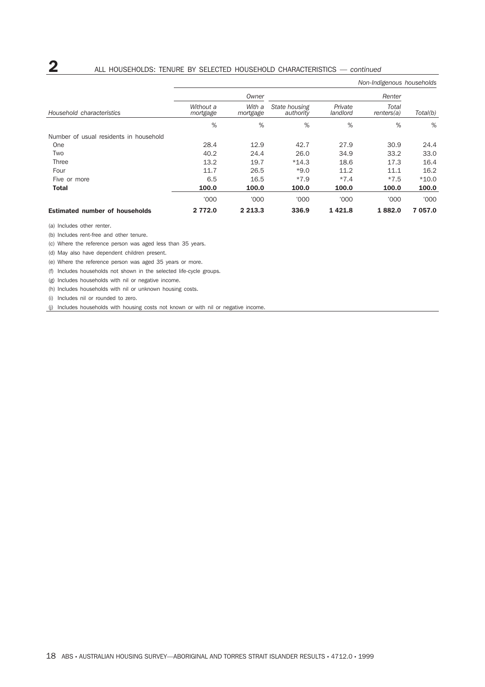## **2** ALL HOUSEHOLDS: TENURE BY SELECTED HOUSEHOLD CHARACTERISTICS — *continued*

|                                        |                       |                    |                            |                     | Non-Indigenous households |          |
|----------------------------------------|-----------------------|--------------------|----------------------------|---------------------|---------------------------|----------|
|                                        |                       | Owner              |                            |                     | Renter                    |          |
| Household characteristics              | Without a<br>mortgage | With a<br>mortgage | State housing<br>authority | Private<br>landlord | Total<br>renters(a)       | Total(b) |
|                                        | %                     | %                  | %                          | %                   | %                         | %        |
| Number of usual residents in household |                       |                    |                            |                     |                           |          |
| <b>One</b>                             | 28.4                  | 12.9               | 42.7                       | 27.9                | 30.9                      | 24.4     |
| Two                                    | 40.2                  | 24.4               | 26.0                       | 34.9                | 33.2                      | 33.0     |
| Three                                  | 13.2                  | 19.7               | $*14.3$                    | 18.6                | 17.3                      | 16.4     |
| Four                                   | 11.7                  | 26.5               | $*9.0$                     | 11.2                | 11.1                      | 16.2     |
| Five or more                           | 6.5                   | 16.5               | $*7.9$                     | $*7.4$              | $*7.5$                    | $*10.0$  |
| <b>Total</b>                           | 100.0                 | 100.0              | 100.0                      | 100.0               | 100.0                     | 100.0    |
|                                        | '000                  | '000               | '000                       | '000                | '000                      | '000     |
| <b>Estimated number of households</b>  | 2 772.0               | 2 2 1 3 . 3        | 336.9                      | 1421.8              | 1882.0                    | 7 057.0  |

(a) Includes other renter.

(b) Includes rent-free and other tenure.

(c) Where the reference person was aged less than 35 years.

(d) May also have dependent children present.

(e) Where the reference person was aged 35 years or more.

(f) Includes households not shown in the selected life-cycle groups.

(g) Includes households with nil or negative income.

(h) Includes households with nil or unknown housing costs.

(i) Includes nil or rounded to zero.

(j) Includes households with housing costs not known or with nil or negative income.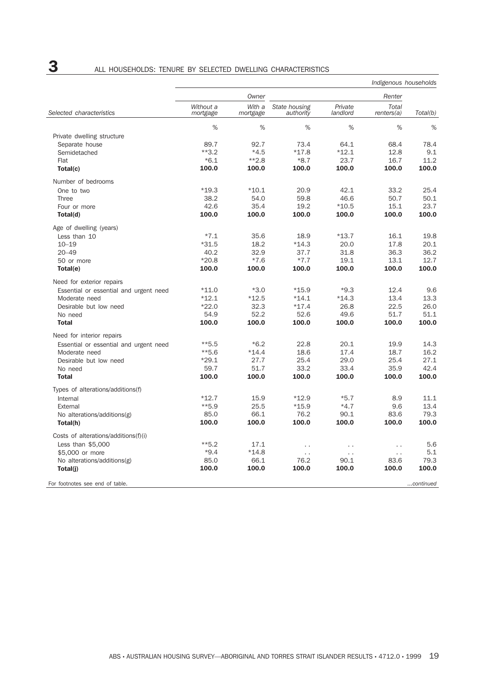|                                        |                       |                    |                            |                     | Indigenous households      |           |
|----------------------------------------|-----------------------|--------------------|----------------------------|---------------------|----------------------------|-----------|
|                                        |                       | Owner              |                            | Renter              |                            |           |
| Selected characteristics               | Without a<br>mortgage | With a<br>mortgage | State housing<br>authority | Private<br>landlord | <b>Total</b><br>renters(a) | Total(b)  |
|                                        | %                     | $\%$               | %                          | %                   | %                          | %         |
| Private dwelling structure             |                       |                    |                            |                     |                            |           |
| Separate house                         | 89.7                  | 92.7               | 73.4                       | 64.1                | 68.4                       | 78.4      |
| Semidetached                           | $**3.2$               | $*4.5$             | $*17.8$                    | $*12.1$             | 12.8                       | 9.1       |
| Flat                                   | $*6.1$                | $*2.8$             | $*8.7$                     | 23.7                | 16.7                       | 11.2      |
| Total(c)                               | 100.0                 | 100.0              | 100.0                      | 100.0               | 100.0                      | 100.0     |
| Number of bedrooms                     |                       |                    |                            |                     |                            |           |
| One to two                             | $*19.3$               | $*10.1$            | 20.9                       | 42.1                | 33.2                       | 25.4      |
| Three                                  | 38.2                  | 54.0               | 59.8                       | 46.6                | 50.7                       | 50.1      |
| Four or more                           | 42.6                  | 35.4               | 19.2                       | $*10.5$             | 15.1                       | 23.7      |
| Total(d)                               | 100.0                 | 100.0              | 100.0                      | 100.0               | 100.0                      | 100.0     |
| Age of dwelling (years)                |                       |                    |                            |                     |                            |           |
| Less than 10                           | $*7.1$                | 35.6               | 18.9                       | $*13.7$             | 16.1                       | 19.8      |
| $10 - 19$                              | $*31.5$               | 18.2               | $*14.3$                    | 20.0                | 17.8                       | 20.1      |
| $20 - 49$                              | 40.2                  | 32.9               | 37.7                       | 31.8                | 36.3                       | 36.2      |
| 50 or more                             | $*20.8$               | $*7.6$             | $*7.7$                     | 19.1                | 13.1                       | 12.7      |
| Total(e)                               | 100.0                 | 100.0              | 100.0                      | 100.0               | 100.0                      | 100.0     |
| Need for exterior repairs              |                       |                    |                            |                     |                            |           |
| Essential or essential and urgent need | $*11.0$               | $*3.0$             | $*15.9$                    | $*9.3$              | 12.4                       | 9.6       |
| Moderate need                          | $*12.1$               | $*12.5$            | $*14.1$                    | $*14.3$             | 13.4                       | 13.3      |
| Desirable but low need                 | $*22.0$               | 32.3               | $*17.4$                    | 26.8                | 22.5                       | 26.0      |
| No need                                | 54.9                  | 52.2               | 52.6                       | 49.6                | 51.7                       | 51.1      |
| <b>Total</b>                           | 100.0                 | 100.0              | 100.0                      | 100.0               | 100.0                      | 100.0     |
| Need for interior repairs              |                       |                    |                            |                     |                            |           |
| Essential or essential and urgent need | $**5.5$               | $*6.2$             | 22.8                       | 20.1                | 19.9                       | 14.3      |
| Moderate need                          | $**5.6$               | $*14.4$            | 18.6                       | 17.4                | 18.7                       | 16.2      |
| Desirable but low need                 | $*29.1$               | 27.7               | 25.4                       | 29.0                | 25.4                       | 27.1      |
| No need                                | 59.7                  | 51.7               | 33.2                       | 33.4                | 35.9                       | 42.4      |
| <b>Total</b>                           | 100.0                 | 100.0              | 100.0                      | 100.0               | 100.0                      | 100.0     |
| Types of alterations/additions(f)      |                       |                    |                            |                     |                            |           |
| Internal                               | $*12.7$               | 15.9               | $*12.9$                    | $*5.7$              | 8.9                        | 11.1      |
| External                               | $**$ 5.9              | 25.5               | $*15.9$                    | $*4.7$              | 9.6                        | 13.4      |
| No alterations/additions(g)            | 85.0                  | 66.1               | 76.2                       | 90.1                | 83.6                       | 79.3      |
| Total(h)                               | 100.0                 | 100.0              | 100.0                      | 100.0               | 100.0                      | 100.0     |
| Costs of alterations/additions(f)(i)   |                       |                    |                            |                     |                            |           |
| Less than \$5,000                      | $**5.2$               | 17.1               | $\ddotsc$                  | г.                  | $\ddot{\phantom{0}}$       | 5.6       |
| \$5,000 or more                        | $*9.4$                | $*14.8$            | $\sim$ $\sim$              | г.                  | $\ddot{\phantom{0}}$       | 5.1       |
| No alterations/additions(g)            | 85.0                  | 66.1               | 76.2                       | 90.1                | 83.6                       | 79.3      |
| Total(j)                               | 100.0                 | 100.0              | 100.0                      | 100.0               | 100.0                      | 100.0     |
| For footnotes see end of table.        |                       |                    |                            |                     |                            | continued |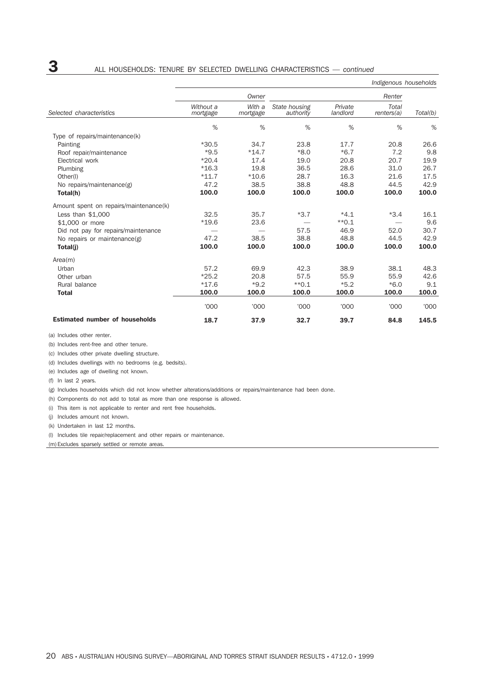|                                        |                       |                    |                            |                     | Indigenous households |          |
|----------------------------------------|-----------------------|--------------------|----------------------------|---------------------|-----------------------|----------|
|                                        |                       | Owner              |                            |                     | Renter                |          |
| Selected characteristics               | Without a<br>mortgage | With a<br>mortgage | State housing<br>authority | Private<br>landlord | Total<br>renters(a)   | Total(b) |
|                                        | %                     | %                  | %                          | %                   | %                     | %        |
| Type of repairs/maintenance(k)         |                       |                    |                            |                     |                       |          |
| Painting                               | $*30.5$               | 34.7               | 23.8                       | 17.7                | 20.8                  | 26.6     |
| Roof repair/maintenance                | $*9.5$                | $*14.7$            | $*8.0$                     | $*6.7$              | 7.2                   | 9.8      |
| Electrical work                        | $*20.4$               | 17.4               | 19.0                       | 20.8                | 20.7                  | 19.9     |
| Plumbing                               | $*16.3$               | 19.8               | 36.5                       | 28.6                | 31.0                  | 26.7     |
| Other(I)                               | $*11.7$               | $*10.6$            | 28.7                       | 16.3                | 21.6                  | 17.5     |
| No repairs/maintenance(g)              | 47.2                  | 38.5               | 38.8                       | 48.8                | 44.5                  | 42.9     |
| Total(h)                               | 100.0                 | 100.0              | 100.0                      | 100.0               | 100.0                 | 100.0    |
| Amount spent on repairs/maintenance(k) |                       |                    |                            |                     |                       |          |
| Less than $$1,000$                     | 32.5                  | 35.7               | $*3.7$                     | $*4.1$              | $*3.4$                | 16.1     |
| \$1,000 or more                        | $*19.6$               | 23.6               |                            | $*$ 0.1             |                       | 9.6      |
| Did not pay for repairs/maintenance    |                       |                    | 57.5                       | 46.9                | 52.0                  | 30.7     |
| No repairs or maintenance(g)           | 47.2                  | 38.5               | 38.8                       | 48.8                | 44.5                  | 42.9     |
| Total(j)                               | 100.0                 | 100.0              | 100.0                      | 100.0               | 100.0                 | 100.0    |
| Area(m)                                |                       |                    |                            |                     |                       |          |
| Urban                                  | 57.2                  | 69.9               | 42.3                       | 38.9                | 38.1                  | 48.3     |
| Other urban                            | $*25.2$               | 20.8               | 57.5                       | 55.9                | 55.9                  | 42.6     |
| Rural balance                          | $*17.6$               | $*9.2$             | $*$ 0.1                    | $*5.2$              | $*6.0$                | 9.1      |
| <b>Total</b>                           | 100.0                 | 100.0              | 100.0                      | 100.0               | 100.0                 | 100.0    |
|                                        | '000                  | '000               | '000                       | '000                | '000                  | '000     |
| <b>Estimated number of households</b>  | 18.7                  | 37.9               | 32.7                       | 39.7                | 84.8                  | 145.5    |

(a) Includes other renter.

(b) Includes rent-free and other tenure.

(c) Includes other private dwelling structure.

(d) Includes dwellings with no bedrooms (e.g. bedsits).

(e) Includes age of dwelling not known.

(f) In last 2 years.

(g) Includes households which did not know whether alterations/additions or repairs/maintenance had been done.

(h) Components do not add to total as more than one response is allowed.

(i) This item is not applicable to renter and rent free households.

(j) Includes amount not known.

(k) Undertaken in last 12 months.

(l) Includes tile repair/replacement and other repairs or maintenance.

(m) Excludes sparsely settled or remote areas.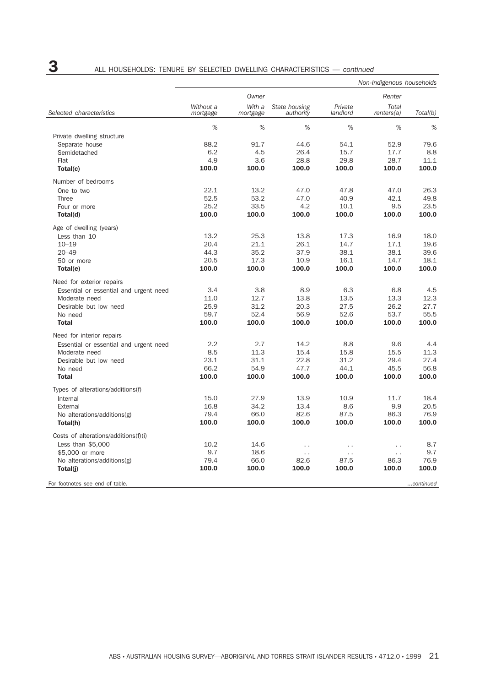|                                        |                       |                    |                            |                     | Non-Indigenous households |           |
|----------------------------------------|-----------------------|--------------------|----------------------------|---------------------|---------------------------|-----------|
|                                        |                       | Owner              |                            |                     | Renter                    | Total(b)  |
| Selected characteristics               | Without a<br>mortgage | With a<br>mortgage | State housing<br>authority | Private<br>landlord | Total<br>renters(a)       |           |
|                                        | %                     | $\%$               | %                          | %                   | $\%$                      | %         |
| Private dwelling structure             |                       |                    |                            |                     |                           |           |
| Separate house                         | 88.2                  | 91.7               | 44.6                       | 54.1                | 52.9                      | 79.6      |
| Semidetached                           | 6.2                   | 4.5                | 26.4                       | 15.7                | 17.7                      | 8.8       |
| Flat                                   | 4.9                   | 3.6                | 28.8                       | 29.8                | 28.7                      | 11.1      |
| Total(c)                               | 100.0                 | 100.0              | 100.0                      | 100.0               | 100.0                     | 100.0     |
| Number of bedrooms                     |                       |                    |                            |                     |                           |           |
| One to two                             | 22.1                  | 13.2               | 47.0                       | 47.8                | 47.0                      | 26.3      |
| <b>Three</b>                           | 52.5                  | 53.2               | 47.0                       | 40.9                | 42.1                      | 49.8      |
| Four or more                           | 25.2                  | 33.5               | 4.2                        | 10.1                | 9.5                       | 23.5      |
| Total(d)                               | 100.0                 | 100.0              | 100.0                      | 100.0               | 100.0                     | 100.0     |
| Age of dwelling (years)                |                       |                    |                            |                     |                           |           |
| Less than 10                           | 13.2                  | 25.3               | 13.8                       | 17.3                | 16.9                      | 18.0      |
| $10 - 19$                              | 20.4                  | 21.1               | 26.1                       | 14.7                | 17.1                      | 19.6      |
| $20 - 49$                              | 44.3                  | 35.2               | 37.9                       | 38.1                | 38.1                      | 39.6      |
| 50 or more                             | 20.5                  | 17.3               | 10.9                       | 16.1                | 14.7                      | 18.1      |
| Total(e)                               | 100.0                 | 100.0              | 100.0                      | 100.0               | 100.0                     | 100.0     |
| Need for exterior repairs              |                       |                    |                            |                     |                           |           |
| Essential or essential and urgent need | 3.4                   | 3.8                | 8.9                        | 6.3                 | 6.8                       | 4.5       |
| Moderate need                          | 11.0                  | 12.7               | 13.8                       | 13.5                | 13.3                      | 12.3      |
| Desirable but low need                 | 25.9                  | 31.2               | 20.3                       | 27.5                | 26.2                      | 27.7      |
| No need                                | 59.7                  | 52.4               | 56.9                       | 52.6                | 53.7                      | 55.5      |
| <b>Total</b>                           | 100.0                 | 100.0              | 100.0                      | 100.0               | 100.0                     | 100.0     |
| Need for interior repairs              |                       |                    |                            |                     |                           |           |
| Essential or essential and urgent need | 2.2                   | 2.7                | 14.2                       | 8.8                 | 9.6                       | 4.4       |
| Moderate need                          | 8.5                   | 11.3               | 15.4                       | 15.8                | 15.5                      | 11.3      |
| Desirable but low need                 | 23.1                  | 31.1               | 22.8                       | 31.2                | 29.4                      | 27.4      |
| No need                                | 66.2                  | 54.9               | 47.7                       | 44.1                | 45.5                      | 56.8      |
| <b>Total</b>                           | 100.0                 | 100.0              | 100.0                      | 100.0               | 100.0                     | 100.0     |
| Types of alterations/additions(f)      |                       |                    |                            |                     |                           |           |
| Internal                               | 15.0                  | 27.9               | 13.9                       | 10.9                | 11.7                      | 18.4      |
| External                               | 16.8                  | 34.2               | 13.4                       | 8.6                 | 9.9                       | 20.5      |
| No alterations/additions(g)            | 79.4                  | 66.0               | 82.6                       | 87.5                | 86.3                      | 76.9      |
| Total(h)                               | 100.0                 | 100.0              | 100.0                      | 100.0               | 100.0                     | 100.0     |
| Costs of alterations/additions(f)(i)   |                       |                    |                            |                     |                           |           |
| Less than \$5,000                      | 10.2                  | 14.6               | $\ddot{\phantom{0}}$       | $\ddotsc$           | $\ddot{\phantom{0}}$      | 8.7       |
| \$5,000 or more                        | 9.7                   | 18.6               | $\ddot{\phantom{a}}$       | $\sim$              | $\ddot{\phantom{0}}$      | 9.7       |
| No alterations/additions(g)            | 79.4                  | 66.0               | 82.6                       | 87.5                | 86.3                      | 76.9      |
| Total(j)                               | 100.0                 | 100.0              | 100.0                      | 100.0               | 100.0                     | 100.0     |
| For footnotes see end of table.        |                       |                    |                            |                     |                           | continued |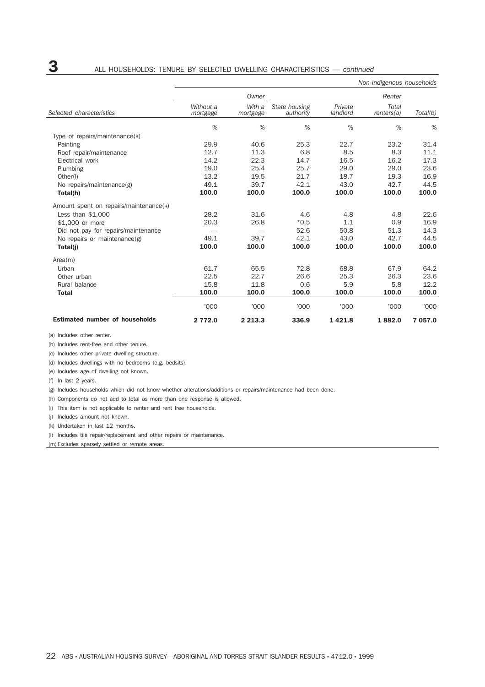|                                        |                       |                    |                            |                     | Non-Indigenous households |          |  |
|----------------------------------------|-----------------------|--------------------|----------------------------|---------------------|---------------------------|----------|--|
|                                        |                       | Owner              |                            |                     | Renter                    |          |  |
| Selected characteristics               | Without a<br>mortgage | With a<br>mortgage | State housing<br>authority | Private<br>landlord | Total<br>renters(a)       | Total(b) |  |
|                                        | %                     | %                  | %                          | %                   | %                         | %        |  |
| Type of repairs/maintenance(k)         |                       |                    |                            |                     |                           |          |  |
| Painting                               | 29.9                  | 40.6               | 25.3                       | 22.7                | 23.2                      | 31.4     |  |
| Roof repair/maintenance                | 12.7                  | 11.3               | 6.8                        | 8.5                 | 8.3                       | 11.1     |  |
| Electrical work                        | 14.2                  | 22.3               | 14.7                       | 16.5                | 16.2                      | 17.3     |  |
| Plumbing                               | 19.0                  | 25.4               | 25.7                       | 29.0                | 29.0                      | 23.6     |  |
| Other(I)                               | 13.2                  | 19.5               | 21.7                       | 18.7                | 19.3                      | 16.9     |  |
| No repairs/maintenance(g)              | 49.1                  | 39.7               | 42.1                       | 43.0                | 42.7                      | 44.5     |  |
| Total(h)                               | 100.0                 | 100.0              | 100.0                      | 100.0               | 100.0                     | 100.0    |  |
| Amount spent on repairs/maintenance(k) |                       |                    |                            |                     |                           |          |  |
| Less than $$1,000$                     | 28.2                  | 31.6               | 4.6                        | 4.8                 | 4.8                       | 22.6     |  |
| \$1,000 or more                        | 20.3                  | 26.8               | $*0.5$                     | 1.1                 | 0.9                       | 16.9     |  |
| Did not pay for repairs/maintenance    |                       |                    | 52.6                       | 50.8                | 51.3                      | 14.3     |  |
| No repairs or maintenance(g)           | 49.1                  | 39.7               | 42.1                       | 43.0                | 42.7                      | 44.5     |  |
| Total(j)                               | 100.0                 | 100.0              | 100.0                      | 100.0               | 100.0                     | 100.0    |  |
| Area(m)                                |                       |                    |                            |                     |                           |          |  |
| Urban                                  | 61.7                  | 65.5               | 72.8                       | 68.8                | 67.9                      | 64.2     |  |
| Other urban                            | 22.5                  | 22.7               | 26.6                       | 25.3                | 26.3                      | 23.6     |  |
| Rural balance                          | 15.8                  | 11.8               | 0.6                        | 5.9                 | 5.8                       | 12.2     |  |
| <b>Total</b>                           | 100.0                 | 100.0              | 100.0                      | 100.0               | 100.0                     | 100.0    |  |
|                                        | '000                  | '000               | '000                       | '000                | '000                      | '000     |  |
| <b>Estimated number of households</b>  | 2 772.0               | 2 2 1 3 . 3        | 336.9                      | 1421.8              | 1882.0                    | 7 057.0  |  |

(a) Includes other renter.

(b) Includes rent-free and other tenure.

(c) Includes other private dwelling structure.

(d) Includes dwellings with no bedrooms (e.g. bedsits).

(e) Includes age of dwelling not known.

(f) In last 2 years.

(g) Includes households which did not know whether alterations/additions or repairs/maintenance had been done.

(h) Components do not add to total as more than one response is allowed.

(i) This item is not applicable to renter and rent free households.

(j) Includes amount not known.

(k) Undertaken in last 12 months.

(l) Includes tile repair/replacement and other repairs or maintenance.

(m) Excludes sparsely settled or remote areas.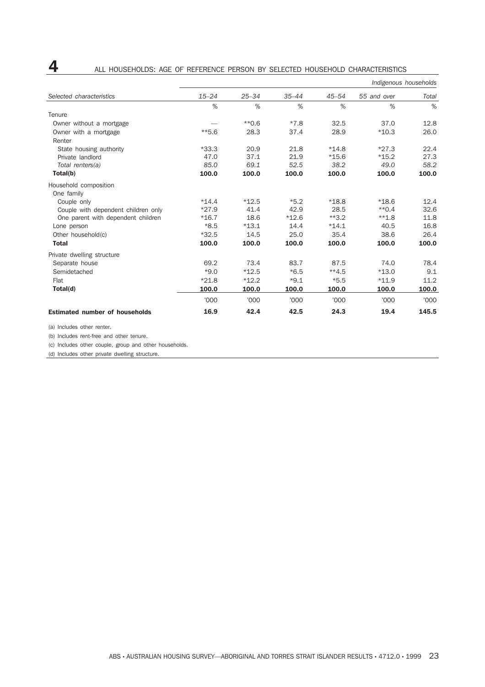|                                       |           |           |           |           | Indigenous households |       |
|---------------------------------------|-----------|-----------|-----------|-----------|-----------------------|-------|
| Selected characteristics              | $15 - 24$ | $25 - 34$ | $35 - 44$ | $45 - 54$ | 55 and over           | Total |
|                                       | %         | %         | %         | %         | %                     | %     |
| Tenure                                |           |           |           |           |                       |       |
| Owner without a mortgage              |           | $*0.6$    | $*7.8$    | 32.5      | 37.0                  | 12.8  |
| Owner with a mortgage                 | $**5.6$   | 28.3      | 37.4      | 28.9      | $*10.3$               | 26.0  |
| Renter                                |           |           |           |           |                       |       |
| State housing authority               | $*33.3$   | 20.9      | 21.8      | $*14.8$   | $*27.3$               | 22.4  |
| Private landlord                      | 47.0      | 37.1      | 21.9      | $*15.6$   | $*15.2$               | 27.3  |
| Total renters(a)                      | 85.0      | 69.1      | 52.5      | 38.2      | 49.0                  | 58.2  |
| Total(b)                              | 100.0     | 100.0     | 100.0     | 100.0     | 100.0                 | 100.0 |
| Household composition<br>One family   |           |           |           |           |                       |       |
| Couple only                           | $*14.4$   | $*12.5$   | $*5.2$    | $*18.8$   | $*18.6$               | 12.4  |
| Couple with dependent children only   | $*27.9$   | 41.4      | 42.9      | 28.5      | $*$ 0.4               | 32.6  |
| One parent with dependent children    | $*16.7$   | 18.6      | $*12.6$   | $**3.2$   | $**1.8$               | 11.8  |
| Lone person                           | $*8.5$    | $*13.1$   | 14.4      | $*14.1$   | 40.5                  | 16.8  |
| Other household(c)                    | $*32.5$   | 14.5      | 25.0      | 35.4      | 38.6                  | 26.4  |
| <b>Total</b>                          | 100.0     | 100.0     | 100.0     | 100.0     | 100.0                 | 100.0 |
| Private dwelling structure            |           |           |           |           |                       |       |
| Separate house                        | 69.2      | 73.4      | 83.7      | 87.5      | 74.0                  | 78.4  |
| Semidetached                          | $*9.0$    | $*12.5$   | $*6.5$    | $**4.5$   | $*13.0$               | 9.1   |
| Flat                                  | $*21.8$   | $*12.2$   | $*9.1$    | $*5.5$    | $*11.9$               | 11.2  |
| Total(d)                              | 100.0     | 100.0     | 100.0     | 100.0     | 100.0                 | 100.0 |
|                                       | '000      | '000      | '000      | '000      | '000                  | '000  |
| <b>Estimated number of households</b> | 16.9      | 42.4      | 42.5      | 24.3      | 19.4                  | 145.5 |

## **4** ALL HOUSEHOLDS: AGE OF REFERENCE PERSON BY SELECTED HOUSEHOLD CHARACTERISTICS

(a) Includes other renter.

(b) Includes rent-free and other tenure.

(c) Includes other couple, group and other households.

(d) Includes other private dwelling structure.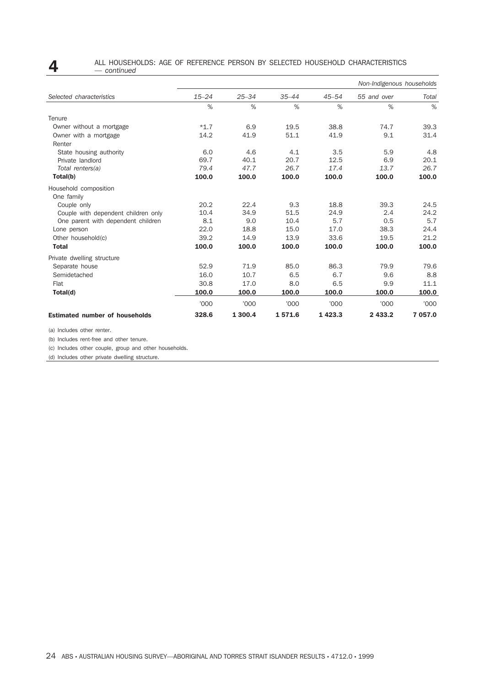### **4** ALL HOUSEHOLDS: AGE OF REFERENCE PERSON BY SELECTED HOUSEHOLD CHARACTERISTICS — *continued*

|                                       |           |           |           |           | Non-Indigenous households |         |
|---------------------------------------|-----------|-----------|-----------|-----------|---------------------------|---------|
| Selected characteristics              | $15 - 24$ | $25 - 34$ | $35 - 44$ | $45 - 54$ | 55 and over               | Total   |
|                                       | $\%$      | $\%$      | $\%$      | $\%$      | $\%$                      | $\%$    |
| Tenure                                |           |           |           |           |                           |         |
| Owner without a mortgage              | $*1.7$    | 6.9       | 19.5      | 38.8      | 74.7                      | 39.3    |
| Owner with a mortgage                 | 14.2      | 41.9      | 51.1      | 41.9      | 9.1                       | 31.4    |
| Renter                                |           |           |           |           |                           |         |
| State housing authority               | 6.0       | 4.6       | 4.1       | 3.5       | 5.9                       | 4.8     |
| Private landlord                      | 69.7      | 40.1      | 20.7      | 12.5      | 6.9                       | 20.1    |
| Total renters(a)                      | 79.4      | 47.7      | 26.7      | 17.4      | 13.7                      | 26.7    |
| Total(b)                              | 100.0     | 100.0     | 100.0     | 100.0     | 100.0                     | 100.0   |
| Household composition                 |           |           |           |           |                           |         |
| One family                            |           |           |           |           |                           |         |
| Couple only                           | 20.2      | 22.4      | 9.3       | 18.8      | 39.3                      | 24.5    |
| Couple with dependent children only   | 10.4      | 34.9      | 51.5      | 24.9      | 2.4                       | 24.2    |
| One parent with dependent children    | 8.1       | 9.0       | 10.4      | 5.7       | 0.5                       | 5.7     |
| Lone person                           | 22.0      | 18.8      | 15.0      | 17.0      | 38.3                      | 24.4    |
| Other household(c)                    | 39.2      | 14.9      | 13.9      | 33.6      | 19.5                      | 21.2    |
| <b>Total</b>                          | 100.0     | 100.0     | 100.0     | 100.0     | 100.0                     | 100.0   |
| Private dwelling structure            |           |           |           |           |                           |         |
| Separate house                        | 52.9      | 71.9      | 85.0      | 86.3      | 79.9                      | 79.6    |
| Semidetached                          | 16.0      | 10.7      | 6.5       | 6.7       | 9.6                       | 8.8     |
| Flat                                  | 30.8      | 17.0      | 8.0       | 6.5       | 9.9                       | 11.1    |
| Total(d)                              | 100.0     | 100.0     | 100.0     | 100.0     | 100.0                     | 100.0   |
|                                       | '000      | '000      | '000      | '000      | '000                      | '000    |
| <b>Estimated number of households</b> | 328.6     | 1 300.4   | 1571.6    | 1423.3    | 2 433.2                   | 7 057.0 |

(a) Includes other renter.

(b) Includes rent-free and other tenure.

(c) Includes other couple, group and other households.

(d) Includes other private dwelling structure.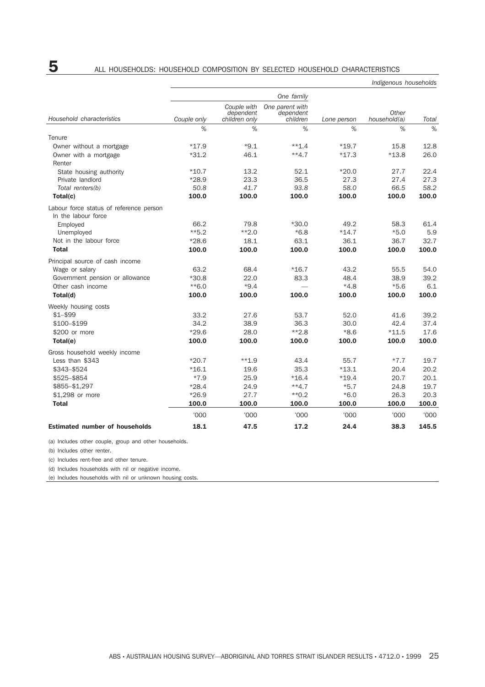|                                                                |             |                                           |                                          |             | Indigenous households |       |
|----------------------------------------------------------------|-------------|-------------------------------------------|------------------------------------------|-------------|-----------------------|-------|
|                                                                |             |                                           | One family                               |             |                       |       |
| Household characteristics                                      | Couple only | Couple with<br>dependent<br>children only | One parent with<br>dependent<br>children | Lone person | Other<br>household(a) | Total |
|                                                                | %           | %                                         | %                                        | %           | %                     | %     |
| Tenure                                                         |             |                                           |                                          |             |                       |       |
| Owner without a mortgage                                       | $*17.9$     | $*9.1$                                    | $**1.4$                                  | $*19.7$     | 15.8                  | 12.8  |
| Owner with a mortgage                                          | $*31.2$     | 46.1                                      | $**4.7$                                  | $*17.3$     | $*13.8$               | 26.0  |
| Renter                                                         |             |                                           |                                          |             |                       |       |
| State housing authority                                        | $*10.7$     | 13.2                                      | 52.1                                     | $*20.0$     | 27.7                  | 22.4  |
| Private landlord                                               | $*28.9$     | 23.3                                      | 36.5                                     | 27.3        | 27.4                  | 27.3  |
| Total renters(b)                                               | 50.8        | 41.7                                      | 93.8                                     | 58.0        | 66.5                  | 58.2  |
| Total(c)                                                       | 100.0       | 100.0                                     | 100.0                                    | 100.0       | 100.0                 | 100.0 |
| Labour force status of reference person<br>In the labour force |             |                                           |                                          |             |                       |       |
| Employed                                                       | 66.2        | 79.8                                      | $*30.0$                                  | 49.2        | 58.3                  | 61.4  |
| Unemployed                                                     | $**5.2$     | $**2.0$                                   | $*6.8$                                   | $*14.7$     | $*5.0$                | 5.9   |
| Not in the labour force                                        | $*28.6$     | 18.1                                      | 63.1                                     | 36.1        | 36.7                  | 32.7  |
| <b>Total</b>                                                   | 100.0       | 100.0                                     | 100.0                                    | 100.0       | 100.0                 | 100.0 |
|                                                                |             |                                           |                                          |             |                       |       |
| Principal source of cash income<br>Wage or salary              | 63.2        | 68.4                                      | $*16.7$                                  | 43.2        | 55.5                  | 54.0  |
| Government pension or allowance                                | $*30.8$     | 22.0                                      | 83.3                                     | 48.4        |                       | 39.2  |
| Other cash income                                              | $**6.0$     | $*9.4$                                    |                                          | $*4.8$      | 38.9<br>$*5.6$        | 6.1   |
|                                                                | 100.0       | 100.0                                     | 100.0                                    | 100.0       | 100.0                 | 100.0 |
| Total(d)                                                       |             |                                           |                                          |             |                       |       |
| Weekly housing costs                                           |             |                                           |                                          |             |                       |       |
| $$1 - $99$                                                     | 33.2        | 27.6                                      | 53.7                                     | 52.0        | 41.6                  | 39.2  |
| \$100-\$199                                                    | 34.2        | 38.9                                      | 36.3                                     | 30.0        | 42.4                  | 37.4  |
| \$200 or more                                                  | $*29.6$     | 28.0                                      | $*2.8$                                   | $*8.6$      | $*11.5$               | 17.6  |
| Total(e)                                                       | 100.0       | 100.0                                     | 100.0                                    | 100.0       | 100.0                 | 100.0 |
| Gross household weekly income                                  |             |                                           |                                          |             |                       |       |
| Less than \$343                                                | $*20.7$     | $***1.9$                                  | 43.4                                     | 55.7        | $*7.7$                | 19.7  |
| \$343-\$524                                                    | $*16.1$     | 19.6                                      | 35.3                                     | $*13.1$     | 20.4                  | 20.2  |
| \$525-\$854                                                    | $*7.9$      | 25.9                                      | $*16.4$                                  | $*19.4$     | 20.7                  | 20.1  |
| \$855-\$1,297                                                  | $*28.4$     | 24.9                                      | $**4.7$                                  | $*5.7$      | 24.8                  | 19.7  |
| \$1,298 or more                                                | $*26.9$     | 27.7                                      | $*$ 0.2                                  | $*6.0$      | 26.3                  | 20.3  |
| <b>Total</b>                                                   | 100.0       | 100.0                                     | 100.0                                    | 100.0       | 100.0                 | 100.0 |
|                                                                | '000        | '000'                                     | '000                                     | 000'        | '000                  | '000  |
| <b>Estimated number of households</b>                          | 18.1        | 47.5                                      | 17.2                                     | 24.4        | 38.3                  | 145.5 |

(a) Includes other couple, group and other households.

(b) Includes other renter.

(c) Includes rent-free and other tenure.

(d) Includes households with nil or negative income.

(e) Includes households with nil or unknown housing costs.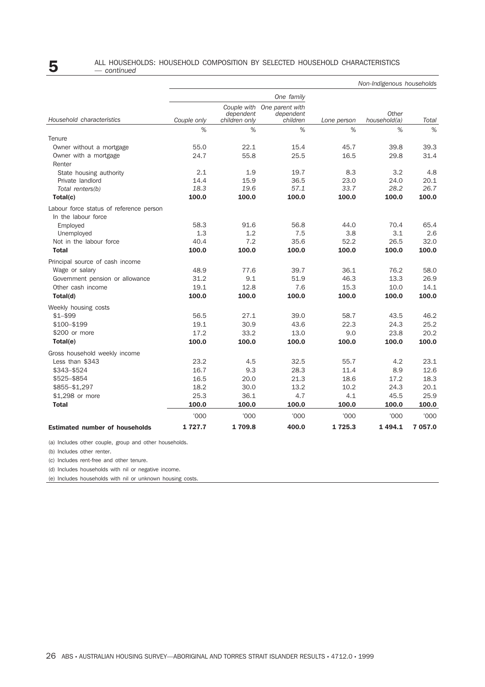# **5** ALL HOUSEHOLDS: HOUSEHOLD COMPOSITION BY SELECTED HOUSEHOLD CHARACTERISTICS  $-$  continued

|  |  |  |  | continued |  |
|--|--|--|--|-----------|--|

|                                                                | Non-Indigenous households |                                           |                                          |             |                       |         |  |  |
|----------------------------------------------------------------|---------------------------|-------------------------------------------|------------------------------------------|-------------|-----------------------|---------|--|--|
|                                                                |                           |                                           | One family                               |             |                       |         |  |  |
| Household characteristics                                      | Couple only               | Couple with<br>dependent<br>children only | One parent with<br>dependent<br>children | Lone person | Other<br>household(a) | Total   |  |  |
|                                                                | %                         | $\%$                                      | %                                        | $\%$        | %                     | %       |  |  |
| Tenure                                                         |                           |                                           |                                          |             |                       |         |  |  |
| Owner without a mortgage                                       | 55.0                      | 22.1                                      | 15.4                                     | 45.7        | 39.8                  | 39.3    |  |  |
| Owner with a mortgage                                          | 24.7                      | 55.8                                      | 25.5                                     | 16.5        | 29.8                  | 31.4    |  |  |
| Renter                                                         |                           |                                           |                                          |             |                       |         |  |  |
| State housing authority                                        | 2.1                       | 1.9                                       | 19.7                                     | 8.3         | 3.2                   | 4.8     |  |  |
| Private landlord                                               | 14.4                      | 15.9                                      | 36.5                                     | 23.0        | 24.0                  | 20.1    |  |  |
| Total renters(b)                                               | 18.3                      | 19.6                                      | 57.1                                     | 33.7        | 28.2                  | 26.7    |  |  |
| Total(c)                                                       | 100.0                     | 100.0                                     | 100.0                                    | 100.0       | 100.0                 | 100.0   |  |  |
| Labour force status of reference person<br>In the labour force |                           |                                           |                                          |             |                       |         |  |  |
| Employed                                                       | 58.3                      | 91.6                                      | 56.8                                     | 44.0        | 70.4                  | 65.4    |  |  |
| Unemployed                                                     | 1.3                       | 1.2                                       | 7.5                                      | 3.8         | 3.1                   | 2.6     |  |  |
| Not in the labour force                                        | 40.4                      | 7.2                                       | 35.6                                     | 52.2        | 26.5                  | 32.0    |  |  |
| <b>Total</b>                                                   | 100.0                     | 100.0                                     | 100.0                                    | 100.0       | 100.0                 | 100.0   |  |  |
| Principal source of cash income                                |                           |                                           |                                          |             |                       |         |  |  |
| Wage or salary                                                 | 48.9                      | 77.6                                      | 39.7                                     | 36.1        | 76.2                  | 58.0    |  |  |
| Government pension or allowance                                | 31.2                      | 9.1                                       | 51.9                                     | 46.3        | 13.3                  | 26.9    |  |  |
| Other cash income                                              | 19.1                      | 12.8                                      | 7.6                                      | 15.3        | 10.0                  | 14.1    |  |  |
| Total(d)                                                       | 100.0                     | 100.0                                     | 100.0                                    | 100.0       | 100.0                 | 100.0   |  |  |
| Weekly housing costs                                           |                           |                                           |                                          |             |                       |         |  |  |
| $$1 - $99$                                                     | 56.5                      | 27.1                                      | 39.0                                     | 58.7        | 43.5                  | 46.2    |  |  |
| \$100-\$199                                                    | 19.1                      | 30.9                                      | 43.6                                     | 22.3        | 24.3                  | 25.2    |  |  |
| \$200 or more                                                  | 17.2                      | 33.2                                      | 13.0                                     | 9.0         | 23.8                  | 20.2    |  |  |
| Total(e)                                                       | 100.0                     | 100.0                                     | 100.0                                    | 100.0       | 100.0                 | 100.0   |  |  |
| Gross household weekly income                                  |                           |                                           |                                          |             |                       |         |  |  |
| Less than \$343                                                | 23.2                      | 4.5                                       | 32.5                                     | 55.7        | 4.2                   | 23.1    |  |  |
| \$343-\$524                                                    | 16.7                      | 9.3                                       | 28.3                                     | 11.4        | 8.9                   | 12.6    |  |  |
| \$525-\$854                                                    | 16.5                      | 20.0                                      | 21.3                                     | 18.6        | 17.2                  | 18.3    |  |  |
| \$855-\$1,297                                                  | 18.2                      | 30.0                                      | 13.2                                     | 10.2        | 24.3                  | 20.1    |  |  |
| \$1,298 or more                                                | 25.3                      | 36.1                                      | 4.7                                      | 4.1         | 45.5                  | 25.9    |  |  |
| <b>Total</b>                                                   | 100.0                     | 100.0                                     | 100.0                                    | 100.0       | 100.0                 | 100.0   |  |  |
|                                                                | '000                      | '000                                      | '000                                     | '000        | '000                  | '000    |  |  |
| <b>Estimated number of households</b>                          | 1727.7                    | 1709.8                                    | 400.0                                    | 1725.3      | 1494.1                | 7 057.0 |  |  |

(a) Includes other couple, group and other households.

(b) Includes other renter.

(c) Includes rent-free and other tenure.

(d) Includes households with nil or negative income.

(e) Includes households with nil or unknown housing costs.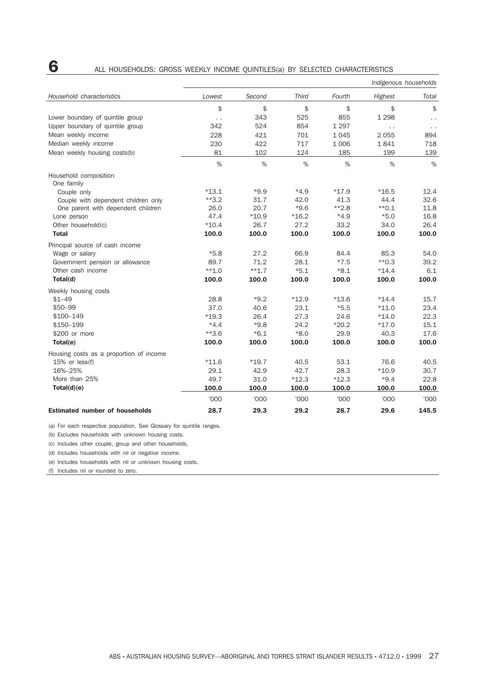|        | I             |  |
|--------|---------------|--|
| ×<br>٠ | ï<br>۰.<br>۰. |  |

### **6** ALL HOUSEHOLDS: GROSS WEEKLY INCOME QUINTILES(a) BY SELECTED CHARACTERISTICS

|                                         |                      |         |              |         | Indigenous households |              |
|-----------------------------------------|----------------------|---------|--------------|---------|-----------------------|--------------|
| Household characteristics               | Lowest               | Second  | <b>Third</b> | Fourth  | Highest               | Total        |
|                                         | \$                   | \$      | \$           | \$      | \$                    | \$           |
| Lower boundary of quintile group        | $\ddot{\phantom{0}}$ | 343     | 525          | 855     | 1 2 9 8               | $\epsilon$ . |
| Upper boundary of quintile group        | 342                  | 524     | 854          | 1 2 9 7 | $\ddotsc$             | $\ddotsc$    |
| Mean weekly income                      | 228                  | 421     | 701          | 1045    | 2 0 5 5               | 894          |
| Median weekly income                    | 230                  | 422     | 717          | 1 0 0 6 | 1841                  | 718          |
| Mean weekly housing costs(b)            | 81                   | 102     | 124          | 185     | 199                   | 139          |
|                                         | %                    | %       | %            | %       | %                     | %            |
| Household composition                   |                      |         |              |         |                       |              |
| One family                              |                      |         |              |         |                       |              |
| Couple only                             | $*13.1$              | $*9.9$  | $*4.9$       | $*17.9$ | $*16.5$               | 12.4         |
| Couple with dependent children only     | $**3.2$              | 31.7    | 42.0         | 41.3    | 44.4                  | 32.6         |
| One parent with dependent children      | 26.0                 | 20.7    | $*9.6$       | $*2.8$  | $*$ 0.1               | 11.8         |
| Lone person                             | 47.4                 | $*10.9$ | $*16.2$      | $*4.9$  | $*5.0$                | 16.8         |
| Other household(c)                      | $*10.4$              | 26.7    | 27.2         | 33.2    | 34.0                  | 26.4         |
| <b>Total</b>                            | 100.0                | 100.0   | 100.0        | 100.0   | 100.0                 | 100.0        |
| Principal source of cash income         |                      |         |              |         |                       |              |
| Wage or salary                          | $*5.8$               | 27.2    | 66.9         | 84.4    | 85.3                  | 54.0         |
| Government pension or allowance         | 89.7                 | 71.2    | 28.1         | $*7.5$  | $*$ 0.3               | 39.2         |
| Other cash income                       | $**1.0$              | $**1.7$ | $*5.1$       | $*8.1$  | $*14.4$               | 6.1          |
| Total(d)                                | 100.0                | 100.0   | 100.0        | 100.0   | 100.0                 | 100.0        |
| Weekly housing costs                    |                      |         |              |         |                       |              |
| $$1 - 49$                               | 28.8                 | $*9.2$  | $*12.9$      | $*13.6$ | $*14.4$               | 15.7         |
| \$50-99                                 | 37.0                 | 40.6    | 23.1         | $*5.5$  | $*11.0$               | 23.4         |
| \$100-149                               | $*19.3$              | 26.4    | 27.3         | 24.6    | $*14.0$               | 22.3         |
| \$150-199                               | $*4.4$               | $*9.8$  | 24.2         | $*20.2$ | $*17.0$               | 15.1         |
| \$200 or more                           | $**3.6$              | $*6.1$  | $*8.0$       | 29.9    | 40.3                  | 17.6         |
| Total(e)                                | 100.0                | 100.0   | 100.0        | 100.0   | 100.0                 | 100.0        |
| Housing costs as a proportion of income |                      |         |              |         |                       |              |
| $15%$ or less(f)                        | $*11.6$              | $*19.7$ | 40.5         | 53.1    | 76.6                  | 40.5         |
| 16%-25%                                 | 29.1                 | 42.9    | 42.7         | 28.3    | $*10.9$               | 30.7         |
| More than 25%                           | 49.7                 | 31.0    | $*12.3$      | $*12.3$ | $*9.4$                | 22.8         |
| Total(d)(e)                             | 100.0                | 100.0   | 100.0        | 100.0   | 100.0                 | 100.0        |
|                                         | '000                 | '000    | '000         | '000    | '000                  | '000         |
| <b>Estimated number of households</b>   | 28.7                 | 29.3    | 29.2         | 28.7    | 29.6                  | 145.5        |

(a) For each respective population. See Glossary for quintile ranges.

(b) Excludes households with unknown housing costs.

(c) Includes other couple, group and other households.

(d) Includes households with nil or negative income.

(e) Includes households with nil or unknown housing costs.

(f) Includes nil or rounded to zero.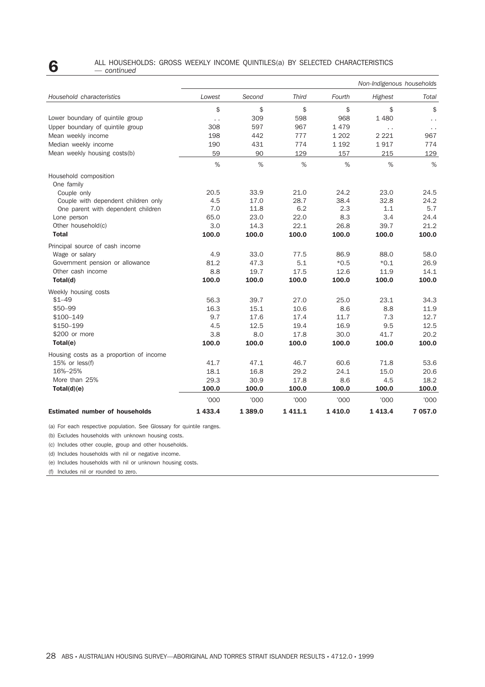### **6** ALL HOUSEHOLDS: GROSS WEEKLY INCOME QUINTILES(a) BY SELECTED CHARACTERISTICS — *continued*

|                                         |        |        |              |         | Non-Indigenous households |           |
|-----------------------------------------|--------|--------|--------------|---------|---------------------------|-----------|
| Household characteristics               | Lowest | Second | <b>Third</b> | Fourth  | Highest                   | Total     |
|                                         | \$     | \$     | \$           | \$      | \$                        | \$        |
| Lower boundary of quintile group        | . .    | 309    | 598          | 968     | 1 4 8 0                   | $\ddotsc$ |
| Upper boundary of quintile group        | 308    | 597    | 967          | 1479    | $\ddotsc$                 | $\ddotsc$ |
| Mean weekly income                      | 198    | 442    | 777          | 1 2 0 2 | 2 2 2 1                   | 967       |
| Median weekly income                    | 190    | 431    | 774          | 1 1 9 2 | 1917                      | 774       |
| Mean weekly housing costs(b)            | 59     | 90     | 129          | 157     | 215                       | 129       |
|                                         | $\%$   | $\%$   | $\%$         | $\%$    | $\%$                      | $\%$      |
| Household composition<br>One family     |        |        |              |         |                           |           |
| Couple only                             | 20.5   | 33.9   | 21.0         | 24.2    | 23.0                      | 24.5      |
| Couple with dependent children only     | 4.5    | 17.0   | 28.7         | 38.4    | 32.8                      | 24.2      |
| One parent with dependent children      | 7.0    | 11.8   | 6.2          | 2.3     | 1.1                       | 5.7       |
| Lone person                             | 65.0   | 23.0   | 22.0         | 8.3     | 3.4                       | 24.4      |
| Other household(c)                      | 3.0    | 14.3   | 22.1         | 26.8    | 39.7                      | 21.2      |
| <b>Total</b>                            | 100.0  | 100.0  | 100.0        | 100.0   | 100.0                     | 100.0     |
| Principal source of cash income         |        |        |              |         |                           |           |
| Wage or salary                          | 4.9    | 33.0   | 77.5         | 86.9    | 88.0                      | 58.0      |
| Government pension or allowance         | 81.2   | 47.3   | 5.1          | $*0.5$  | $*0.1$                    | 26.9      |
| Other cash income                       | 8.8    | 19.7   | 17.5         | 12.6    | 11.9                      | 14.1      |
| Total(d)                                | 100.0  | 100.0  | 100.0        | 100.0   | 100.0                     | 100.0     |
| Weekly housing costs                    |        |        |              |         |                           |           |
| $$1 - 49$                               | 56.3   | 39.7   | 27.0         | 25.0    | 23.1                      | 34.3      |
| \$50-99                                 | 16.3   | 15.1   | 10.6         | 8.6     | 8.8                       | 11.9      |
| \$100–149                               | 9.7    | 17.6   | 17.4         | 11.7    | 7.3                       | 12.7      |
| \$150-199                               | 4.5    | 12.5   | 19.4         | 16.9    | 9.5                       | 12.5      |
| \$200 or more                           | 3.8    | 8.0    | 17.8         | 30.0    | 41.7                      | 20.2      |
| Total(e)                                | 100.0  | 100.0  | 100.0        | 100.0   | 100.0                     | 100.0     |
| Housing costs as a proportion of income |        |        |              |         |                           |           |
| 15% or less(f)                          | 41.7   | 47.1   | 46.7         | 60.6    | 71.8                      | 53.6      |
| 16%-25%                                 | 18.1   | 16.8   | 29.2         | 24.1    | 15.0                      | 20.6      |
| More than 25%                           | 29.3   | 30.9   | 17.8         | 8.6     | 4.5                       | 18.2      |
| Total(d)(e)                             | 100.0  | 100.0  | 100.0        | 100.0   | 100.0                     | 100.0     |
|                                         | '000   | '000   | '000         | '000    | '000                      | '000      |
| <b>Estimated number of households</b>   | 1433.4 | 1389.0 | 1 4 1 1 . 1  | 1410.0  | 1413.4                    | 7 057.0   |

(a) For each respective population. See Glossary for quintile ranges.

(b) Excludes households with unknown housing costs.

(c) Includes other couple, group and other households.

(d) Includes households with nil or negative income.

(e) Includes households with nil or unknown housing costs.

(f) Includes nil or rounded to zero.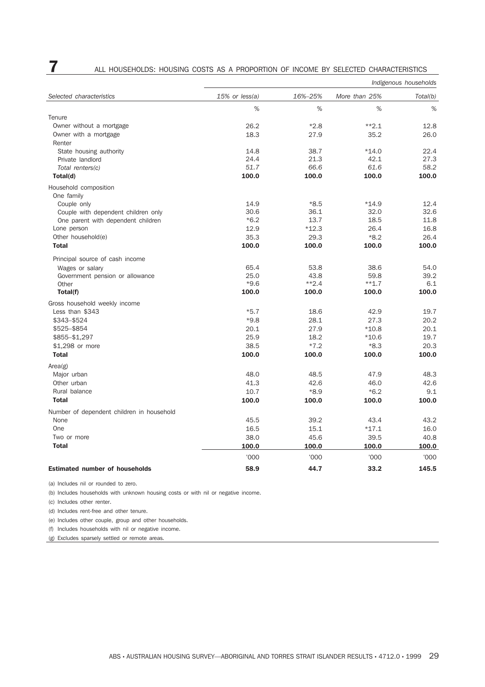|                                           |                  | Indigenous households |               |          |  |  |
|-------------------------------------------|------------------|-----------------------|---------------|----------|--|--|
| Selected characteristics                  | $15%$ or less(a) | 16%-25%               | More than 25% | Total(b) |  |  |
|                                           | %                | %                     | %             | %        |  |  |
| Tenure                                    |                  |                       |               |          |  |  |
| Owner without a mortgage                  | 26.2             | $*2.8$                | $*2.1$        | 12.8     |  |  |
| Owner with a mortgage                     | 18.3             | 27.9                  | 35.2          | 26.0     |  |  |
| Renter                                    |                  |                       |               |          |  |  |
| State housing authority                   | 14.8             | 38.7                  | $*14.0$       | 22.4     |  |  |
| Private landlord                          | 24.4             | 21.3                  | 42.1          | 27.3     |  |  |
| Total renters(c)                          | 51.7             | 66.6                  | 61.6          | 58.2     |  |  |
| Total(d)                                  | 100.0            | 100.0                 | 100.0         | 100.0    |  |  |
| Household composition<br>One family       |                  |                       |               |          |  |  |
| Couple only                               | 14.9             | $*8.5$                | $*14.9$       | 12.4     |  |  |
| Couple with dependent children only       | 30.6             | 36.1                  | 32.0          | 32.6     |  |  |
| One parent with dependent children        | $*6.2$           | 13.7                  | 18.5          | 11.8     |  |  |
| Lone person                               | 12.9             | $*12.3$               | 26.4          | 16.8     |  |  |
| Other household(e)                        | 35.3             | 29.3                  | $*8.2$        | 26.4     |  |  |
| <b>Total</b>                              | 100.0            | 100.0                 | 100.0         | 100.0    |  |  |
| Principal source of cash income           |                  |                       |               |          |  |  |
| Wages or salary                           | 65.4             | 53.8                  | 38.6          | 54.0     |  |  |
| Government pension or allowance           | 25.0             | 43.8                  | 59.8          | 39.2     |  |  |
| Other                                     | $*9.6$           | $*2.4$                | $***1.7$      | 6.1      |  |  |
| Total(f)                                  | 100.0            | 100.0                 | 100.0         | 100.0    |  |  |
| Gross household weekly income             |                  |                       |               |          |  |  |
| Less than \$343                           | $*5.7$           | 18.6                  | 42.9          | 19.7     |  |  |
| \$343-\$524                               | $*9.8$           | 28.1                  | 27.3          | 20.2     |  |  |
| \$525-\$854                               | 20.1             | 27.9                  | $*10.8$       | 20.1     |  |  |
| \$855-\$1,297                             | 25.9             | 18.2                  | $*10.6$       | 19.7     |  |  |
| \$1,298 or more                           | 38.5             | $*7.2$                | $*8.3$        | 20.3     |  |  |
| <b>Total</b>                              | 100.0            | 100.0                 | 100.0         | 100.0    |  |  |
| Area(g)                                   |                  |                       |               |          |  |  |
| Major urban                               | 48.0             | 48.5                  | 47.9          | 48.3     |  |  |
| Other urban                               | 41.3             | 42.6                  | 46.0          | 42.6     |  |  |
| Rural balance                             | 10.7             | $*8.9$                | $*6.2$        | 9.1      |  |  |
| <b>Total</b>                              | 100.0            | 100.0                 | 100.0         | 100.0    |  |  |
| Number of dependent children in household |                  |                       |               |          |  |  |
| None                                      | 45.5             | 39.2                  | 43.4          | 43.2     |  |  |
| One                                       | 16.5             | 15.1                  | $*17.1$       | 16.0     |  |  |
| Two or more                               | 38.0             | 45.6                  | 39.5          | 40.8     |  |  |
| <b>Total</b>                              | 100.0            | 100.0                 | 100.0         | 100.0    |  |  |
|                                           | '000             | '000                  | '000          | '000     |  |  |
| <b>Estimated number of households</b>     | 58.9             | 44.7                  | 33.2          | 145.5    |  |  |
|                                           |                  |                       |               |          |  |  |

# **7** ALL HOUSEHOLDS: HOUSING COSTS AS A PROPORTION OF INCOME BY SELECTED CHARACTERISTICS

(a) Includes nil or rounded to zero.

(b) Includes households with unknown housing costs or with nil or negative income.

(c) Includes other renter.

(d) Includes rent-free and other tenure.

(e) Includes other couple, group and other households.

(f) Includes households with nil or negative income.

(g) Excludes sparsely settled or remote areas.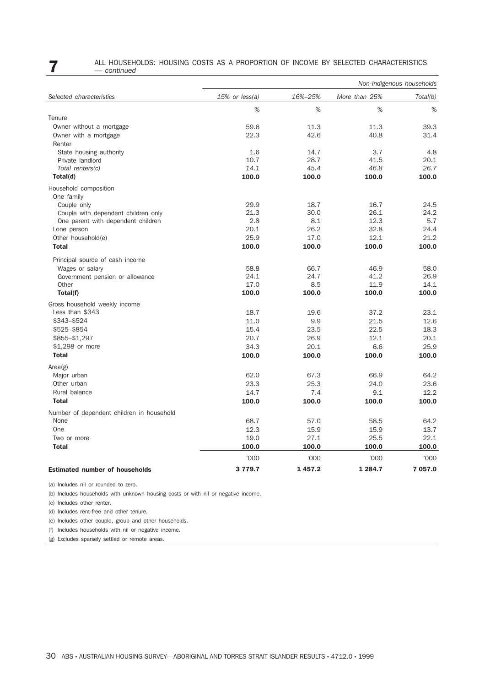### **7** ALL HOUSEHOLDS: HOUSING COSTS AS A PROPORTION OF INCOME BY SELECTED CHARACTERISTICS — *continued*

|                                                   | Non-Indigenous households |         |               |          |  |
|---------------------------------------------------|---------------------------|---------|---------------|----------|--|
| Selected characteristics                          | $15%$ or less(a)          | 16%-25% | More than 25% | Total(b) |  |
|                                                   | %                         | %       | %             | %        |  |
| Tenure                                            |                           |         |               |          |  |
| Owner without a mortgage                          | 59.6                      | 11.3    | 11.3          | 39.3     |  |
| Owner with a mortgage                             | 22.3                      | 42.6    | 40.8          | 31.4     |  |
| Renter                                            |                           |         |               |          |  |
| State housing authority                           | 1.6                       | 14.7    | 3.7           | 4.8      |  |
| Private landlord                                  | 10.7                      | 28.7    | 41.5          | 20.1     |  |
| Total renters(c)                                  | 14.1                      | 45.4    | 46.8          | 26.7     |  |
| Total(d)                                          | 100.0                     | 100.0   | 100.0         | 100.0    |  |
| Household composition                             |                           |         |               |          |  |
| One family                                        |                           |         |               |          |  |
| Couple only                                       | 29.9                      | 18.7    | 16.7          | 24.5     |  |
| Couple with dependent children only               | 21.3                      | 30.0    | 26.1          | 24.2     |  |
| One parent with dependent children                | 2.8                       | 8.1     | 12.3          | 5.7      |  |
| Lone person                                       | 20.1                      | 26.2    | 32.8          | 24.4     |  |
| Other household(e)                                | 25.9                      | 17.0    | 12.1          | 21.2     |  |
| <b>Total</b>                                      | 100.0                     | 100.0   | 100.0         | 100.0    |  |
| Principal source of cash income                   |                           |         |               |          |  |
| Wages or salary                                   | 58.8                      | 66.7    | 46.9          | 58.0     |  |
| Government pension or allowance                   | 24.1                      | 24.7    | 41.2          | 26.9     |  |
| Other                                             | 17.0                      | 8.5     | 11.9          | 14.1     |  |
| Total(f)                                          | 100.0                     | 100.0   | 100.0         | 100.0    |  |
| Gross household weekly income                     |                           |         |               |          |  |
| Less than \$343                                   | 18.7                      | 19.6    | 37.2          | 23.1     |  |
| \$343-\$524                                       | 11.0                      | 9.9     | 21.5          | 12.6     |  |
| \$525-\$854                                       | 15.4                      | 23.5    | 22.5          | 18.3     |  |
| \$855-\$1,297                                     | 20.7                      | 26.9    | 12.1          | 20.1     |  |
| \$1,298 or more                                   | 34.3                      | 20.1    | 6.6           | 25.9     |  |
| <b>Total</b>                                      | 100.0                     | 100.0   | 100.0         | 100.0    |  |
| Area(g)                                           |                           |         |               |          |  |
| Major urban                                       | 62.0                      | 67.3    | 66.9          | 64.2     |  |
| Other urban                                       | 23.3                      | 25.3    | 24.0          | 23.6     |  |
| Rural balance                                     | 14.7                      | 7.4     | 9.1           | 12.2     |  |
| <b>Total</b>                                      | 100.0                     | 100.0   | 100.0         | 100.0    |  |
|                                                   |                           |         |               |          |  |
| Number of dependent children in household<br>None |                           |         |               |          |  |
|                                                   | 68.7                      | 57.0    | 58.5          | 64.2     |  |
| One                                               | 12.3                      | 15.9    | 15.9          | 13.7     |  |
| Two or more                                       | 19.0                      | 27.1    | 25.5          | 22.1     |  |
| <b>Total</b>                                      | 100.0                     | 100.0   | 100.0         | 100.0    |  |
|                                                   | '000                      | '000    | '000          | '000     |  |
| <b>Estimated number of households</b>             | 3779.7                    | 1457.2  | 1 2 8 4 . 7   | 7 057.0  |  |

(a) Includes nil or rounded to zero.

(b) Includes households with unknown housing costs or with nil or negative income.

(c) Includes other renter.

(d) Includes rent-free and other tenure.

(e) Includes other couple, group and other households.

(f) Includes households with nil or negative income.

(g) Excludes sparsely settled or remote areas.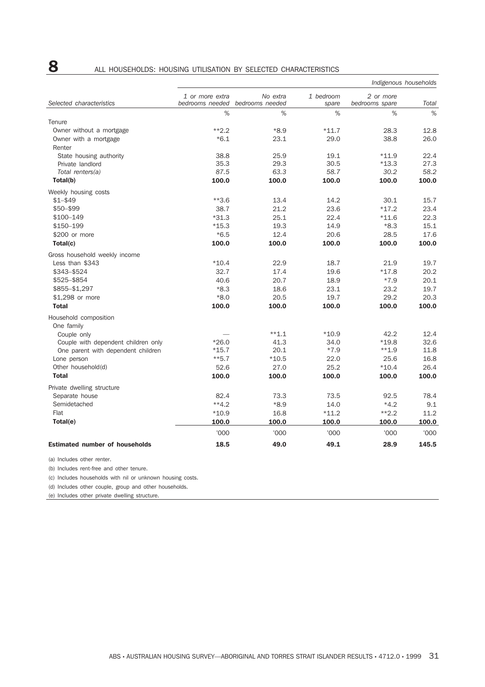# 8 ALL HOUSEHOLDS: HOUSING UTILISATION BY SELECTED CHARACTERISTICS

|                                       | Indigenous households              |                             |                    |                             |       |  |  |  |  |
|---------------------------------------|------------------------------------|-----------------------------|--------------------|-----------------------------|-------|--|--|--|--|
| Selected characteristics              | 1 or more extra<br>bedrooms needed | No extra<br>bedrooms needed | 1 bedroom<br>spare | 2 or more<br>bedrooms spare | Total |  |  |  |  |
|                                       | %                                  | %                           | %                  | %                           | %     |  |  |  |  |
| Tenure                                |                                    |                             |                    |                             |       |  |  |  |  |
| Owner without a mortgage              | $*2.2$                             | $*8.9$                      | $*11.7$            | 28.3                        | 12.8  |  |  |  |  |
| Owner with a mortgage                 | $*6.1$                             | 23.1                        | 29.0               | 38.8                        | 26.0  |  |  |  |  |
| Renter                                |                                    |                             |                    |                             |       |  |  |  |  |
| State housing authority               | 38.8                               | 25.9                        | 19.1               | $*11.9$                     | 22.4  |  |  |  |  |
| Private landlord                      | 35.3                               | 29.3                        | 30.5               | $*13.3$                     | 27.3  |  |  |  |  |
| Total renters(a)                      | 87.5                               | 63.3                        | 58.7               | 30.2                        | 58.2  |  |  |  |  |
| Total(b)                              | 100.0                              | 100.0                       | 100.0              | 100.0                       | 100.0 |  |  |  |  |
| Weekly housing costs                  |                                    |                             |                    |                             |       |  |  |  |  |
| $$1 - $49$                            | $**3.6$                            | 13.4                        | 14.2               | 30.1                        | 15.7  |  |  |  |  |
| \$50-\$99                             | 38.7                               | 21.2                        | 23.6               | $*17.2$                     | 23.4  |  |  |  |  |
| \$100-149                             | $*31.3$                            | 25.1                        | 22.4               | $*11.6$                     | 22.3  |  |  |  |  |
| \$150-199                             | $*15.3$                            | 19.3                        | 14.9               | $*8.3$                      | 15.1  |  |  |  |  |
| \$200 or more                         | $*6.5$                             | 12.4                        | 20.6               | 28.5                        | 17.6  |  |  |  |  |
| Total(c)                              | 100.0                              | 100.0                       | 100.0              | 100.0                       | 100.0 |  |  |  |  |
| Gross household weekly income         |                                    |                             |                    |                             |       |  |  |  |  |
| Less than \$343                       | $*10.4$                            | 22.9                        | 18.7               | 21.9                        | 19.7  |  |  |  |  |
| \$343-\$524                           | 32.7                               | 17.4                        | 19.6               | $*17.8$                     | 20.2  |  |  |  |  |
| \$525-\$854                           | 40.6                               | 20.7                        | 18.9               | $*7.9$                      | 20.1  |  |  |  |  |
| \$855-\$1,297                         | $*8.3$                             | 18.6                        | 23.1               | 23.2                        | 19.7  |  |  |  |  |
| \$1,298 or more                       | $*8.0$                             | 20.5                        | 19.7               | 29.2                        | 20.3  |  |  |  |  |
| <b>Total</b>                          | 100.0                              | 100.0                       | 100.0              | 100.0                       | 100.0 |  |  |  |  |
| Household composition                 |                                    |                             |                    |                             |       |  |  |  |  |
| One family                            |                                    |                             |                    |                             |       |  |  |  |  |
| Couple only                           |                                    | $**1.1$                     | $*10.9$            | 42.2                        | 12.4  |  |  |  |  |
| Couple with dependent children only   | $*26.0$                            | 41.3                        | 34.0               | $*19.8$                     | 32.6  |  |  |  |  |
| One parent with dependent children    | $*15.7$                            | 20.1                        | $*7.9$             | $**1.9$                     | 11.8  |  |  |  |  |
| Lone person                           | $**5.7$                            | $*10.5$                     | 22.0               | 25.6                        | 16.8  |  |  |  |  |
| Other household(d)                    | 52.6                               | 27.0                        | 25.2               | $*10.4$                     | 26.4  |  |  |  |  |
| <b>Total</b>                          | 100.0                              | 100.0                       | 100.0              | 100.0                       | 100.0 |  |  |  |  |
| Private dwelling structure            |                                    |                             |                    |                             |       |  |  |  |  |
| Separate house                        | 82.4                               | 73.3                        | 73.5               | 92.5                        | 78.4  |  |  |  |  |
| Semidetached                          | $**4.2$                            | $*8.9$                      | 14.0               | $*4.2$                      | 9.1   |  |  |  |  |
| Flat                                  | $*10.9$                            | 16.8                        | $*11.2$            | $**2.2$                     | 11.2  |  |  |  |  |
| Total(e)                              | 100.0                              | 100.0                       | 100.0              | 100.0                       | 100.0 |  |  |  |  |
|                                       | '000                               | '000                        | '000               | '000                        | '000  |  |  |  |  |
| <b>Estimated number of households</b> | 18.5                               | 49.0                        | 49.1               | 28.9                        | 145.5 |  |  |  |  |

(a) Includes other renter.

(b) Includes rent-free and other tenure.

(c) Includes households with nil or unknown housing costs.

(d) Includes other couple, group and other households.

(e) Includes other private dwelling structure.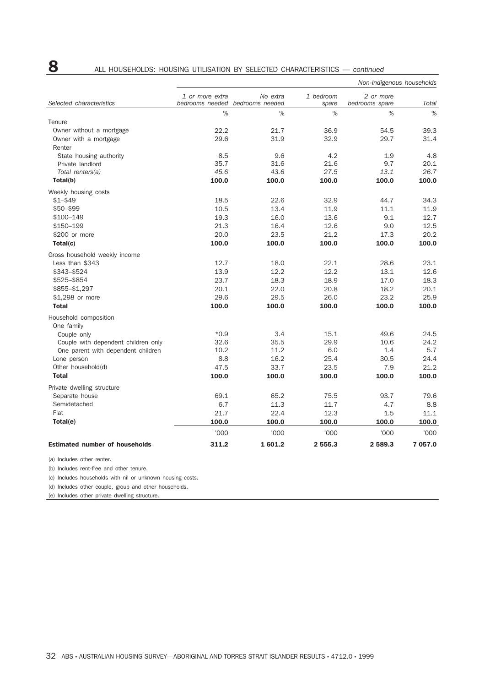# **8** ALL HOUSEHOLDS: HOUSING UTILISATION BY SELECTED CHARACTERISTICS — *continued*

|                                       | Non-Indigenous households          |                             |                    |                             |         |  |  |
|---------------------------------------|------------------------------------|-----------------------------|--------------------|-----------------------------|---------|--|--|
| Selected characteristics              | 1 or more extra<br>bedrooms needed | No extra<br>bedrooms needed | 1 bedroom<br>spare | 2 or more<br>bedrooms spare | Total   |  |  |
|                                       | %                                  | %                           | %                  | %                           | $\%$    |  |  |
| Tenure                                |                                    |                             |                    |                             |         |  |  |
| Owner without a mortgage              | 22.2                               | 21.7                        | 36.9               | 54.5                        | 39.3    |  |  |
| Owner with a mortgage                 | 29.6                               | 31.9                        | 32.9               | 29.7                        | 31.4    |  |  |
| Renter                                |                                    |                             |                    |                             |         |  |  |
| State housing authority               | 8.5                                | 9.6                         | 4.2                | 1.9                         | 4.8     |  |  |
| Private landlord                      | 35.7                               | 31.6                        | 21.6               | 9.7                         | 20.1    |  |  |
| Total renters(a)                      | 45.6                               | 43.6                        | 27.5               | 13.1                        | 26.7    |  |  |
| Total(b)                              | 100.0                              | 100.0                       | 100.0              | 100.0                       | 100.0   |  |  |
| Weekly housing costs                  |                                    |                             |                    |                             |         |  |  |
| $$1 - $49$                            | 18.5                               | 22.6                        | 32.9               | 44.7                        | 34.3    |  |  |
| $$50 - $99$                           | 10.5                               | 13.4                        | 11.9               | 11.1                        | 11.9    |  |  |
| \$100-149                             | 19.3                               | 16.0                        | 13.6               | 9.1                         | 12.7    |  |  |
| \$150-199                             | 21.3                               | 16.4                        | 12.6               | 9.0                         | 12.5    |  |  |
| \$200 or more                         | 20.0                               | 23.5                        | 21.2               | 17.3                        | 20.2    |  |  |
| Total(c)                              | 100.0                              | 100.0                       | 100.0              | 100.0                       | 100.0   |  |  |
| Gross household weekly income         |                                    |                             |                    |                             |         |  |  |
| Less than \$343                       | 12.7                               | 18.0                        | 22.1               | 28.6                        | 23.1    |  |  |
| \$343-\$524                           | 13.9                               | 12.2                        | 12.2               | 13.1                        | 12.6    |  |  |
| \$525-\$854                           | 23.7                               | 18.3                        | 18.9               | 17.0                        | 18.3    |  |  |
| \$855-\$1,297                         | 20.1                               | 22.0                        | 20.8               | 18.2                        | 20.1    |  |  |
| \$1,298 or more                       | 29.6                               | 29.5                        | 26.0               | 23.2                        | 25.9    |  |  |
| <b>Total</b>                          | 100.0                              | 100.0                       | 100.0              | 100.0                       | 100.0   |  |  |
| Household composition                 |                                    |                             |                    |                             |         |  |  |
| One family                            |                                    |                             |                    |                             |         |  |  |
| Couple only                           | $*0.9$                             | 3.4                         | 15.1               | 49.6                        | 24.5    |  |  |
| Couple with dependent children only   | 32.6                               | 35.5                        | 29.9               | 10.6                        | 24.2    |  |  |
| One parent with dependent children    | 10.2                               | 11.2                        | 6.0                | 1.4                         | 5.7     |  |  |
| Lone person                           | 8.8                                | 16.2                        | 25.4               | 30.5                        | 24.4    |  |  |
| Other household(d)                    | 47.5                               | 33.7                        | 23.5               | 7.9                         | 21.2    |  |  |
| <b>Total</b>                          | 100.0                              | 100.0                       | 100.0              | 100.0                       | 100.0   |  |  |
| Private dwelling structure            |                                    |                             |                    |                             |         |  |  |
| Separate house                        | 69.1                               | 65.2                        | 75.5               | 93.7                        | 79.6    |  |  |
| Semidetached                          | 6.7                                | 11.3                        | 11.7               | 4.7                         | 8.8     |  |  |
| Flat                                  | 21.7                               | 22.4                        | 12.3               | 1.5                         | 11.1    |  |  |
| Total(e)                              | 100.0                              | 100.0                       | 100.0              | 100.0                       | 100.0   |  |  |
|                                       | '000                               | '000                        | '000               | '000                        | '000    |  |  |
| <b>Estimated number of households</b> | 311.2                              | 1601.2                      | 2 555.3            | 2 589.3                     | 7 057.0 |  |  |

(a) Includes other renter.

(b) Includes rent-free and other tenure.

(c) Includes households with nil or unknown housing costs.

(d) Includes other couple, group and other households.

(e) Includes other private dwelling structure.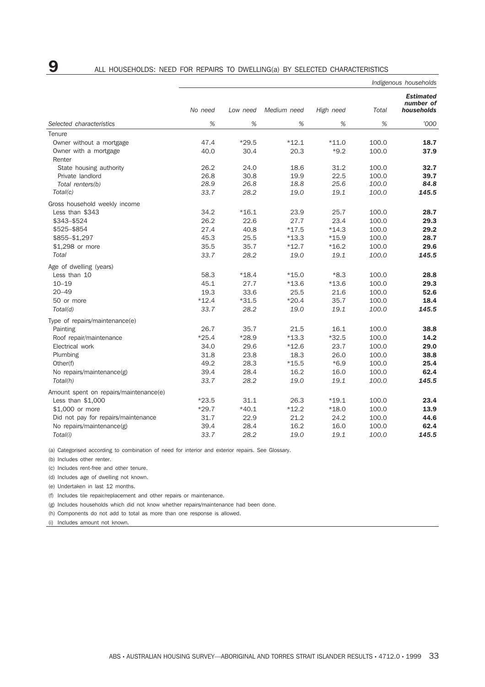|                                        | Indigenous households |                 |                 |                    |                |                                             |  |
|----------------------------------------|-----------------------|-----------------|-----------------|--------------------|----------------|---------------------------------------------|--|
|                                        | No need               | Low need        | Medium need     | High need          | Total          | <b>Estimated</b><br>number of<br>households |  |
| Selected characteristics               | %                     | %               | %               | %                  | %              | '000                                        |  |
| Tenure                                 |                       |                 |                 |                    |                |                                             |  |
| Owner without a mortgage               | 47.4                  | $*29.5$         | $*12.1$         | $*11.0$            | 100.0          | 18.7                                        |  |
| Owner with a mortgage                  | 40.0                  | 30.4            | 20.3            | $*9.2$             | 100.0          | 37.9                                        |  |
| Renter                                 |                       |                 |                 |                    |                |                                             |  |
| State housing authority                | 26.2                  | 24.0            | 18.6            | 31.2               | 100.0          | 32.7                                        |  |
| Private landlord                       | 26.8                  | 30.8            | 19.9            | 22.5               | 100.0          | 39.7                                        |  |
| Total renters(b)                       | 28.9                  | 26.8            | 18.8            | 25.6               | 100.0          | 84.8                                        |  |
| Total(c)                               | 33.7                  | 28.2            | 19.0            | 19.1               | 100.0          | 145.5                                       |  |
| Gross household weekly income          |                       |                 |                 |                    |                |                                             |  |
| Less than \$343                        | 34.2                  | $*16.1$         | 23.9            | 25.7               | 100.0          | 28.7                                        |  |
| \$343-\$524                            | 26.2                  | 22.6            | 27.7            | 23.4               | 100.0          | 29.3                                        |  |
| \$525-\$854                            | 27.4                  | 40.8            | $*17.5$         | $*14.3$            | 100.0          | 29.2                                        |  |
| \$855-\$1,297                          | 45.3                  | 25.5            | $*13.3$         | $*15.9$            | 100.0          | 28.7                                        |  |
| \$1,298 or more                        | 35.5                  | 35.7            | $*12.7$         | $*16.2$            | 100.0          | 29.6                                        |  |
| Total                                  | 33.7                  | 28.2            | 19.0            | 19.1               | 100.0          | 145.5                                       |  |
| Age of dwelling (years)                |                       |                 |                 |                    |                |                                             |  |
| Less than 10                           | 58.3                  | $*18.4$         | $*15.0$         | $*8.3$             | 100.0          | 28.8                                        |  |
| $10 - 19$                              | 45.1                  | 27.7            | $*13.6$         | $*13.6$            | 100.0          | 29.3                                        |  |
| $20 - 49$                              | 19.3                  | 33.6            | 25.5            | 21.6               | 100.0          | 52.6                                        |  |
| 50 or more                             | $*12.4$               | $*31.5$         | $*20.4$         | 35.7               | 100.0          | 18.4                                        |  |
| Total(d)                               | 33.7                  | 28.2            | 19.0            | 19.1               | 100.0          | 145.5                                       |  |
| Type of repairs/maintenance(e)         |                       |                 |                 |                    |                |                                             |  |
| Painting                               | 26.7                  | 35.7            | 21.5            | 16.1               | 100.0          | 38.8                                        |  |
| Roof repair/maintenance                | $*25.4$               | $*28.9$         | $*13.3$         | $*32.5$            | 100.0          | 14.2                                        |  |
| Electrical work                        | 34.0                  | 29.6            | $*12.6$         | 23.7               | 100.0          | 29.0                                        |  |
| Plumbing                               | 31.8                  | 23.8            | 18.3            | 26.0               | 100.0          | 38.8                                        |  |
| Other(f)                               | 49.2                  | 28.3            | $*15.5$         | $*6.9$             | 100.0          | 25.4                                        |  |
| No repairs/maintenance(g)              | 39.4                  | 28.4            | 16.2            | 16.0               | 100.0          | 62.4                                        |  |
| Total(h)                               | 33.7                  | 28.2            | 19.0            | 19.1               | 100.0          | 145.5                                       |  |
|                                        |                       |                 |                 |                    |                |                                             |  |
| Amount spent on repairs/maintenance(e) |                       |                 |                 |                    |                |                                             |  |
| Less than $$1,000$<br>\$1,000 or more  | $*23.5$<br>$*29.7$    | 31.1<br>$*40.1$ | 26.3<br>$*12.2$ | $*19.1$<br>$*18.0$ | 100.0<br>100.0 | 23.4<br>13.9                                |  |
|                                        | 31.7                  | 22.9            | 21.2            |                    |                | 44.6                                        |  |
| Did not pay for repairs/maintenance    | 39.4                  | 28.4            | 16.2            | 24.2<br>16.0       | 100.0<br>100.0 | 62.4                                        |  |
| No repairs/maintenance(g)              |                       |                 |                 |                    |                |                                             |  |
| Total(i)                               | 33.7                  | 28.2            | 19.0            | 19.1               | 100.0          | 145.5                                       |  |

(a) Categorised according to combination of need for interior and exterior repairs. See Glossary.

(b) Includes other renter.

(c) Includes rent-free and other tenure.

(d) Includes age of dwelling not known.

(e) Undertaken in last 12 months.

(f) Includes tile repair/replacement and other repairs or maintenance.

(g) Includes households which did not know whether repairs/maintenance had been done.

(h) Components do not add to total as more than one response is allowed.

(i) Includes amount not known.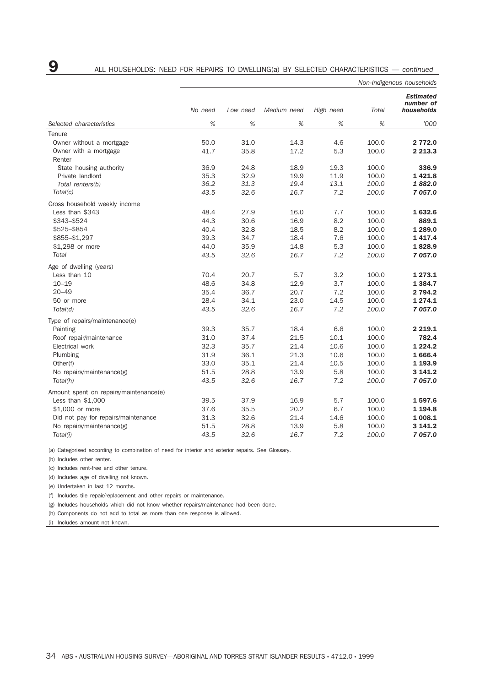|                                        | Non-Indigenous households |          |             |           |       |                                             |
|----------------------------------------|---------------------------|----------|-------------|-----------|-------|---------------------------------------------|
|                                        | No need                   | Low need | Medium need | High need | Total | <b>Estimated</b><br>number of<br>households |
| Selected characteristics               | %                         | %        | %           | %         | %     | '000                                        |
| Tenure                                 |                           |          |             |           |       |                                             |
| Owner without a mortgage               | 50.0                      | 31.0     | 14.3        | 4.6       | 100.0 | 2 772.0                                     |
| Owner with a mortgage                  | 41.7                      | 35.8     | 17.2        | 5.3       | 100.0 | 2 2 1 3 . 3                                 |
| Renter                                 |                           |          |             |           |       |                                             |
| State housing authority                | 36.9                      | 24.8     | 18.9        | 19.3      | 100.0 | 336.9                                       |
| Private landlord                       | 35.3                      | 32.9     | 19.9        | 11.9      | 100.0 | 1421.8                                      |
| Total renters(b)                       | 36.2                      | 31.3     | 19.4        | 13.1      | 100.0 | 1882.0                                      |
| Total(c)                               | 43.5                      | 32.6     | 16.7        | 7.2       | 100.0 | 7 057.0                                     |
| Gross household weekly income          |                           |          |             |           |       |                                             |
| Less than \$343                        | 48.4                      | 27.9     | 16.0        | 7.7       | 100.0 | 1632.6                                      |
| \$343-\$524                            | 44.3                      | 30.6     | 16.9        | 8.2       | 100.0 | 889.1                                       |
| \$525-\$854                            | 40.4                      | 32.8     | 18.5        | 8.2       | 100.0 | 1 2 8 9 . 0                                 |
| \$855-\$1,297                          | 39.3                      | 34.7     | 18.4        | 7.6       | 100.0 | 1417.4                                      |
| \$1,298 or more                        | 44.0                      | 35.9     | 14.8        | 5.3       | 100.0 | 1828.9                                      |
| Total                                  | 43.5                      | 32.6     | 16.7        | 7.2       | 100.0 | 7 057.0                                     |
| Age of dwelling (years)                |                           |          |             |           |       |                                             |
| Less than 10                           | 70.4                      | 20.7     | 5.7         | 3.2       | 100.0 | 1 2 7 3 . 1                                 |
| $10 - 19$                              | 48.6                      | 34.8     | 12.9        | 3.7       | 100.0 | 1 3 8 4 . 7                                 |
| $20 - 49$                              | 35.4                      | 36.7     | 20.7        | 7.2       | 100.0 | 2 794.2                                     |
| 50 or more                             | 28.4                      | 34.1     | 23.0        | 14.5      | 100.0 | 1 2 7 4 . 1                                 |
| Total(d)                               | 43.5                      | 32.6     | 16.7        | 7.2       | 100.0 | 7 057.0                                     |
|                                        |                           |          |             |           |       |                                             |
| Type of repairs/maintenance(e)         |                           |          |             |           |       |                                             |
| Painting                               | 39.3                      | 35.7     | 18.4        | 6.6       | 100.0 | 2 2 1 9 . 1                                 |
| Roof repair/maintenance                | 31.0                      | 37.4     | 21.5        | 10.1      | 100.0 | 782.4                                       |
| Electrical work                        | 32.3                      | 35.7     | 21.4        | 10.6      | 100.0 | 1 2 2 4 . 2                                 |
| Plumbing                               | 31.9                      | 36.1     | 21.3        | 10.6      | 100.0 | 1 666.4                                     |
| Other(f)                               | 33.0                      | 35.1     | 21.4        | 10.5      | 100.0 | 1 193.9                                     |
| No repairs/maintenance(g)              | 51.5                      | 28.8     | 13.9        | 5.8       | 100.0 | 3 141.2                                     |
| Total(h)                               | 43.5                      | 32.6     | 16.7        | 7.2       | 100.0 | 7 057.0                                     |
| Amount spent on repairs/maintenance(e) |                           |          |             |           |       |                                             |
| Less than $$1,000$                     | 39.5                      | 37.9     | 16.9        | 5.7       | 100.0 | 1597.6                                      |
| \$1,000 or more                        | 37.6                      | 35.5     | 20.2        | 6.7       | 100.0 | 1 194.8                                     |
| Did not pay for repairs/maintenance    | 31.3                      | 32.6     | 21.4        | 14.6      | 100.0 | 1 008.1                                     |
| No repairs/maintenance(g)              | 51.5                      | 28.8     | 13.9        | 5.8       | 100.0 | 3 141.2                                     |
| Total(i)                               | 43.5                      | 32.6     | 16.7        | 7.2       | 100.0 | 7 057.0                                     |

(a) Categorised according to combination of need for interior and exterior repairs. See Glossary.

(b) Includes other renter.

(c) Includes rent-free and other tenure.

(d) Includes age of dwelling not known.

(e) Undertaken in last 12 months.

(f) Includes tile repair/replacement and other repairs or maintenance.

(g) Includes households which did not know whether repairs/maintenance had been done.

(h) Components do not add to total as more than one response is allowed.

(i) Includes amount not known.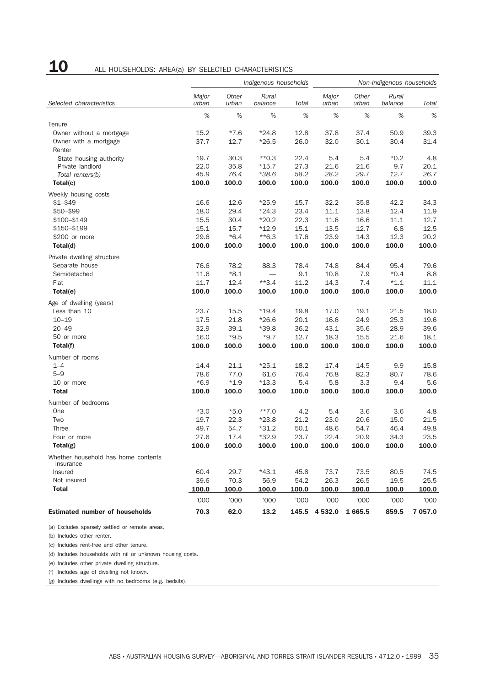# **10** ALL HOUSEHOLDS: AREA(a) BY SELECTED CHARACTERISTICS

|                                                  | Indigenous households |                |                  |       | Non-Indigenous households |                |                  |         |
|--------------------------------------------------|-----------------------|----------------|------------------|-------|---------------------------|----------------|------------------|---------|
| Selected characteristics                         | Major<br>urban        | Other<br>urban | Rural<br>balance | Total | Major<br>urban            | Other<br>urban | Rural<br>balance | Total   |
|                                                  | $\%$                  | %              | %                | %     | $\%$                      | $\%$           | $\%$             | $\%$    |
| Tenure                                           |                       |                |                  |       |                           |                |                  |         |
| Owner without a mortgage                         | 15.2                  | $*7.6$         | $*24.8$          | 12.8  | 37.8                      | 37.4           | 50.9             | 39.3    |
| Owner with a mortgage                            | 37.7                  | 12.7           | $*26.5$          | 26.0  | 32.0                      | 30.1           | 30.4             | 31.4    |
| Renter                                           |                       |                |                  |       |                           |                |                  |         |
| State housing authority                          | 19.7                  | 30.3           | $*$ 0.3          | 22.4  | 5.4                       | 5.4            | $*0.2$           | 4.8     |
| Private landlord                                 | 22.0                  | 35.8           | $*15.7$          | 27.3  | 21.6                      | 21.6           | 9.7              | 20.1    |
| Total renters(b)                                 | 45.9                  | 76.4           | $*38.6$          | 58.2  | 28.2                      | 29.7           | 12.7             | 26.7    |
| Total(c)                                         | 100.0                 | 100.0          | 100.0            | 100.0 | 100.0                     | 100.0          | 100.0            | 100.0   |
| Weekly housing costs                             |                       |                |                  |       |                           |                |                  |         |
| $$1 - $49$                                       | 16.6                  | 12.6           | $*25.9$          | 15.7  | 32.2                      | 35.8           | 42.2             | 34.3    |
| \$50-\$99                                        | 18.0                  | 29.4           | $*24.3$          | 23.4  | 11.1                      | 13.8           | 12.4             | 11.9    |
| \$100-\$149                                      | 15.5                  | 30.4           | $*20.2$          | 22.3  | 11.6                      | 16.6           | 11.1             | 12.7    |
| \$150-\$199                                      | 15.1                  | 15.7           | $*12.9$          | 15.1  | 13.5                      | 12.7           | 6.8              | 12.5    |
| \$200 or more                                    | 29.6                  | $*6.4$         | $*$ 6.3          | 17.6  | 23.9                      | 14.3           | 12.3             | 20.2    |
| Total(d)                                         | 100.0                 | 100.0          | 100.0            | 100.0 | 100.0                     | 100.0          | 100.0            | 100.0   |
| Private dwelling structure                       |                       |                |                  |       |                           |                |                  |         |
| Separate house                                   | 76.6                  | 78.2           | 88.3             | 78.4  | 74.8                      | 84.4           | 95.4             | 79.6    |
| Semidetached                                     | 11.6                  | $*8.1$         |                  | 9.1   | 10.8                      | 7.9            | $*0.4$           | 8.8     |
| Flat                                             | 11.7                  | 12.4           | $**3.4$          | 11.2  | 14.3                      | 7.4            | $*1.1$           | 11.1    |
| Total(e)                                         | 100.0                 | 100.0          | 100.0            | 100.0 | 100.0                     | 100.0          | 100.0            | 100.0   |
| Age of dwelling (years)                          |                       |                |                  |       |                           |                |                  |         |
| Less than 10                                     | 23.7                  | 15.5           | $*19.4$          | 19.8  | 17.0                      | 19.1           | 21.5             | 18.0    |
| $10 - 19$                                        | 17.5                  | 21.8           | $*26.6$          | 20.1  | 16.6                      | 24.9           | 25.3             | 19.6    |
| $20 - 49$                                        | 32.9                  | 39.1           | $*39.8$          | 36.2  | 43.1                      | 35.6           | 28.9             | 39.6    |
| 50 or more                                       | 16.0                  | $*9.5$         | $*9.7$           | 12.7  | 18.3                      | 15.5           | 21.6             | 18.1    |
| Total(f)                                         | 100.0                 | 100.0          | 100.0            | 100.0 | 100.0                     | 100.0          | 100.0            | 100.0   |
| Number of rooms                                  |                       |                |                  |       |                           |                |                  |         |
| $1 - 4$                                          | 14.4                  | 21.1           | $*25.1$          | 18.2  | 17.4                      | 14.5           | 9.9              | 15.8    |
| $5 - 9$                                          | 78.6                  | 77.0           | 61.6             | 76.4  | 76.8                      | 82.3           | 80.7             | 78.6    |
| 10 or more                                       | $*6.9$                | $*1.9$         | $*13.3$          | 5.4   | 5.8                       | 3.3            | 9.4              | 5.6     |
| <b>Total</b>                                     | 100.0                 | 100.0          | 100.0            | 100.0 | 100.0                     | 100.0          | 100.0            | 100.0   |
| Number of bedrooms                               |                       |                |                  |       |                           |                |                  |         |
| One                                              | $*3.0$                | $*5.0$         | $***7.0$         | 4.2   | 5.4                       | 3.6            | 3.6              | 4.8     |
| Two                                              | 19.7                  | 22.3           | $*23.8$          | 21.2  | 23.0                      | 20.6           | 15.0             | 21.5    |
| Three                                            | 49.7                  | 54.7           | $*31.2$          | 50.1  | 48.6                      | 54.7           | 46.4             | 49.8    |
| Four or more                                     | 27.6                  | 17.4           | $*32.9$          | 23.7  | 22.4                      | 20.9           | 34.3             | 23.5    |
| Total(g)                                         | 100.0                 | 100.0          | 100.0            | 100.0 | 100.0                     | 100.0          | 100.0            | 100.0   |
| Whether household has home contents<br>insurance |                       |                |                  |       |                           |                |                  |         |
| Insured                                          | 60.4                  | 29.7           | $*43.1$          | 45.8  | 73.7                      | 73.5           | 80.5             | 74.5    |
| Not insured                                      | 39.6                  | 70.3           | 56.9             | 54.2  | 26.3                      | 26.5           | 19.5             | 25.5    |
| <b>Total</b>                                     | 100.0                 | 100.0          | 100.0            | 100.0 | 100.0                     | 100.0          | 100.0            | 100.0   |
|                                                  | '000                  | '000           | '000             | '000  | '000                      | '000           | '000             | '000    |
| <b>Estimated number of households</b>            | 70.3                  | 62.0           | 13.2             |       | 145.5 4 532.0             | 1665.5         | 859.5            | 7 057.0 |

(a) Excludes sparsely settled or remote areas.

(b) Includes other renter.

(c) Includes rent-free and other tenure.

(d) Includes households with nil or unknown housing costs.

(e) Includes other private dwelling structure.

(f) Includes age of dwelling not known.

(g) Includes dwellings with no bedrooms (e.g. bedsits).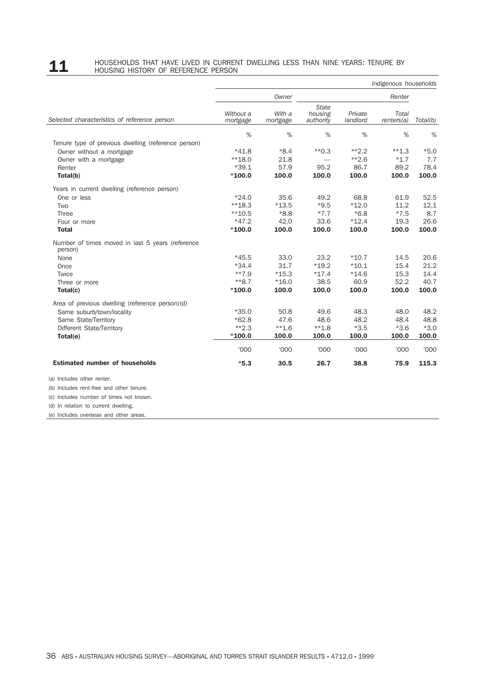# 11 HOUSEHOLDS THAT HAVE LIVED IN CURRENT DWELLING LESS THAN NINE YEARS: TENURE BY<br>HOUSING HISTORY OF REFERENCE PERSON

|                                                             |                       |                    |                                      |                     | Indigenous households |          |
|-------------------------------------------------------------|-----------------------|--------------------|--------------------------------------|---------------------|-----------------------|----------|
|                                                             |                       | Owner              | Renter                               |                     |                       |          |
| Selected characteristics of reference person                | Without a<br>mortgage | With a<br>mortgage | <b>State</b><br>housing<br>authority | Private<br>landlord | Total<br>renters(a)   | Total(b) |
|                                                             | %                     | %                  | %                                    | %                   | %                     | %        |
| Tenure type of previous dwelling (reference person)         |                       |                    |                                      |                     |                       |          |
| Owner without a mortgage                                    | $*41.8$               | $*8.4$             | $*$ 0.3                              | $*2.2$              | $**1.3$               | $*5.0$   |
| Owner with a mortgage                                       | $**18.0$              | 21.8               |                                      | $*2.6$              | $*1.7$                | 7.7      |
| Renter                                                      | $*39.1$               | 57.9               | 95.2                                 | 86.7                | 89.2                  | 78.4     |
| Total(b)                                                    | $*100.0$              | 100.0              | 100.0                                | 100.0               | 100.0                 | 100.0    |
| Years in current dwelling (reference person)                |                       |                    |                                      |                     |                       |          |
| One or less                                                 | $*24.0$               | 35.6               | 49.2                                 | 68.8                | 61.9                  | 52.5     |
| Two                                                         | $**18.3$              | $*13.5$            | $*9.5$                               | $*12.0$             | 11.2                  | 12.1     |
| Three                                                       | $**10.5$              | $*8.8$             | $*7.7$                               | $*6.8$              | $*7.5$                | 8.7      |
| Four or more                                                | $*47.2$               | 42.0               | 33.6                                 | $*12.4$             | 19.3                  | 26.6     |
| <b>Total</b>                                                | $*100.0$              | 100.0              | 100.0                                | 100.0               | 100.0                 | 100.0    |
| Number of times moved in last 5 years (reference<br>person) |                       |                    |                                      |                     |                       |          |
| None                                                        | $*45.5$               | 33.0               | 23.2                                 | $*10.7$             | 14.5                  | 20.6     |
| Once                                                        | $*34.4$               | 31.7               | $*19.2$                              | $*10.1$             | 15.4                  | 21.2     |
| Twice                                                       | $***7.9$              | $*15.3$            | $*17.4$                              | $*14.6$             | 15.3                  | 14.4     |
| Three or more                                               | $**8.7$               | $*16.0$            | 38.5                                 | 60.9                | 52.2                  | 40.7     |
| Total(c)                                                    | $*100.0$              | 100.0              | 100.0                                | 100.0               | 100.0                 | 100.0    |
| Area of previous dwelling (reference person)(d)             |                       |                    |                                      |                     |                       |          |
| Same suburb/town/locality                                   | $*35.0$               | 50.8               | 49.6                                 | 48.3                | 48.0                  | 48.2     |
| Same State/Territory                                        | $*62.8$               | 47.6               | 48.6                                 | 48.2                | 48.4                  | 48.8     |
| Different State/Territory                                   | $**2.3$               | $***1.6$           | $**1.8$                              | $*3.5$              | $*3.6$                | $*3.0$   |
| Total(e)                                                    | $*100.0$              | 100.0              | 100.0                                | 100.0               | 100.0                 | 100.0    |
|                                                             | '000                  | '000               | '000                                 | '000                | '000                  | '000     |
| <b>Estimated number of households</b>                       | $*5.3$                | 30.5               | 26.7                                 | 38.8                | 75.9                  | 115.3    |
| (a) Includes other renter.                                  |                       |                    |                                      |                     |                       |          |
| (b) Includes rent-free and other tenure.                    |                       |                    |                                      |                     |                       |          |
| (c) Includes number of times not known.                     |                       |                    |                                      |                     |                       |          |
| (d) In relation to current dwelling.                        |                       |                    |                                      |                     |                       |          |

(e) Includes overseas and other areas.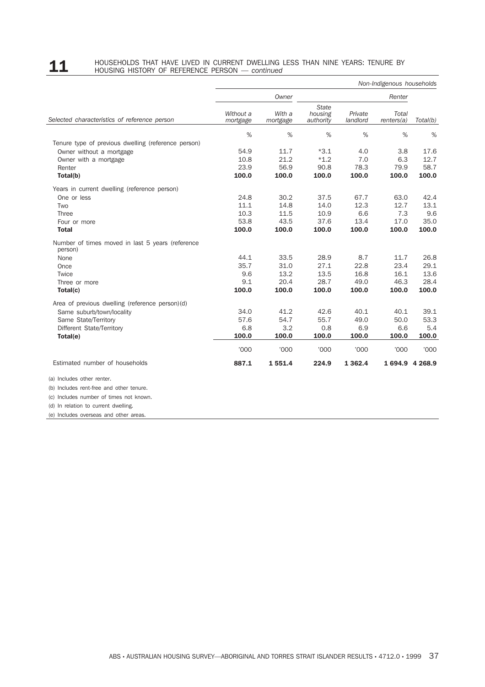## **11** HOUSEHOLDS THAT HAVE LIVED IN CURRENT DWELLING LESS THAN NINE YEARS: TENURE BY HOUSING HISTORY OF REFERENCE PERSON — *continued*

|                                                             |                       |                    |                                      |                     | Non-Indigenous households |             |
|-------------------------------------------------------------|-----------------------|--------------------|--------------------------------------|---------------------|---------------------------|-------------|
|                                                             |                       | Owner              |                                      |                     | Renter                    |             |
| Selected characteristics of reference person                | Without a<br>mortgage | With a<br>mortgage | <b>State</b><br>housing<br>authority | Private<br>landlord | Total<br>renters(a)       | Total(b)    |
|                                                             | %                     | %                  | %                                    | %                   | %                         | %           |
| Tenure type of previous dwelling (reference person)         |                       |                    |                                      |                     |                           |             |
| Owner without a mortgage                                    | 54.9                  | 11.7               | $*3.1$                               | 4.0                 | 3.8                       | 17.6        |
| Owner with a mortgage                                       | 10.8                  | 21.2               | $*1.2$                               | 7.0                 | 6.3                       | 12.7        |
| Renter                                                      | 23.9                  | 56.9               | 90.8                                 | 78.3                | 79.9                      | 58.7        |
| Total(b)                                                    | 100.0                 | 100.0              | 100.0                                | 100.0               | 100.0                     | 100.0       |
| Years in current dwelling (reference person)                |                       |                    |                                      |                     |                           |             |
| One or less                                                 | 24.8                  | 30.2               | 37.5                                 | 67.7                | 63.0                      | 42.4        |
| Two                                                         | 11.1                  | 14.8               | 14.0                                 | 12.3                | 12.7                      | 13.1        |
| <b>Three</b>                                                | 10.3                  | 11.5               | 10.9                                 | 6.6                 | 7.3                       | 9.6         |
| Four or more                                                | 53.8                  | 43.5               | 37.6                                 | 13.4                | 17.0                      | 35.0        |
| <b>Total</b>                                                | 100.0                 | 100.0              | 100.0                                | 100.0               | 100.0                     | 100.0       |
| Number of times moved in last 5 years (reference<br>person) |                       |                    |                                      |                     |                           |             |
| None                                                        | 44.1                  | 33.5               | 28.9                                 | 8.7                 | 11.7                      | 26.8        |
| Once                                                        | 35.7                  | 31.0               | 27.1                                 | 22.8                | 23.4                      | 29.1        |
| Twice                                                       | 9.6                   | 13.2               | 13.5                                 | 16.8                | 16.1                      | 13.6        |
| Three or more                                               | 9.1                   | 20.4               | 28.7                                 | 49.0                | 46.3                      | 28.4        |
| Total(c)                                                    | 100.0                 | 100.0              | 100.0                                | 100.0               | 100.0                     | 100.0       |
| Area of previous dwelling (reference person)(d)             |                       |                    |                                      |                     |                           |             |
| Same suburb/town/locality                                   | 34.0                  | 41.2               | 42.6                                 | 40.1                | 40.1                      | 39.1        |
| Same State/Territory                                        | 57.6                  | 54.7               | 55.7                                 | 49.0                | 50.0                      | 53.3        |
| Different State/Territory                                   | 6.8                   | 3.2                | 0.8                                  | 6.9                 | 6.6                       | 5.4         |
| Total(e)                                                    | 100.0                 | 100.0              | 100.0                                | 100.0               | 100.0                     | 100.0       |
|                                                             | '000'                 | '000               | 000'                                 | '000'               | '000                      | <b>'000</b> |
| Estimated number of households                              | 887.1                 | 1551.4             | 224.9                                | 1 3 6 2 . 4         | 1694.9 4268.9             |             |
| (a) Includes other renter.                                  |                       |                    |                                      |                     |                           |             |
| (b) Includes rent-free and other tenure.                    |                       |                    |                                      |                     |                           |             |
| (c) Includes number of times not known.                     |                       |                    |                                      |                     |                           |             |
| (d) In relation to current dwelling.                        |                       |                    |                                      |                     |                           |             |
| (e) Includes overseas and other areas.                      |                       |                    |                                      |                     |                           |             |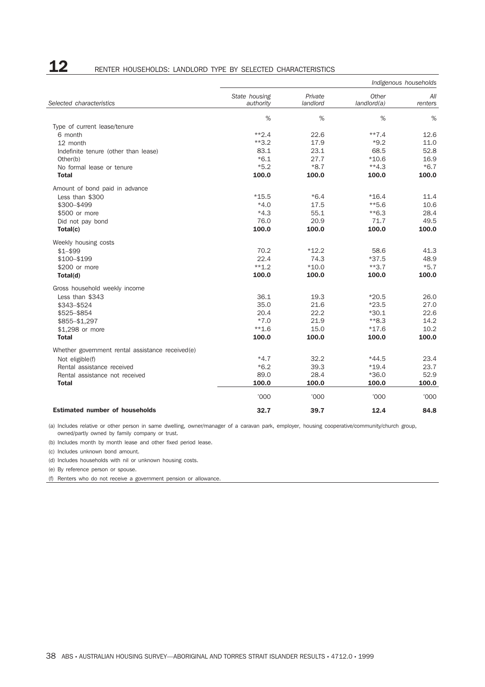## 12 RENTER HOUSEHOLDS: LANDLORD TYPE BY SELECTED CHARACTERISTICS

|                                                  | Indigenous households      |                     |                      |                |  |
|--------------------------------------------------|----------------------------|---------------------|----------------------|----------------|--|
| Selected characteristics                         | State housing<br>authority | Private<br>landlord | Other<br>landlord(a) | All<br>renters |  |
|                                                  | %                          | %                   | %                    | %              |  |
| Type of current lease/tenure                     |                            |                     |                      |                |  |
| 6 month                                          | $**2.4$                    | 22.6                | $***7.4$             | 12.6           |  |
| 12 month                                         | $**3.2$                    | 17.9                | $*9.2$               | 11.0           |  |
| Indefinite tenure (other than lease)             | 83.1                       | 23.1                | 68.5                 | 52.8           |  |
| Other(b)                                         | $*6.1$                     | 27.7                | $*10.6$              | 16.9           |  |
| No formal lease or tenure                        | $*5.2$                     | $*8.7$              | $**4.3$              | $*6.7$         |  |
| <b>Total</b>                                     | 100.0                      | 100.0               | 100.0                | 100.0          |  |
| Amount of bond paid in advance                   |                            |                     |                      |                |  |
| Less than \$300                                  | $*15.5$                    | $*6.4$              | $*16.4$              | 11.4           |  |
| \$300-\$499                                      | $*4.0$                     | 17.5                | $*5.6$               | 10.6           |  |
| \$500 or more                                    | $*4.3$                     | 55.1                | $*$ 6.3              | 28.4           |  |
| Did not pay bond                                 | 76.0                       | 20.9                | 71.7                 | 49.5           |  |
| Total(c)                                         | 100.0                      | 100.0               | 100.0                | 100.0          |  |
| Weekly housing costs                             |                            |                     |                      |                |  |
| $$1 - $99$                                       | 70.2                       | $*12.2$             | 58.6                 | 41.3           |  |
| \$100-\$199                                      | 22.4                       | 74.3                | $*37.5$              | 48.9           |  |
| \$200 or more                                    | $**1.2$                    | $*10.0$             | $**3.7$              | $*5.7$         |  |
| Total(d)                                         | 100.0                      | 100.0               | 100.0                | 100.0          |  |
| Gross household weekly income                    |                            |                     |                      |                |  |
| Less than \$343                                  | 36.1                       | 19.3                | $*20.5$              | 26.0           |  |
| \$343-\$524                                      | 35.0                       | 21.6                | $*23.5$              | 27.0           |  |
| \$525-\$854                                      | 20.4                       | 22.2                | $*30.1$              | 22.6           |  |
| \$855-\$1,297                                    | $*7.0$                     | 21.9                | $*8.3$               | 14.2           |  |
| \$1,298 or more                                  | $**1.6$                    | 15.0                | $*17.6$              | 10.2           |  |
| <b>Total</b>                                     | 100.0                      | 100.0               | 100.0                | 100.0          |  |
| Whether government rental assistance received(e) |                            |                     |                      |                |  |
| Not eligible(f)                                  | $*4.7$                     | 32.2                | $*44.5$              | 23.4           |  |
| Rental assistance received                       | $*6.2$                     | 39.3                | $*19.4$              | 23.7           |  |
| Rental assistance not received                   | 89.0                       | 28.4                | $*36.0$              | 52.9           |  |
| <b>Total</b>                                     | 100.0                      | 100.0               | 100.0                | 100.0          |  |
|                                                  | '000                       | '000                | '000                 | '000           |  |
| <b>Estimated number of households</b>            | 32.7                       | 39.7                | 12.4                 | 84.8           |  |

(a) Includes relative or other person in same dwelling, owner/manager of a caravan park, employer, housing cooperative/community/church group, owned/partly owned by family company or trust.

(b) Includes month by month lease and other fixed period lease.

(c) Includes unknown bond amount.

(d) Includes households with nil or unknown housing costs.

(e) By reference person or spouse.

(f) Renters who do not receive a government pension or allowance.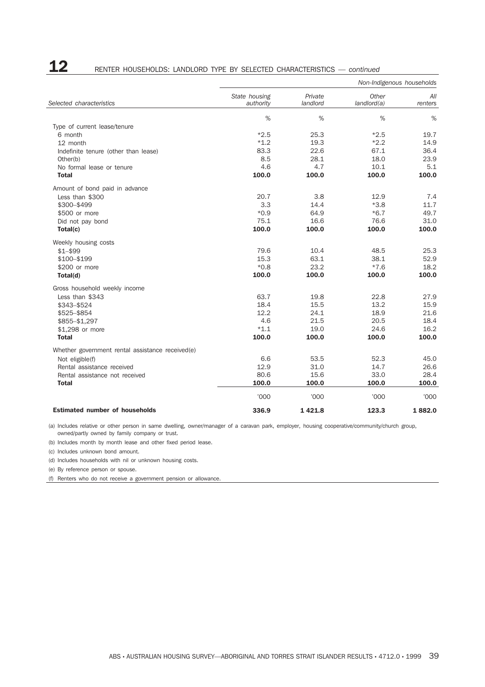## **12** RENTER HOUSEHOLDS: LANDLORD TYPE BY SELECTED CHARACTERISTICS — *continued*

|                                                  |                            |                     | Non-Indigenous households |                |
|--------------------------------------------------|----------------------------|---------------------|---------------------------|----------------|
| Selected characteristics                         | State housing<br>authority | Private<br>landlord | Other<br>landlord(a)      | All<br>renters |
|                                                  | $\%$                       | %                   | $\%$                      | %              |
| Type of current lease/tenure                     |                            |                     |                           |                |
| 6 month                                          | $*2.5$                     | 25.3                | $*2.5$                    | 19.7           |
| 12 month                                         | $*1.2$                     | 19.3                | $*2.2$                    | 14.9           |
| Indefinite tenure (other than lease)             | 83.3                       | 22.6                | 67.1                      | 36.4           |
| Other(b)                                         | 8.5                        | 28.1                | 18.0                      | 23.9           |
| No formal lease or tenure                        | 4.6                        | 4.7                 | 10.1                      | 5.1            |
| <b>Total</b>                                     | 100.0                      | 100.0               | 100.0                     | 100.0          |
| Amount of bond paid in advance                   |                            |                     |                           |                |
| Less than \$300                                  | 20.7                       | 3.8                 | 12.9                      | 7.4            |
| \$300-\$499                                      | 3.3                        | 14.4                | $*3.8$                    | 11.7           |
| \$500 or more                                    | $*0.9$                     | 64.9                | $*6.7$                    | 49.7           |
| Did not pay bond                                 | 75.1                       | 16.6                | 76.6                      | 31.0           |
| Total(c)                                         | 100.0                      | 100.0               | 100.0                     | 100.0          |
| Weekly housing costs                             |                            |                     |                           |                |
| $$1 - $99$                                       | 79.6                       | 10.4                | 48.5                      | 25.3           |
| \$100-\$199                                      | 15.3                       | 63.1                | 38.1                      | 52.9           |
| \$200 or more                                    | $*0.8$                     | 23.2                | $*7.6$                    | 18.2           |
| Total(d)                                         | 100.0                      | 100.0               | 100.0                     | 100.0          |
| Gross household weekly income                    |                            |                     |                           |                |
| Less than \$343                                  | 63.7                       | 19.8                | 22.8                      | 27.9           |
| \$343-\$524                                      | 18.4                       | 15.5                | 13.2                      | 15.9           |
| \$525-\$854                                      | 12.2                       | 24.1                | 18.9                      | 21.6           |
| \$855-\$1,297                                    | 4.6                        | 21.5                | 20.5                      | 18.4           |
| \$1,298 or more                                  | $*1.1$                     | 19.0                | 24.6                      | 16.2           |
| <b>Total</b>                                     | 100.0                      | 100.0               | 100.0                     | 100.0          |
| Whether government rental assistance received(e) |                            |                     |                           |                |
| Not eligible(f)                                  | 6.6                        | 53.5                | 52.3                      | 45.0           |
| Rental assistance received                       | 12.9                       | 31.0                | 14.7                      | 26.6           |
| Rental assistance not received                   | 80.6                       | 15.6                | 33.0                      | 28.4           |
| <b>Total</b>                                     | 100.0                      | 100.0               | 100.0                     | 100.0          |
|                                                  | '000                       | '000                | '000                      | '000           |
| <b>Estimated number of households</b>            | 336.9                      | 1421.8              | 123.3                     | 1882.0         |

(a) Includes relative or other person in same dwelling, owner/manager of a caravan park, employer, housing cooperative/community/church group, owned/partly owned by family company or trust.

(b) Includes month by month lease and other fixed period lease.

(c) Includes unknown bond amount.

(d) Includes households with nil or unknown housing costs.

(e) By reference person or spouse.

(f) Renters who do not receive a government pension or allowance.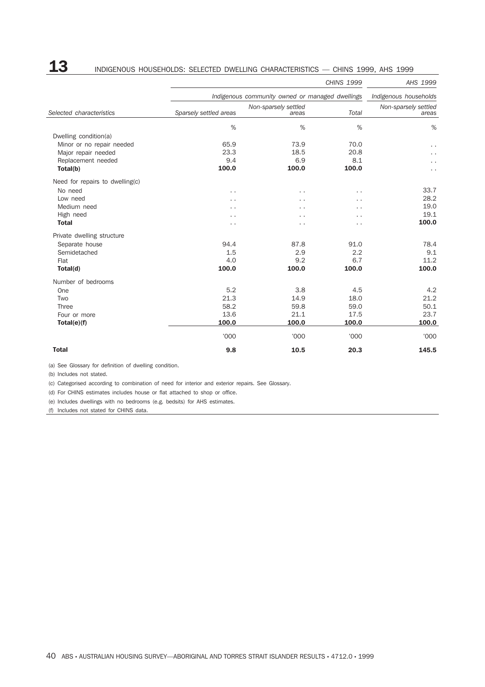## 13 INDIGENOUS HOUSEHOLDS: SELECTED DWELLING CHARACTERISTICS — CHINS 1999, AHS 1999

|                                                                                                                                                                                                                                                                                                               |                        |                                                 | <b>CHINS 1999</b> | AHS 1999                      |
|---------------------------------------------------------------------------------------------------------------------------------------------------------------------------------------------------------------------------------------------------------------------------------------------------------------|------------------------|-------------------------------------------------|-------------------|-------------------------------|
|                                                                                                                                                                                                                                                                                                               |                        | Indigenous community owned or managed dwellings |                   | Indigenous households         |
| Selected characteristics<br>Dwelling condition(a)<br>Minor or no repair needed<br>Major repair needed<br>Replacement needed<br>Total(b)<br>Need for repairs to dwelling(c)<br>No need<br>Low need<br>Medium need<br>High need<br><b>Total</b><br>Private dwelling structure<br>Separate house<br>Semidetached | Sparsely settled areas | Non-sparsely settled<br>areas                   | Total             | Non-sparsely settled<br>areas |
|                                                                                                                                                                                                                                                                                                               | %                      | %                                               | %                 | %                             |
|                                                                                                                                                                                                                                                                                                               |                        |                                                 |                   |                               |
|                                                                                                                                                                                                                                                                                                               | 65.9                   | 73.9                                            | 70.0              |                               |
|                                                                                                                                                                                                                                                                                                               | 23.3                   | 18.5                                            | 20.8              |                               |
|                                                                                                                                                                                                                                                                                                               | 9.4                    | 6.9                                             | 8.1               |                               |
|                                                                                                                                                                                                                                                                                                               | 100.0                  | 100.0                                           | 100.0             |                               |
|                                                                                                                                                                                                                                                                                                               |                        |                                                 |                   |                               |
|                                                                                                                                                                                                                                                                                                               | . .                    | . .                                             | . .               | 33.7                          |
|                                                                                                                                                                                                                                                                                                               | . .                    |                                                 | . .               | 28.2                          |
|                                                                                                                                                                                                                                                                                                               | . .                    | . .                                             | . .               | 19.0                          |
|                                                                                                                                                                                                                                                                                                               | . .                    | . .                                             | . .               | 19.1                          |
|                                                                                                                                                                                                                                                                                                               | . .                    | . .                                             | . .               | 100.0                         |
|                                                                                                                                                                                                                                                                                                               |                        |                                                 |                   |                               |
|                                                                                                                                                                                                                                                                                                               | 94.4                   | 87.8                                            | 91.0              | 78.4                          |
|                                                                                                                                                                                                                                                                                                               | 1.5                    | 2.9                                             | 2.2               | 9.1                           |
| Flat                                                                                                                                                                                                                                                                                                          | 4.0                    | 9.2                                             | 6.7               | 11.2                          |
| Total(d)                                                                                                                                                                                                                                                                                                      | 100.0                  | 100.0                                           | 100.0             | 100.0                         |
| Number of bedrooms                                                                                                                                                                                                                                                                                            |                        |                                                 |                   |                               |
| One                                                                                                                                                                                                                                                                                                           | 5.2                    | 3.8                                             | 4.5               | 4.2                           |
| Two                                                                                                                                                                                                                                                                                                           | 21.3                   | 14.9                                            | 18.0              | 21.2                          |
| <b>Three</b>                                                                                                                                                                                                                                                                                                  | 58.2                   | 59.8                                            | 59.0              | 50.1                          |
| Four or more                                                                                                                                                                                                                                                                                                  | 13.6                   | 21.1                                            | 17.5              | 23.7                          |
| Total(e)(f)                                                                                                                                                                                                                                                                                                   | 100.0                  | 100.0                                           | 100.0             | 100.0                         |
|                                                                                                                                                                                                                                                                                                               | '000                   | '000                                            | '000              | '000                          |
| <b>Total</b>                                                                                                                                                                                                                                                                                                  | 9.8                    | 10.5                                            | 20.3              | 145.5                         |

(a) See Glossary for definition of dwelling condition.

(b) Includes not stated.

(c) Categorised according to combination of need for interior and exterior repairs. See Glossary.

(d) For CHINS estimates includes house or flat attached to shop or office.

(e) Includes dwellings with no bedrooms (e.g. bedsits) for AHS estimates.

(f) Includes not stated for CHINS data.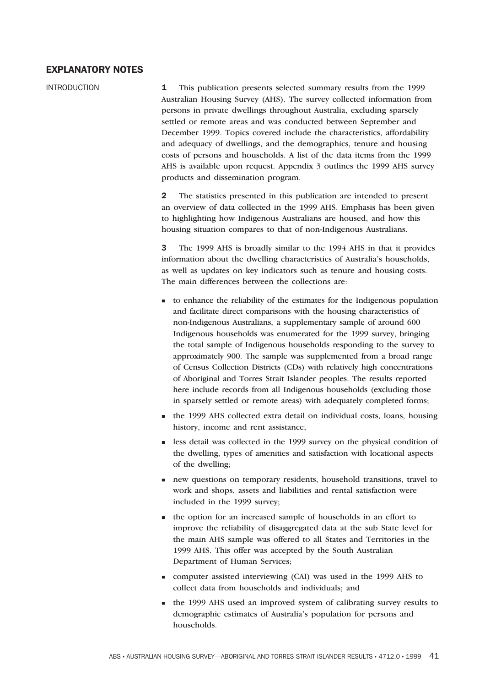### **EXPLANATORY NOTES**

INTRODUCTION **1** This publication presents selected summary results from the 1999 Australian Housing Survey (AHS). The survey collected information from persons in private dwellings throughout Australia, excluding sparsely settled or remote areas and was conducted between September and December 1999. Topics covered include the characteristics, affordability and adequacy of dwellings, and the demographics, tenure and housing costs of persons and households. A list of the data items from the 1999 AHS is available upon request. Appendix 3 outlines the 1999 AHS survey products and dissemination program.

> **2** The statistics presented in this publication are intended to present an overview of data collected in the 1999 AHS. Emphasis has been given to highlighting how Indigenous Australians are housed, and how this housing situation compares to that of non-Indigenous Australians.

> **3** The 1999 AHS is broadly similar to the 1994 AHS in that it provides information about the dwelling characteristics of Australia's households, as well as updates on key indicators such as tenure and housing costs. The main differences between the collections are:

- <sup>n</sup> to enhance the reliability of the estimates for the Indigenous population and facilitate direct comparisons with the housing characteristics of non-Indigenous Australians, a supplementary sample of around 600 Indigenous households was enumerated for the 1999 survey, bringing the total sample of Indigenous households responding to the survey to approximately 900. The sample was supplemented from a broad range of Census Collection Districts (CDs) with relatively high concentrations of Aboriginal and Torres Strait Islander peoples. The results reported here include records from all Indigenous households (excluding those in sparsely settled or remote areas) with adequately completed forms;
- <sup>n</sup> the 1999 AHS collected extra detail on individual costs, loans, housing history, income and rent assistance;
- <sup>n</sup> less detail was collected in the 1999 survey on the physical condition of the dwelling, types of amenities and satisfaction with locational aspects of the dwelling;
- new questions on temporary residents, household transitions, travel to work and shops, assets and liabilities and rental satisfaction were included in the 1999 survey;
- <sup>n</sup> the option for an increased sample of households in an effort to improve the reliability of disaggregated data at the sub State level for the main AHS sample was offered to all States and Territories in the 1999 AHS. This offer was accepted by the South Australian Department of Human Services;
- <sup>n</sup> computer assisted interviewing (CAI) was used in the 1999 AHS to collect data from households and individuals; and
- <sup>n</sup> the 1999 AHS used an improved system of calibrating survey results to demographic estimates of Australia's population for persons and households.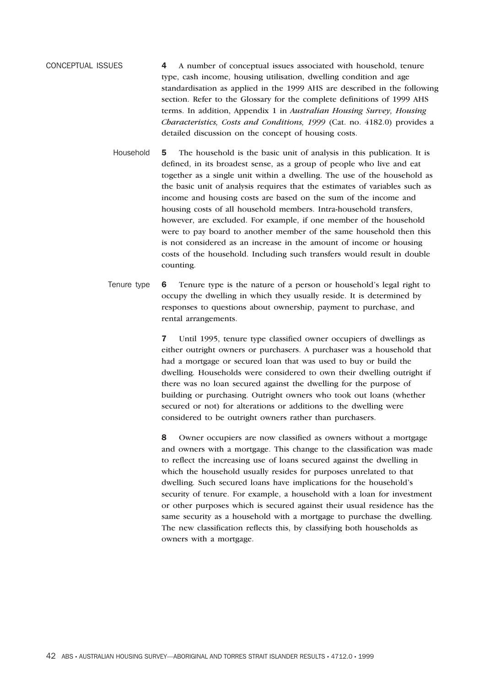CONCEPTUAL ISSUES **4** A number of conceptual issues associated with household, tenure type, cash income, housing utilisation, dwelling condition and age standardisation as applied in the 1999 AHS are described in the following section. Refer to the Glossary for the complete definitions of 1999 AHS terms. In addition, Appendix 1 in *Australian Housing Survey, Housing Characteristics, Costs and Conditions, 1999* (Cat. no. 4182.0) provides a detailed discussion on the concept of housing costs.

- Household **5** The household is the basic unit of analysis in this publication. It is defined, in its broadest sense, as a group of people who live and eat together as a single unit within a dwelling. The use of the household as the basic unit of analysis requires that the estimates of variables such as income and housing costs are based on the sum of the income and housing costs of all household members. Intra-household transfers, however, are excluded. For example, if one member of the household were to pay board to another member of the same household then this is not considered as an increase in the amount of income or housing costs of the household. Including such transfers would result in double counting.
- Tenure type **6** Tenure type is the nature of a person or household's legal right to occupy the dwelling in which they usually reside. It is determined by responses to questions about ownership, payment to purchase, and rental arrangements.

**7** Until 1995, tenure type classified owner occupiers of dwellings as either outright owners or purchasers. A purchaser was a household that had a mortgage or secured loan that was used to buy or build the dwelling. Households were considered to own their dwelling outright if there was no loan secured against the dwelling for the purpose of building or purchasing. Outright owners who took out loans (whether secured or not) for alterations or additions to the dwelling were considered to be outright owners rather than purchasers.

**8** Owner occupiers are now classified as owners without a mortgage and owners with a mortgage. This change to the classification was made to reflect the increasing use of loans secured against the dwelling in which the household usually resides for purposes unrelated to that dwelling. Such secured loans have implications for the household's security of tenure. For example, a household with a loan for investment or other purposes which is secured against their usual residence has the same security as a household with a mortgage to purchase the dwelling. The new classification reflects this, by classifying both households as owners with a mortgage.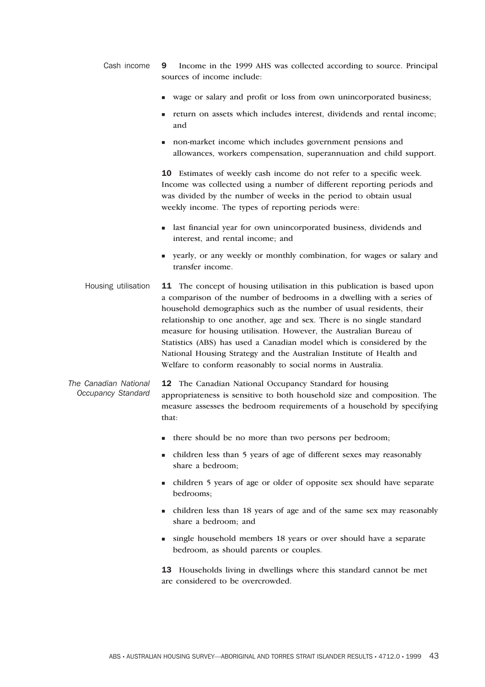- Cash income **9** Income in the 1999 AHS was collected according to source. Principal sources of income include:
	- <sup>n</sup> wage or salary and profit or loss from own unincorporated business;
	- n return on assets which includes interest, dividends and rental income; and
	- non-market income which includes government pensions and allowances, workers compensation, superannuation and child support.

**10** Estimates of weekly cash income do not refer to a specific week. Income was collected using a number of different reporting periods and was divided by the number of weeks in the period to obtain usual weekly income. The types of reporting periods were:

- n last financial year for own unincorporated business, dividends and interest, and rental income; and
- <sup>n</sup> yearly, or any weekly or monthly combination, for wages or salary and transfer income.
- Housing utilisation **11** The concept of housing utilisation in this publication is based upon a comparison of the number of bedrooms in a dwelling with a series of household demographics such as the number of usual residents, their relationship to one another, age and sex. There is no single standard measure for housing utilisation. However, the Australian Bureau of Statistics (ABS) has used a Canadian model which is considered by the National Housing Strategy and the Australian Institute of Health and Welfare to conform reasonably to social norms in Australia.
- *The Canadian National Occupancy Standard* **12** The Canadian National Occupancy Standard for housing appropriateness is sensitive to both household size and composition. The measure assesses the bedroom requirements of a household by specifying that:
	- n there should be no more than two persons per bedroom;
	- n children less than 5 years of age of different sexes may reasonably share a bedroom;
	- <sup>n</sup> children 5 years of age or older of opposite sex should have separate bedrooms;
	- <sup>n</sup> children less than 18 years of age and of the same sex may reasonably share a bedroom; and
	- n single household members 18 years or over should have a separate bedroom, as should parents or couples.

**13** Households living in dwellings where this standard cannot be met are considered to be overcrowded.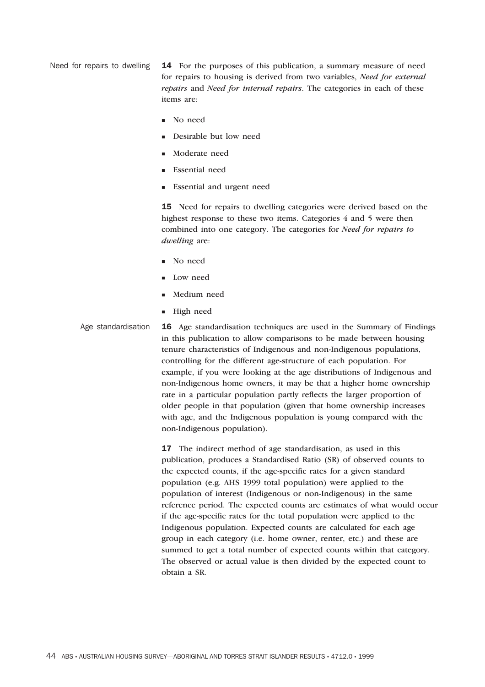Need for repairs to dwelling **14** For the purposes of this publication, a summary measure of need for repairs to housing is derived from two variables, *Need for external repairs* and *Need for internal repairs*. The categories in each of these items are:

- No need
- Desirable but low need
- Moderate need
- Essential need
- Essential and urgent need

**15** Need for repairs to dwelling categories were derived based on the highest response to these two items. Categories 4 and 5 were then combined into one category. The categories for *Need for repairs to dwelling* are:

- **n** No need
- Low need
- Medium need
- High need

Age standardisation **16** Age standardisation techniques are used in the Summary of Findings in this publication to allow comparisons to be made between housing tenure characteristics of Indigenous and non-Indigenous populations, controlling for the different age-structure of each population. For example, if you were looking at the age distributions of Indigenous and non-Indigenous home owners, it may be that a higher home ownership rate in a particular population partly reflects the larger proportion of older people in that population (given that home ownership increases with age, and the Indigenous population is young compared with the non-Indigenous population).

> **17** The indirect method of age standardisation, as used in this publication, produces a Standardised Ratio (SR) of observed counts to the expected counts, if the age-specific rates for a given standard population (e.g. AHS 1999 total population) were applied to the population of interest (Indigenous or non-Indigenous) in the same reference period. The expected counts are estimates of what would occur if the age-specific rates for the total population were applied to the Indigenous population. Expected counts are calculated for each age group in each category (i.e. home owner, renter, etc.) and these are summed to get a total number of expected counts within that category. The observed or actual value is then divided by the expected count to obtain a SR.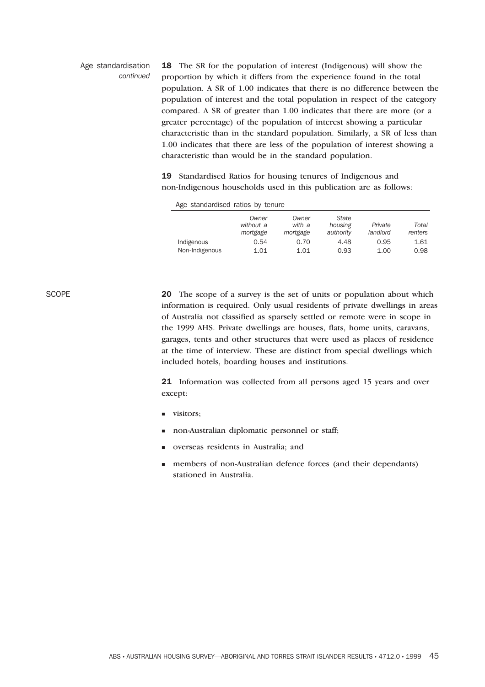### Age standardisation *continued*

**18** The SR for the population of interest (Indigenous) will show the proportion by which it differs from the experience found in the total population. A SR of 1.00 indicates that there is no difference between the population of interest and the total population in respect of the category compared. A SR of greater than 1.00 indicates that there are more (or a greater percentage) of the population of interest showing a particular characteristic than in the standard population. Similarly, a SR of less than 1.00 indicates that there are less of the population of interest showing a characteristic than would be in the standard population.

**19** Standardised Ratios for housing tenures of Indigenous and non-Indigenous households used in this publication are as follows:

| Age standardised ratios by tenure |                                |                             |                                      |                     |                  |
|-----------------------------------|--------------------------------|-----------------------------|--------------------------------------|---------------------|------------------|
|                                   | Owner<br>without a<br>mortgage | Owner<br>with a<br>mortgage | <b>State</b><br>housing<br>authority | Private<br>landlord | Total<br>renters |
| Indigenous                        | 0.54                           | 0.70                        | 4.48                                 | 0.95                | 1.61             |
| Non-Indigenous                    | 1.01                           | 1.01                        | 0.93                                 | 1.00                | 0.98             |

SCOPE **20** The scope of a survey is the set of units or population about which information is required. Only usual residents of private dwellings in areas of Australia not classified as sparsely settled or remote were in scope in the 1999 AHS. Private dwellings are houses, flats, home units, caravans, garages, tents and other structures that were used as places of residence at the time of interview. These are distinct from special dwellings which included hotels, boarding houses and institutions.

> **21** Information was collected from all persons aged 15 years and over except:

- n visitors;
- non-Australian diplomatic personnel or staff;
- <sup>n</sup> overseas residents in Australia; and
- members of non-Australian defence forces (and their dependants) stationed in Australia.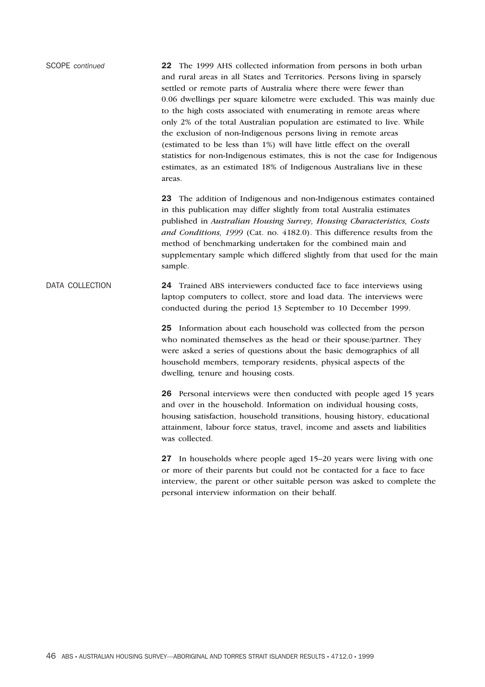SCOPE *continued* **22** The 1999 AHS collected information from persons in both urban and rural areas in all States and Territories. Persons living in sparsely settled or remote parts of Australia where there were fewer than 0.06 dwellings per square kilometre were excluded. This was mainly due to the high costs associated with enumerating in remote areas where only 2% of the total Australian population are estimated to live. While the exclusion of non-Indigenous persons living in remote areas (estimated to be less than 1%) will have little effect on the overall statistics for non-Indigenous estimates, this is not the case for Indigenous estimates, as an estimated 18% of Indigenous Australians live in these areas.

> **23** The addition of Indigenous and non-Indigenous estimates contained in this publication may differ slightly from total Australia estimates published in *Australian Housing Survey, Housing Characteristics, Costs and Conditions, 1999* (Cat. no. 4182.0). This difference results from the method of benchmarking undertaken for the combined main and supplementary sample which differed slightly from that used for the main sample.

DATA COLLECTION **24** Trained ABS interviewers conducted face to face interviews using laptop computers to collect, store and load data. The interviews were conducted during the period 13 September to 10 December 1999.

> **25** Information about each household was collected from the person who nominated themselves as the head or their spouse/partner. They were asked a series of questions about the basic demographics of all household members, temporary residents, physical aspects of the dwelling, tenure and housing costs.

**26** Personal interviews were then conducted with people aged 15 years and over in the household. Information on individual housing costs, housing satisfaction, household transitions, housing history, educational attainment, labour force status, travel, income and assets and liabilities was collected.

**27** In households where people aged 15–20 years were living with one or more of their parents but could not be contacted for a face to face interview, the parent or other suitable person was asked to complete the personal interview information on their behalf.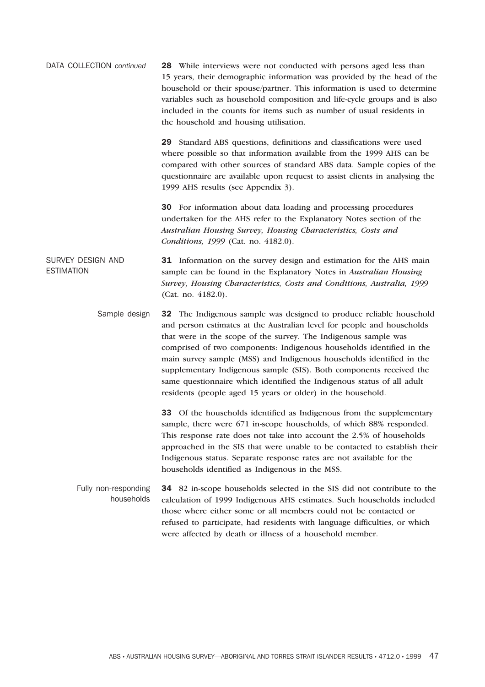| DATA COLLECTION continued | <b>28</b> While interviews were not conducted with persons aged less than |
|---------------------------|---------------------------------------------------------------------------|
|                           | 15 years, their demographic information was provided by the head of the   |
|                           | household or their spouse/partner. This information is used to determine  |
|                           | variables such as household composition and life-cycle groups and is also |
|                           | included in the counts for items such as number of usual residents in     |
|                           | the household and housing utilisation.                                    |

**29** Standard ABS questions, definitions and classifications were used where possible so that information available from the 1999 AHS can be compared with other sources of standard ABS data. Sample copies of the questionnaire are available upon request to assist clients in analysing the 1999 AHS results (see Appendix 3).

**30** For information about data loading and processing procedures undertaken for the AHS refer to the Explanatory Notes section of the *Australian Housing Survey, Housing Characteristics, Costs and Conditions, 1999* (Cat. no. 4182.0).

### SURVEY DESIGN AND **FSTIMATION 31** Information on the survey design and estimation for the AHS main sample can be found in the Explanatory Notes in *Australian Housing Survey, Housing Characteristics, Costs and Conditions, Australia, 1999* (Cat. no. 4182.0).

Sample design **32** The Indigenous sample was designed to produce reliable household and person estimates at the Australian level for people and households that were in the scope of the survey. The Indigenous sample was comprised of two components: Indigenous households identified in the main survey sample (MSS) and Indigenous households identified in the supplementary Indigenous sample (SIS). Both components received the same questionnaire which identified the Indigenous status of all adult residents (people aged 15 years or older) in the household.

> **33** Of the households identified as Indigenous from the supplementary sample, there were 671 in-scope households, of which 88% responded. This response rate does not take into account the 2.5% of households approached in the SIS that were unable to be contacted to establish their Indigenous status. Separate response rates are not available for the households identified as Indigenous in the MSS.

### Fully non-responding households **34** 82 in-scope households selected in the SIS did not contribute to the calculation of 1999 Indigenous AHS estimates. Such households included those where either some or all members could not be contacted or refused to participate, had residents with language difficulties, or which were affected by death or illness of a household member.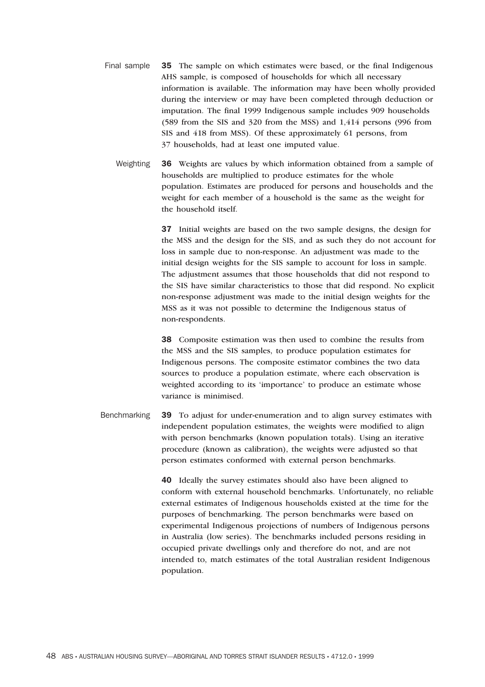- Final sample **35** The sample on which estimates were based, or the final Indigenous AHS sample, is composed of households for which all necessary information is available. The information may have been wholly provided during the interview or may have been completed through deduction or imputation. The final 1999 Indigenous sample includes 909 households (589 from the SIS and 320 from the MSS) and 1,414 persons (996 from SIS and 418 from MSS). Of these approximately 61 persons, from 37 households, had at least one imputed value.
	- Weighting **36** Weights are values by which information obtained from a sample of households are multiplied to produce estimates for the whole population. Estimates are produced for persons and households and the weight for each member of a household is the same as the weight for the household itself.

**37** Initial weights are based on the two sample designs, the design for the MSS and the design for the SIS, and as such they do not account for loss in sample due to non-response. An adjustment was made to the initial design weights for the SIS sample to account for loss in sample. The adjustment assumes that those households that did not respond to the SIS have similar characteristics to those that did respond. No explicit non-response adjustment was made to the initial design weights for the MSS as it was not possible to determine the Indigenous status of non-respondents.

**38** Composite estimation was then used to combine the results from the MSS and the SIS samples, to produce population estimates for Indigenous persons. The composite estimator combines the two data sources to produce a population estimate, where each observation is weighted according to its 'importance' to produce an estimate whose variance is minimised.

Benchmarking **39** To adjust for under-enumeration and to align survey estimates with independent population estimates, the weights were modified to align with person benchmarks (known population totals). Using an iterative procedure (known as calibration), the weights were adjusted so that person estimates conformed with external person benchmarks.

> **40** Ideally the survey estimates should also have been aligned to conform with external household benchmarks. Unfortunately, no reliable external estimates of Indigenous households existed at the time for the purposes of benchmarking. The person benchmarks were based on experimental Indigenous projections of numbers of Indigenous persons in Australia (low series). The benchmarks included persons residing in occupied private dwellings only and therefore do not, and are not intended to, match estimates of the total Australian resident Indigenous population.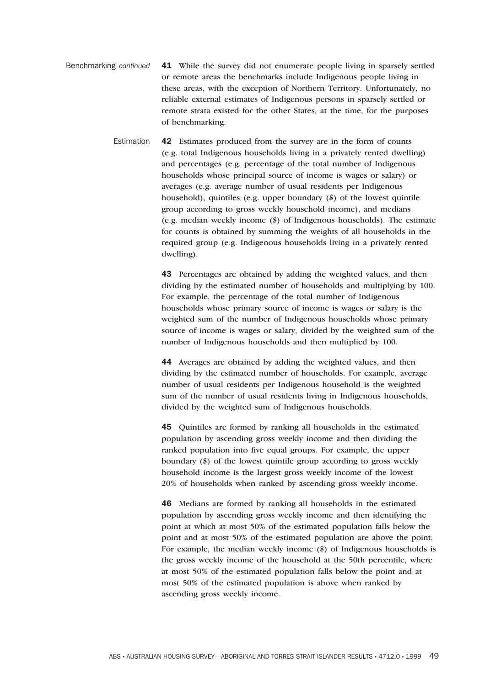- Benchmarking *continued* **41** While the survey did not enumerate people living in sparsely settled or remote areas the benchmarks include Indigenous people living in these areas, with the exception of Northern Territory. Unfortunately, no reliable external estimates of Indigenous persons in sparsely settled or remote strata existed for the other States, at the time, for the purposes of benchmarking.
	- Estimation **42** Estimates produced from the survey are in the form of counts (e.g. total Indigenous households living in a privately rented dwelling) and percentages (e.g. percentage of the total number of Indigenous households whose principal source of income is wages or salary) or averages (e.g. average number of usual residents per Indigenous household), quintiles (e.g. upper boundary (\$) of the lowest quintile group according to gross weekly household income), and medians (e.g. median weekly income (\$) of Indigenous households). The estimate for counts is obtained by summing the weights of all households in the required group (e.g. Indigenous households living in a privately rented dwelling).

**43** Percentages are obtained by adding the weighted values, and then dividing by the estimated number of households and multiplying by 100. For example, the percentage of the total number of Indigenous households whose primary source of income is wages or salary is the weighted sum of the number of Indigenous households whose primary source of income is wages or salary, divided by the weighted sum of the number of Indigenous households and then multiplied by 100.

**44** Averages are obtained by adding the weighted values, and then dividing by the estimated number of households. For example, average number of usual residents per Indigenous household is the weighted sum of the number of usual residents living in Indigenous households, divided by the weighted sum of Indigenous households.

**45** Quintiles are formed by ranking all households in the estimated population by ascending gross weekly income and then dividing the ranked population into five equal groups. For example, the upper boundary (\$) of the lowest quintile group according to gross weekly household income is the largest gross weekly income of the lowest 20% of households when ranked by ascending gross weekly income.

**46** Medians are formed by ranking all households in the estimated population by ascending gross weekly income and then identifying the point at which at most 50% of the estimated population falls below the point and at most 50% of the estimated population are above the point. For example, the median weekly income (\$) of Indigenous households is the gross weekly income of the household at the 50th percentile, where at most 50% of the estimated population falls below the point and at most 50% of the estimated population is above when ranked by ascending gross weekly income.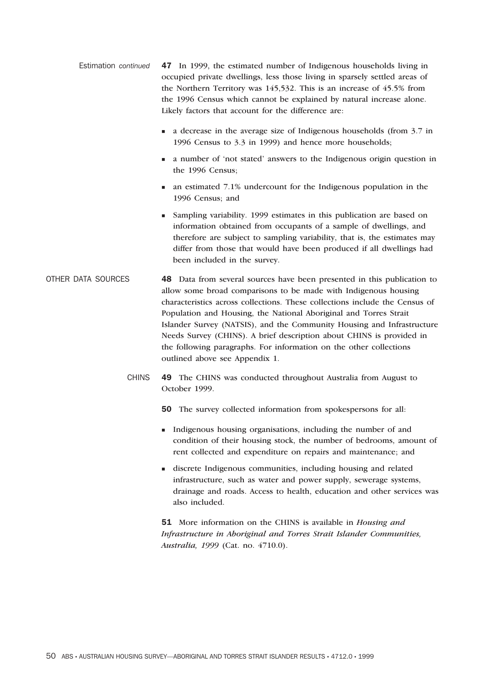- Estimation *continued* **47** In 1999, the estimated number of Indigenous households living in occupied private dwellings, less those living in sparsely settled areas of the Northern Territory was 145,532. This is an increase of 45.5% from the 1996 Census which cannot be explained by natural increase alone. Likely factors that account for the difference are:
	- $\blacksquare$  a decrease in the average size of Indigenous households (from 3.7 in 1996 Census to 3.3 in 1999) and hence more households;
	- <sup>n</sup> a number of 'not stated' answers to the Indigenous origin question in the 1996 Census;
	- n an estimated 7.1% undercount for the Indigenous population in the 1996 Census; and
	- <sup>n</sup> Sampling variability. 1999 estimates in this publication are based on information obtained from occupants of a sample of dwellings, and therefore are subject to sampling variability, that is, the estimates may differ from those that would have been produced if all dwellings had been included in the survey.
- OTHER DATA SOURCES **48** Data from several sources have been presented in this publication to allow some broad comparisons to be made with Indigenous housing characteristics across collections. These collections include the Census of Population and Housing, the National Aboriginal and Torres Strait Islander Survey (NATSIS), and the Community Housing and Infrastructure Needs Survey (CHINS). A brief description about CHINS is provided in the following paragraphs. For information on the other collections outlined above see Appendix 1.
	- CHINS **49** The CHINS was conducted throughout Australia from August to October 1999.
		- **50** The survey collected information from spokespersons for all:
		- <sup>n</sup> Indigenous housing organisations, including the number of and condition of their housing stock, the number of bedrooms, amount of rent collected and expenditure on repairs and maintenance; and
		- <sup>n</sup> discrete Indigenous communities, including housing and related infrastructure, such as water and power supply, sewerage systems, drainage and roads. Access to health, education and other services was also included.

**51** More information on the CHINS is available in *Housing and Infrastructure in Aboriginal and Torres Strait Islander Communities, Australia, 1999* (Cat. no. 4710.0).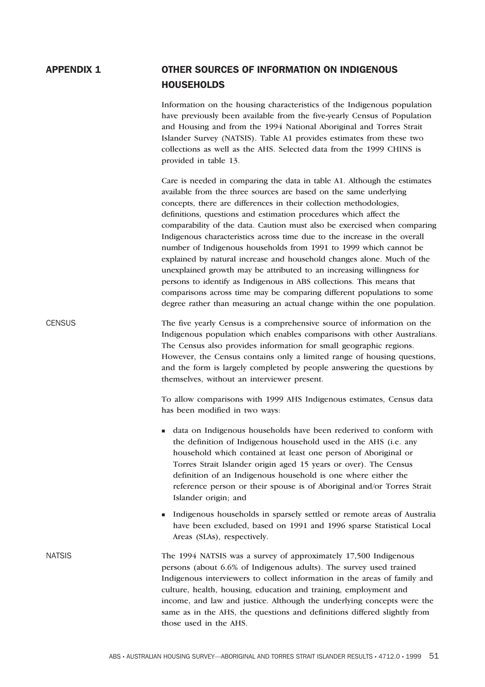## **APPENDIX 1 OTHER SOURCES OF INFORMATION ON INDIGENOUS HOUSEHOLDS**

Information on the housing characteristics of the Indigenous population have previously been available from the five-yearly Census of Population and Housing and from the 1994 National Aboriginal and Torres Strait Islander Survey (NATSIS). Table A1 provides estimates from these two collections as well as the AHS. Selected data from the 1999 CHINS is provided in table 13.

Care is needed in comparing the data in table A1. Although the estimates available from the three sources are based on the same underlying concepts, there are differences in their collection methodologies, definitions, questions and estimation procedures which affect the comparability of the data. Caution must also be exercised when comparing Indigenous characteristics across time due to the increase in the overall number of Indigenous households from 1991 to 1999 which cannot be explained by natural increase and household changes alone. Much of the unexplained growth may be attributed to an increasing willingness for persons to identify as Indigenous in ABS collections. This means that comparisons across time may be comparing different populations to some degree rather than measuring an actual change within the one population.

CENSUS The five yearly Census is a comprehensive source of information on the Indigenous population which enables comparisons with other Australians. The Census also provides information for small geographic regions. However, the Census contains only a limited range of housing questions, and the form is largely completed by people answering the questions by themselves, without an interviewer present.

> To allow comparisons with 1999 AHS Indigenous estimates, Census data has been modified in two ways:

- <sup>n</sup> data on Indigenous households have been rederived to conform with the definition of Indigenous household used in the AHS (i.e. any household which contained at least one person of Aboriginal or Torres Strait Islander origin aged 15 years or over). The Census definition of an Indigenous household is one where either the reference person or their spouse is of Aboriginal and/or Torres Strait Islander origin; and
- <sup>n</sup> Indigenous households in sparsely settled or remote areas of Australia have been excluded, based on 1991 and 1996 sparse Statistical Local Areas (SLAs), respectively.
- NATSIS The 1994 NATSIS was a survey of approximately 17,500 Indigenous persons (about 6.6% of Indigenous adults). The survey used trained Indigenous interviewers to collect information in the areas of family and culture, health, housing, education and training, employment and income, and law and justice. Although the underlying concepts were the same as in the AHS, the questions and definitions differed slightly from those used in the AHS.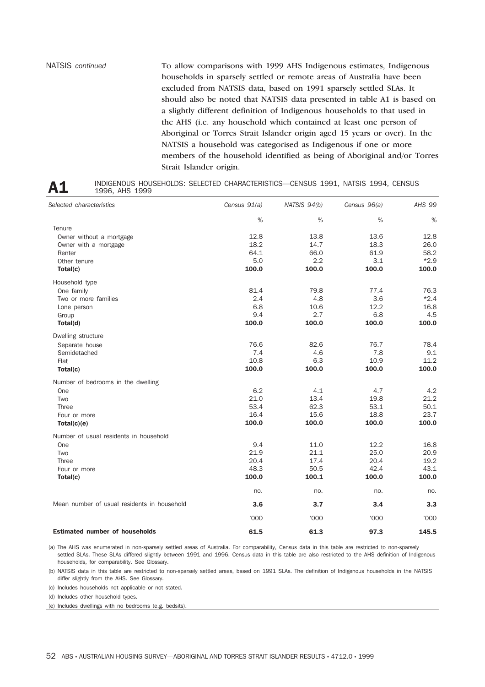NATSIS *continued* To allow comparisons with 1999 AHS Indigenous estimates, Indigenous households in sparsely settled or remote areas of Australia have been excluded from NATSIS data, based on 1991 sparsely settled SLAs. It should also be noted that NATSIS data presented in table A1 is based on a slightly different definition of Indigenous households to that used in the AHS (i.e. any household which contained at least one person of Aboriginal or Torres Strait Islander origin aged 15 years or over). In the NATSIS a household was categorised as Indigenous if one or more members of the household identified as being of Aboriginal and/or Torres Strait Islander origin.

| Α1 | INDIGENOUS HOUSEHOLDS: SELECTED CHARACTERISTICS—CENSUS 1991, NATSIS 1994, CENSUS |  |
|----|----------------------------------------------------------------------------------|--|
|    | 1996. AHS 1999                                                                   |  |

| Selected characteristics                    | Census $91(a)$ | NATSIS 94(b) | Census 96(a) | AHS 99 |
|---------------------------------------------|----------------|--------------|--------------|--------|
|                                             | %              | %            | %            | %      |
| Tenure                                      |                |              |              |        |
| Owner without a mortgage                    | 12.8           | 13.8         | 13.6         | 12.8   |
| Owner with a mortgage                       | 18.2           | 14.7         | 18.3         | 26.0   |
| Renter                                      | 64.1           | 66.0         | 61.9         | 58.2   |
| Other tenure                                | 5.0            | 2.2          | 3.1          | $*2.9$ |
| Total(c)                                    | 100.0          | 100.0        | 100.0        | 100.0  |
| Household type                              |                |              |              |        |
| One family                                  | 81.4           | 79.8         | 77.4         | 76.3   |
| Two or more families                        | 2.4            | 4.8          | 3.6          | $*2.4$ |
| Lone person                                 | 6.8            | 10.6         | 12.2         | 16.8   |
| Group                                       | 9.4            | 2.7          | 6.8          | 4.5    |
| Total(d)                                    | 100.0          | 100.0        | 100.0        | 100.0  |
| Dwelling structure                          |                |              |              |        |
| Separate house                              | 76.6           | 82.6         | 76.7         | 78.4   |
| Semidetached                                | 7.4            | 4.6          | 7.8          | 9.1    |
| Flat                                        | 10.8           | 6.3          | 10.9         | 11.2   |
| Total(c)                                    | 100.0          | 100.0        | 100.0        | 100.0  |
| Number of bedrooms in the dwelling          |                |              |              |        |
| One                                         | 6.2            | 4.1          | 4.7          | 4.2    |
| Two                                         | 21.0           | 13.4         | 19.8         | 21.2   |
| <b>Three</b>                                | 53.4           | 62.3         | 53.1         | 50.1   |
| Four or more                                | 16.4           | 15.6         | 18.8         | 23.7   |
| Total(c)(e)                                 | 100.0          | 100.0        | 100.0        | 100.0  |
| Number of usual residents in household      |                |              |              |        |
| One                                         | 9.4            | 11.0         | 12.2         | 16.8   |
| Two                                         | 21.9           | 21.1         | 25.0         | 20.9   |
| <b>Three</b>                                | 20.4           | 17.4         | 20.4         | 19.2   |
| Four or more                                | 48.3           | 50.5         | 42.4         | 43.1   |
| Total(c)                                    | 100.0          | 100.1        | 100.0        | 100.0  |
|                                             | no.            | no.          | no.          | no.    |
| Mean number of usual residents in household | 3.6            | 3.7          | 3.4          | 3.3    |
|                                             | '000'          | '000         | '000'        | '000'  |
| <b>Estimated number of households</b>       | 61.5           | 61.3         | 97.3         | 145.5  |

(a) The AHS was enumerated in non-sparsely settled areas of Australia. For comparability, Census data in this table are restricted to non-sparsely settled SLAs. These SLAs differed slightly between 1991 and 1996. Census data in this table are also restricted to the AHS definition of Indigenous households, for comparability. See Glossary.

(b) NATSIS data in this table are restricted to non-sparsely settled areas, based on 1991 SLAs. The definition of Indigenous households in the NATSIS differ slightly from the AHS. See Glossary.

(c) Includes households not applicable or not stated.

(d) Includes other household types.

(e) Includes dwellings with no bedrooms (e.g. bedsits).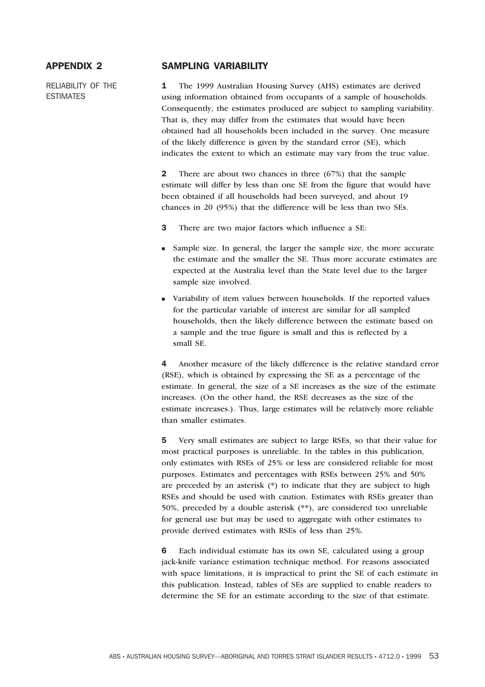RELIABILITY OF THE ESTIMATES

### **APPENDIX 2 SAMPLING VARIABILITY**

**1** The 1999 Australian Housing Survey (AHS) estimates are derived using information obtained from occupants of a sample of households. Consequently, the estimates produced are subject to sampling variability. That is, they may differ from the estimates that would have been obtained had all households been included in the survey. One measure of the likely difference is given by the standard error (SE), which indicates the extent to which an estimate may vary from the true value.

**2** There are about two chances in three (67%) that the sample estimate will differ by less than one SE from the figure that would have been obtained if all households had been surveyed, and about 19 chances in 20 (95%) that the difference will be less than two SEs.

- **3** There are two major factors which influence a SE:
- <sup>n</sup> Sample size. In general, the larger the sample size, the more accurate the estimate and the smaller the SE. Thus more accurate estimates are expected at the Australia level than the State level due to the larger sample size involved.
- <sup>n</sup> Variability of item values between households. If the reported values for the particular variable of interest are similar for all sampled households, then the likely difference between the estimate based on a sample and the true figure is small and this is reflected by a small SE.

**4** Another measure of the likely difference is the relative standard error (RSE), which is obtained by expressing the SE as a percentage of the estimate. In general, the size of a SE increases as the size of the estimate increases. (On the other hand, the RSE decreases as the size of the estimate increases.). Thus, large estimates will be relatively more reliable than smaller estimates.

**5** Very small estimates are subject to large RSEs, so that their value for most practical purposes is unreliable. In the tables in this publication, only estimates with RSEs of 25% or less are considered reliable for most purposes. Estimates and percentages with RSEs between 25% and 50% are preceded by an asterisk (\*) to indicate that they are subject to high RSEs and should be used with caution. Estimates with RSEs greater than 50%, preceded by a double asterisk (\*\*), are considered too unreliable for general use but may be used to aggregate with other estimates to provide derived estimates with RSEs of less than 25%.

**6** Each individual estimate has its own SE, calculated using a group jack-knife variance estimation technique method. For reasons associated with space limitations, it is impractical to print the SE of each estimate in this publication. Instead, tables of SEs are supplied to enable readers to determine the SE for an estimate according to the size of that estimate.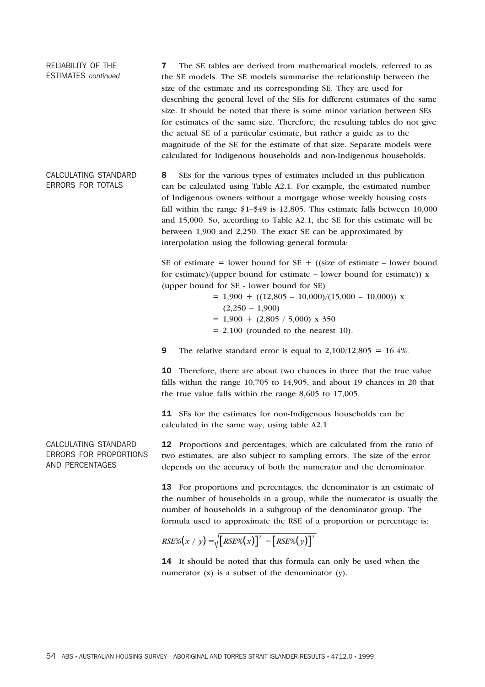RELIABILITY OF THE ESTIMATES *continued* **7** The SE tables are derived from mathematical models, referred to as the SE models. The SE models summarise the relationship between the size of the estimate and its corresponding SE. They are used for describing the general level of the SEs for different estimates of the same size. It should be noted that there is some minor variation between SEs for estimates of the same size. Therefore, the resulting tables do not give the actual SE of a particular estimate, but rather a guide as to the magnitude of the SE for the estimate of that size. Separate models were calculated for Indigenous households and non-Indigenous households. CALCULATING STANDARD ERRORS FOR TOTALS **8** SEs for the various types of estimates included in this publication

can be calculated using Table A2.1. For example, the estimated number of Indigenous owners without a mortgage whose weekly housing costs fall within the range \$1–\$49 is 12,805. This estimate falls between 10,000 and 15,000. So, according to Table A2.1, the SE for this estimate will be between 1,900 and 2,250. The exact SE can be approximated by interpolation using the following general formula:

SE of estimate = lower bound for  $SE + (size\)$  of estimate – lower bound for estimate)/(upper bound for estimate – lower bound for estimate))  $x$ (upper bound for SE - lower bound for SE)

> $= 1,900 + ((12,805 - 10,000)/(15,000 - 10,000))$  x  $(2,250 - 1,900)$  $= 1,900 + (2,805 / 5,000) \times 350$  $= 2,100$  (rounded to the nearest 10).

**9** The relative standard error is equal to 2,100/12,805 = 16.4%.

**10** Therefore, there are about two chances in three that the true value falls within the range 10,705 to 14,905, and about 19 chances in 20 that the true value falls within the range 8,605 to 17,005.

**11** SEs for the estimates for non-Indigenous households can be calculated in the same way, using table A2.1

**12** Proportions and percentages, which are calculated from the ratio of two estimates, are also subject to sampling errors. The size of the error depends on the accuracy of both the numerator and the denominator.

**13** For proportions and percentages, the denominator is an estimate of the number of households in a group, while the numerator is usually the number of households in a subgroup of the denominator group. The formula used to approximate the RSE of a proportion or percentage is:

$$
RSE\%(x / y) = \sqrt{[RSE\%(x)]^{2} - [RSE\%(y)]^{2}}
$$

**14** It should be noted that this formula can only be used when the numerator (x) is a subset of the denominator (y).

CALCULATING STANDARD ERRORS FOR PROPORTIONS AND PERCENTAGES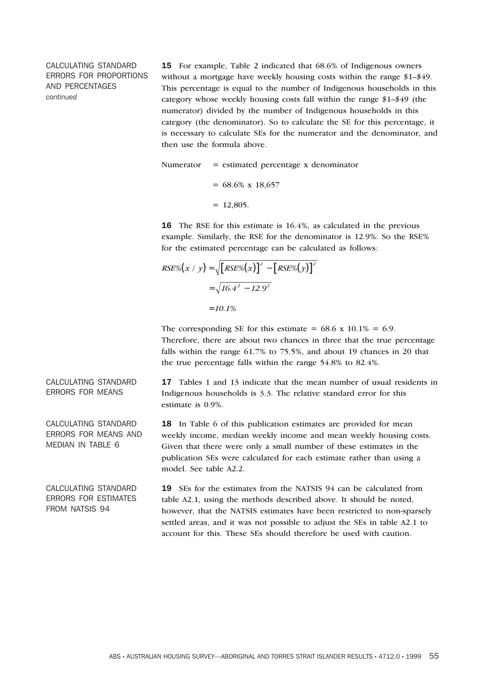### CALCULATING STANDARD ERRORS FOR PROPORTIONS AND PERCENTAGES *continued*

**15** For example, Table 2 indicated that 68.6% of Indigenous owners without a mortgage have weekly housing costs within the range \$1–\$49. This percentage is equal to the number of Indigenous households in this category whose weekly housing costs fall within the range \$1–\$49 (the numerator) divided by the number of Indigenous households in this category (the denominator). So to calculate the SE for this percentage, it is necessary to calculate SEs for the numerator and the denominator, and then use the formula above.

Numerator  $=$  estimated percentage x denominator  $= 68.6\% \times 18,657$  $= 12,805.$ 

**16** The RSE for this estimate is 16.4%, as calculated in the previous example. Similarly, the RSE for the denominator is 12.9%. So the RSE% for the estimated percentage can be calculated as follows:

$$
RSE\% (x / y) = \sqrt{RSE\% (x)}^2 - [RSE\% (y)]^2
$$
  
=  $\sqrt{16.4^2 - 12.9^2}$   
= 10.1%

The corresponding SE for this estimate =  $68.6 \times 10.1\% = 6.9$ . Therefore, there are about two chances in three that the true percentage falls within the range 61.7% to 75.5%, and about 19 chances in 20 that the true percentage falls within the range 54.8% to 82.4%.

**17** Tables 1 and 13 indicate that the mean number of usual residents in Indigenous households is 3.3. The relative standard error for this estimate is 0.9%.

**18** In Table 6 of this publication estimates are provided for mean weekly income, median weekly income and mean weekly housing costs. Given that there were only a small number of these estimates in the publication SEs were calculated for each estimate rather than using a model. See table A2.2.

**19** SEs for the estimates from the NATSIS 94 can be calculated from table A2.1, using the methods described above. It should be noted, however, that the NATSIS estimates have been restricted to non-sparsely settled areas, and it was not possible to adjust the SEs in table A2.1 to account for this. These SEs should therefore be used with caution.

CALCULATING STANDARD ERRORS FOR MEANS

CALCULATING STANDARD ERRORS FOR MEANS AND MEDIAN IN TABLE 6

CALCULATING STANDARD ERRORS FOR ESTIMATES FROM NATSIS 94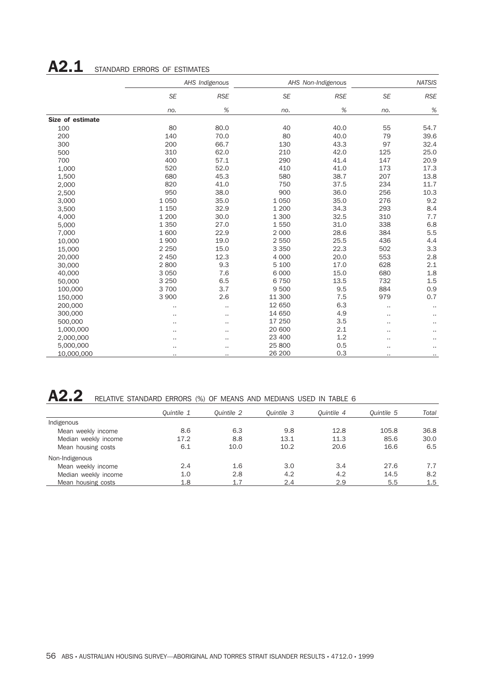# A2.1 STANDARD ERRORS OF ESTIMATES

|                  |                      | AHS Indigenous       |           | AHS Non-Indigenous |           | <b>NATSIS</b> |  |
|------------------|----------------------|----------------------|-----------|--------------------|-----------|---------------|--|
|                  | <b>SE</b>            | <b>RSE</b>           | <b>SE</b> | <b>RSE</b>         | <b>SE</b> | <b>RSE</b>    |  |
|                  | no.                  | $\%$                 | no.       | $\%$               | no.       | $\%$          |  |
| Size of estimate |                      |                      |           |                    |           |               |  |
| 100              | 80                   | 80.0                 | 40        | 40.0               | 55        | 54.7          |  |
| 200              | 140                  | 70.0                 | 80        | 40.0               | 79        | 39.6          |  |
| 300              | 200                  | 66.7                 | 130       | 43.3               | 97        | 32.4          |  |
| 500              | 310                  | 62.0                 | 210       | 42.0               | 125       | 25.0          |  |
| 700              | 400                  | 57.1                 | 290       | 41.4               | 147       | 20.9          |  |
| 1,000            | 520                  | 52.0                 | 410       | 41.0               | 173       | 17.3          |  |
| 1,500            | 680                  | 45.3                 | 580       | 38.7               | 207       | 13.8          |  |
| 2,000            | 820                  | 41.0                 | 750       | 37.5               | 234       | 11.7          |  |
| 2,500            | 950                  | 38.0                 | 900       | 36.0               | 256       | 10.3          |  |
| 3,000            | 1 0 5 0              | 35.0                 | 1 0 5 0   | 35.0               | 276       | 9.2           |  |
| 3,500            | 1 1 5 0              | 32.9                 | 1 200     | 34.3               | 293       | 8.4           |  |
| 4,000            | 1 200                | 30.0                 | 1 300     | 32.5               | 310       | 7.7           |  |
| 5,000            | 1 3 5 0              | 27.0                 | 1550      | 31.0               | 338       | 6.8           |  |
| 7,000            | 1600                 | 22.9                 | 2 0 0 0   | 28.6               | 384       | 5.5           |  |
| 10,000           | 1900                 | 19.0                 | 2 5 5 0   | 25.5               | 436       | 4.4           |  |
| 15,000           | 2 2 5 0              | 15.0                 | 3 3 5 0   | 22.3               | 502       | 3.3           |  |
| 20,000           | 2 4 5 0              | 12.3                 | 4 0 0 0   | 20.0               | 553       | 2.8           |  |
| 30,000           | 2800                 | 9.3                  | 5 100     | 17.0               | 628       | 2.1           |  |
| 40,000           | 3 0 5 0              | 7.6                  | 6 0 0 0   | 15.0               | 680       | 1.8           |  |
| 50,000           | 3 2 5 0              | 6.5                  | 6750      | 13.5               | 732       | 1.5           |  |
| 100,000          | 3 700                | 3.7                  | 9500      | 9.5                | 884       | 0.9           |  |
| 150,000          | 3 900                | 2.6                  | 11 300    | 7.5                | 979       | 0.7           |  |
| 200,000          | $\cdot$ .            |                      | 12 650    | 6.3                |           |               |  |
| 300,000          | $\ddot{\phantom{a}}$ |                      | 14 650    | 4.9                |           |               |  |
| 500,000          |                      |                      | 17 250    | 3.5                | ٠.        | .,            |  |
| 1,000,000        |                      |                      | 20 600    | 2.1                |           |               |  |
| 2,000,000        | $\ddot{\phantom{0}}$ |                      | 23 400    | 1.2                |           |               |  |
| 5,000,000        |                      |                      | 25 800    | 0.5                |           |               |  |
| 10,000,000       | ٠.                   | $\ddot{\phantom{a}}$ | 26 200    | 0.3                |           | Ω.            |  |

A2.2 RELATIVE STANDARD ERRORS (%) OF MEANS AND MEDIANS USED IN TABLE 6

|                      | Ouintile 1 | Ouintile 2 | Ouintile 3 | Ouintile 4 | Quintile 5 | Total |
|----------------------|------------|------------|------------|------------|------------|-------|
| Indigenous           |            |            |            |            |            |       |
| Mean weekly income   | 8.6        | 6.3        | 9.8        | 12.8       | 105.8      | 36.8  |
| Median weekly income | 17.2       | 8.8        | 13.1       | 11.3       | 85.6       | 30.0  |
| Mean housing costs   | 6.1        | 10.0       | 10.2       | 20.6       | 16.6       | 6.5   |
| Non-Indigenous       |            |            |            |            |            |       |
| Mean weekly income   | 2.4        | 1.6        | 3.0        | 3.4        | 27.6       | 7.7   |
| Median weekly income | 1.0        | 2.8        | 4.2        | 4.2        | 14.5       | 8.2   |
| Mean housing costs   | 1.8        | 1.7        | 2.4        | 2.9        | 5.5        | 1.5   |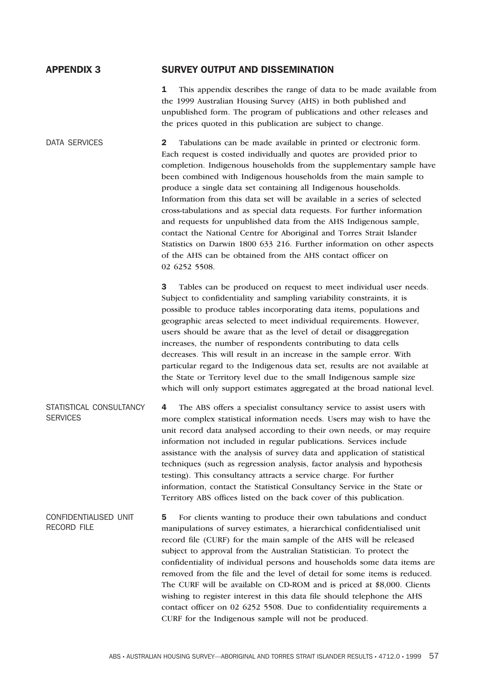### **APPENDIX 3 SURVEY OUTPUT AND DISSEMINATION**

**1** This appendix describes the range of data to be made available from the 1999 Australian Housing Survey (AHS) in both published and unpublished form. The program of publications and other releases and the prices quoted in this publication are subject to change.

DATA SERVICES **2** Tabulations can be made available in printed or electronic form. Each request is costed individually and quotes are provided prior to completion. Indigenous households from the supplementary sample have been combined with Indigenous households from the main sample to produce a single data set containing all Indigenous households. Information from this data set will be available in a series of selected cross-tabulations and as special data requests. For further information and requests for unpublished data from the AHS Indigenous sample, contact the National Centre for Aboriginal and Torres Strait Islander Statistics on Darwin 1800 633 216. Further information on other aspects of the AHS can be obtained from the AHS contact officer on 02 6252 5508.

> **3** Tables can be produced on request to meet individual user needs. Subject to confidentiality and sampling variability constraints, it is possible to produce tables incorporating data items, populations and geographic areas selected to meet individual requirements. However, users should be aware that as the level of detail or disaggregation increases, the number of respondents contributing to data cells decreases. This will result in an increase in the sample error. With particular regard to the Indigenous data set, results are not available at the State or Territory level due to the small Indigenous sample size which will only support estimates aggregated at the broad national level.

STATISTICAL CONSULTANCY **SERVICES 4** The ABS offers a specialist consultancy service to assist users with more complex statistical information needs. Users may wish to have the unit record data analysed according to their own needs, or may require information not included in regular publications. Services include assistance with the analysis of survey data and application of statistical techniques (such as regression analysis, factor analysis and hypothesis testing). This consultancy attracts a service charge. For further information, contact the Statistical Consultancy Service in the State or Territory ABS offices listed on the back cover of this publication.

CONFIDENTIALISED UNIT RECORD FILE **5** For clients wanting to produce their own tabulations and conduct manipulations of survey estimates, a hierarchical confidentialised unit record file (CURF) for the main sample of the AHS will be released subject to approval from the Australian Statistician. To protect the confidentiality of individual persons and households some data items are removed from the file and the level of detail for some items is reduced. The CURF will be available on CD-ROM and is priced at \$8,000. Clients wishing to register interest in this data file should telephone the AHS contact officer on 02 6252 5508. Due to confidentiality requirements a CURF for the Indigenous sample will not be produced.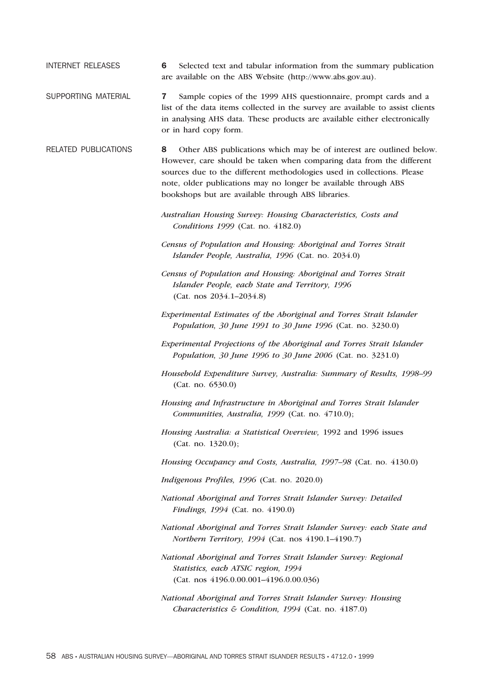INTERNET RELEASES **6** Selected text and tabular information from the summary publication are available on the ABS Website (http://www.abs.gov.au).

- SUPPORTING MATERIAL **7** Sample copies of the 1999 AHS questionnaire, prompt cards and a list of the data items collected in the survey are available to assist clients in analysing AHS data. These products are available either electronically or in hard copy form.
- RELATED PUBLICATIONS **8** Other ABS publications which may be of interest are outlined below. However, care should be taken when comparing data from the different sources due to the different methodologies used in collections. Please note, older publications may no longer be available through ABS bookshops but are available through ABS libraries.
	- *Australian Housing Survey: Housing Characteristics, Costs and Conditions 1999* (Cat. no. 4182.0)
	- *Census of Population and Housing: Aboriginal and Torres Strait Islander People, Australia, 1996* (Cat. no. 2034.0)
	- *Census of Population and Housing: Aboriginal and Torres Strait Islander People, each State and Territory, 1996* (Cat. nos 2034.1–2034.8)
	- *Experimental Estimates of the Aboriginal and Torres Strait Islander Population, 30 June 1991 to 30 June 1996* (Cat. no. 3230.0)
	- *Experimental Projections of the Aboriginal and Torres Strait Islander Population, 30 June 1996 to 30 June 2006* (Cat. no. 3231.0)
	- *Household Expenditure Survey, Australia: Summary of Results, 1998–99* (Cat. no. 6530.0)
	- *Housing and Infrastructure in Aboriginal and Torres Strait Islander Communities, Australia, 1999* (Cat. no. 4710.0);
	- *Housing Australia: a Statistical Overview,* 1992 and 1996 issues (Cat. no. 1320.0);

*Housing Occupancy and Costs, Australia, 1997–98* (Cat. no. 4130.0)

- *Indigenous Profiles, 1996* (Cat. no. 2020.0)
- *National Aboriginal and Torres Strait Islander Survey: Detailed Findings, 1994* (Cat. no. 4190.0)
- *National Aboriginal and Torres Strait Islander Survey: each State and Northern Territory, 1994* (Cat. nos 4190.1–4190.7)
- *National Aboriginal and Torres Strait Islander Survey: Regional Statistics, each ATSIC region, 1994* (Cat. nos 4196.0.00.001–4196.0.00.036)
- *National Aboriginal and Torres Strait Islander Survey: Housing Characteristics & Condition, 1994* (Cat. no. 4187.0)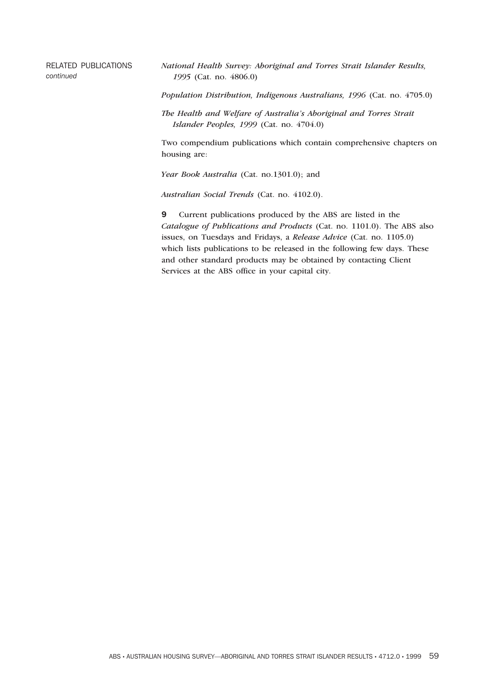### RELATED PUBLICATIONS *continued*

*National Health Survey: Aboriginal and Torres Strait Islander Results, 1995* (Cat. no. 4806.0)

*Population Distribution, Indigenous Australians, 1996* (Cat. no. 4705.0)

*The Health and Welfare of Australia's Aboriginal and Torres Strait Islander Peoples, 1999* (Cat. no. 4704.0)

Two compendium publications which contain comprehensive chapters on housing are:

*Year Book Australia* (Cat. no.1301.0); and

*Australian Social Trends* (Cat. no. 4102.0).

**9** Current publications produced by the ABS are listed in the *Catalogue of Publications and Products* (Cat. no. 1101.0). The ABS also issues, on Tuesdays and Fridays, a *Release Advice* (Cat. no. 1105.0) which lists publications to be released in the following few days. These and other standard products may be obtained by contacting Client Services at the ABS office in your capital city.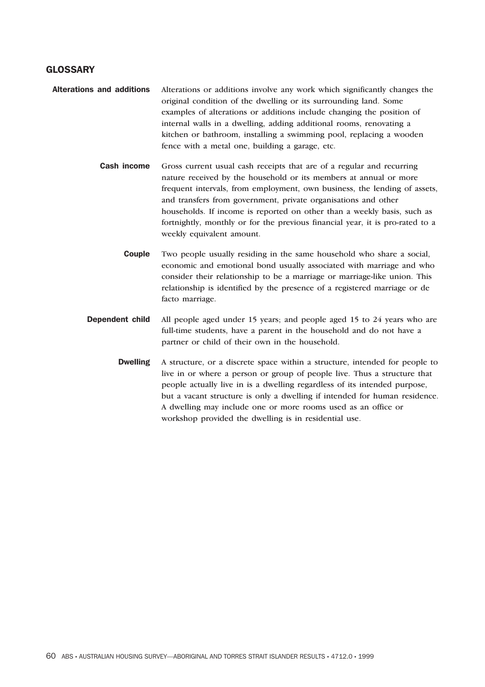### **GLOSSARY**

- **Alterations and additions** Alterations or additions involve any work which significantly changes the original condition of the dwelling or its surrounding land. Some examples of alterations or additions include changing the position of internal walls in a dwelling, adding additional rooms, renovating a kitchen or bathroom, installing a swimming pool, replacing a wooden fence with a metal one, building a garage, etc.
	- **Cash income** Gross current usual cash receipts that are of a regular and recurring nature received by the household or its members at annual or more frequent intervals, from employment, own business, the lending of assets, and transfers from government, private organisations and other households. If income is reported on other than a weekly basis, such as fortnightly, monthly or for the previous financial year, it is pro-rated to a weekly equivalent amount.
		- **Couple** Two people usually residing in the same household who share a social, economic and emotional bond usually associated with marriage and who consider their relationship to be a marriage or marriage-like union. This relationship is identified by the presence of a registered marriage or de facto marriage.
	- **Dependent child** All people aged under 15 years; and people aged 15 to 24 years who are full-time students, have a parent in the household and do not have a partner or child of their own in the household.
		- **Dwelling** A structure, or a discrete space within a structure, intended for people to live in or where a person or group of people live. Thus a structure that people actually live in is a dwelling regardless of its intended purpose, but a vacant structure is only a dwelling if intended for human residence. A dwelling may include one or more rooms used as an office or workshop provided the dwelling is in residential use.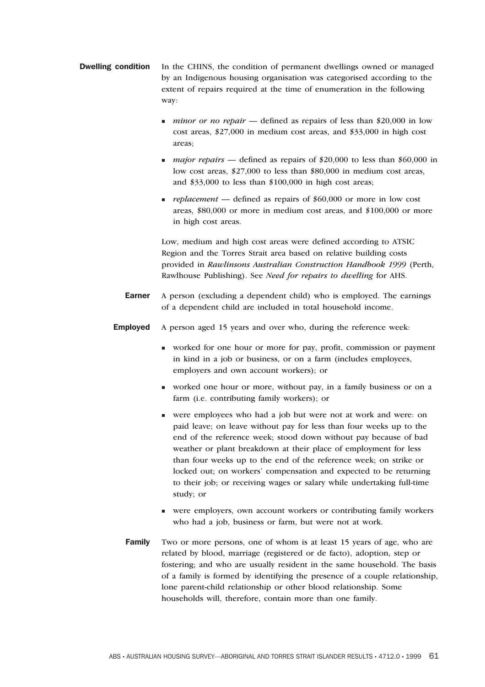- **Dwelling condition** In the CHINS, the condition of permanent dwellings owned or managed by an Indigenous housing organisation was categorised according to the extent of repairs required at the time of enumeration in the following way:
	- n *minor or no repair* defined as repairs of less than \$20,000 in low cost areas, \$27,000 in medium cost areas, and \$33,000 in high cost areas;
	- n *major repairs* defined as repairs of \$20,000 to less than \$60,000 in low cost areas, \$27,000 to less than \$80,000 in medium cost areas, and \$33,000 to less than \$100,000 in high cost areas;
	- **replacement** defined as repairs of \$60,000 or more in low cost areas, \$80,000 or more in medium cost areas, and \$100,000 or more in high cost areas.

Low, medium and high cost areas were defined according to ATSIC Region and the Torres Strait area based on relative building costs provided in *Rawlinsons Australian Construction Handbook 1999* (Perth, Rawlhouse Publishing). See *Need for repairs to dwelling* for AHS.

- **Earner** A person (excluding a dependent child) who is employed. The earnings of a dependent child are included in total household income.
- **Employed** A person aged 15 years and over who, during the reference week:
	- <sup>n</sup> worked for one hour or more for pay, profit, commission or payment in kind in a job or business, or on a farm (includes employees, employers and own account workers); or
	- <sup>n</sup> worked one hour or more, without pay, in a family business or on a farm (i.e. contributing family workers); or
	- <sup>n</sup> were employees who had a job but were not at work and were: on paid leave; on leave without pay for less than four weeks up to the end of the reference week; stood down without pay because of bad weather or plant breakdown at their place of employment for less than four weeks up to the end of the reference week; on strike or locked out; on workers' compensation and expected to be returning to their job; or receiving wages or salary while undertaking full-time study; or
	- <sup>n</sup> were employers, own account workers or contributing family workers who had a job, business or farm, but were not at work.
	- **Family** Two or more persons, one of whom is at least 15 years of age, who are related by blood, marriage (registered or de facto), adoption, step or fostering; and who are usually resident in the same household. The basis of a family is formed by identifying the presence of a couple relationship, lone parent-child relationship or other blood relationship. Some households will, therefore, contain more than one family.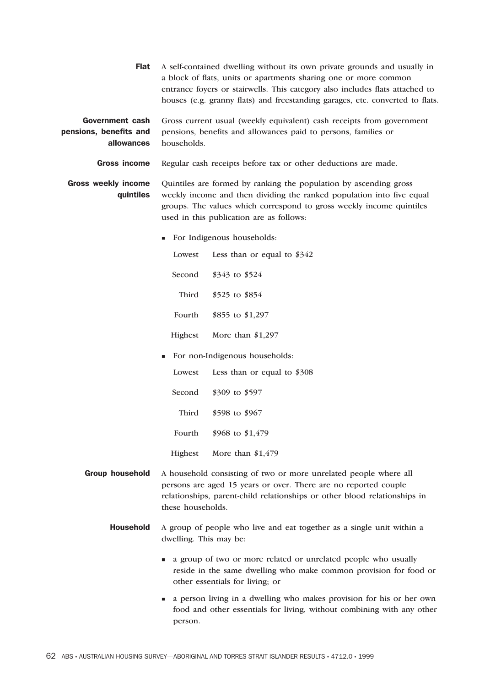**Flat** A self-contained dwelling without its own private grounds and usually in a block of flats, units or apartments sharing one or more common entrance foyers or stairwells. This category also includes flats attached to houses (e.g. granny flats) and freestanding garages, etc. converted to flats.

**Government cash pensions, benefits and allowances** Gross current usual (weekly equivalent) cash receipts from government pensions, benefits and allowances paid to persons, families or households.

**Gross income** Regular cash receipts before tax or other deductions are made.

**Gross weekly income quintiles** Quintiles are formed by ranking the population by ascending gross weekly income and then dividing the ranked population into five equal groups. The values which correspond to gross weekly income quintiles used in this publication are as follows:

<sup>n</sup> For Indigenous households:

Lowest Less than or equal to \$342 Second \$343 to \$524 Third \$525 to \$854 Fourth \$855 to \$1,297 Highest More than \$1,297

<sup>n</sup> For non-Indigenous households:

Lowest Less than or equal to \$308 Second \$309 to \$597 Third \$598 to \$967 Fourth \$968 to \$1,479 Highest More than \$1,479

- **Group household** A household consisting of two or more unrelated people where all persons are aged 15 years or over. There are no reported couple relationships, parent-child relationships or other blood relationships in these households.
	- **Household** A group of people who live and eat together as a single unit within a dwelling. This may be:
		- <sup>n</sup> a group of two or more related or unrelated people who usually reside in the same dwelling who make common provision for food or other essentials for living; or
		- <sup>n</sup> a person living in a dwelling who makes provision for his or her own food and other essentials for living, without combining with any other person.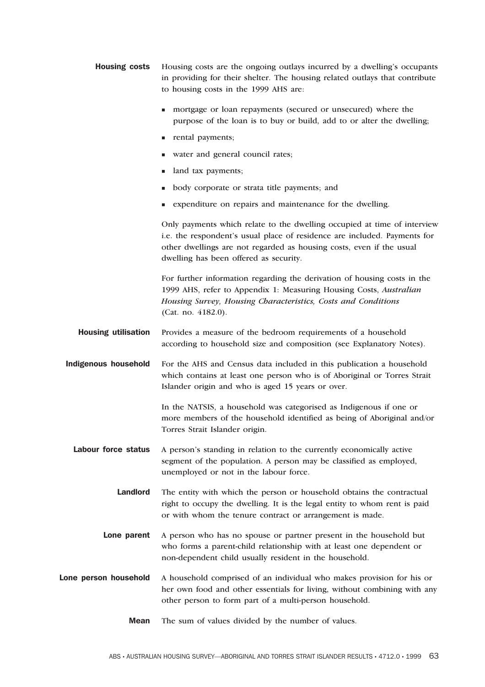- **Housing costs** Housing costs are the ongoing outlays incurred by a dwelling's occupants in providing for their shelter. The housing related outlays that contribute to housing costs in the 1999 AHS are:
	- n mortgage or loan repayments (secured or unsecured) where the purpose of the loan is to buy or build, add to or alter the dwelling;
	- n rental payments;
	- n water and general council rates;
	- n land tax payments;
	- <sup>n</sup> body corporate or strata title payments; and
	- <sup>n</sup> expenditure on repairs and maintenance for the dwelling.

Only payments which relate to the dwelling occupied at time of interview i.e. the respondent's usual place of residence are included. Payments for other dwellings are not regarded as housing costs, even if the usual dwelling has been offered as security.

For further information regarding the derivation of housing costs in the 1999 AHS, refer to Appendix 1: Measuring Housing Costs, *Australian Housing Survey, Housing Characteristics, Costs and Conditions* (Cat. no. 4182.0).

- **Housing utilisation** Provides a measure of the bedroom requirements of a household according to household size and composition (see Explanatory Notes).
- **Indigenous household** For the AHS and Census data included in this publication a household which contains at least one person who is of Aboriginal or Torres Strait Islander origin and who is aged 15 years or over.

In the NATSIS, a household was categorised as Indigenous if one or more members of the household identified as being of Aboriginal and/or Torres Strait Islander origin.

- Labour force status A person's standing in relation to the currently economically active segment of the population. A person may be classified as employed, unemployed or not in the labour force.
	- **Landlord** The entity with which the person or household obtains the contractual right to occupy the dwelling. It is the legal entity to whom rent is paid or with whom the tenure contract or arrangement is made.
	- **Lone parent** A person who has no spouse or partner present in the household but who forms a parent-child relationship with at least one dependent or non-dependent child usually resident in the household.
- **Lone person household** A household comprised of an individual who makes provision for his or her own food and other essentials for living, without combining with any other person to form part of a multi-person household.
	- **Mean** The sum of values divided by the number of values.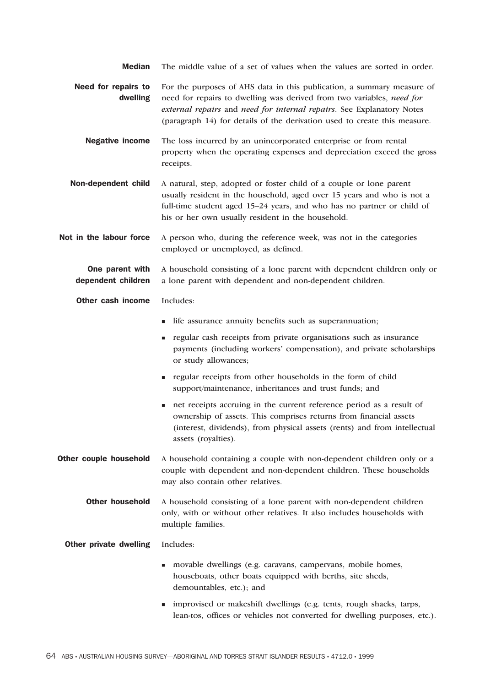| <b>Median</b>                         | The middle value of a set of values when the values are sorted in order.                                                                                                                                                                                                                              |
|---------------------------------------|-------------------------------------------------------------------------------------------------------------------------------------------------------------------------------------------------------------------------------------------------------------------------------------------------------|
| Need for repairs to<br>dwelling       | For the purposes of AHS data in this publication, a summary measure of<br>need for repairs to dwelling was derived from two variables, need for<br>external repairs and need for internal repairs. See Explanatory Notes<br>(paragraph 14) for details of the derivation used to create this measure. |
| <b>Negative income</b>                | The loss incurred by an unincorporated enterprise or from rental<br>property when the operating expenses and depreciation exceed the gross<br>receipts.                                                                                                                                               |
| Non-dependent child                   | A natural, step, adopted or foster child of a couple or lone parent<br>usually resident in the household, aged over 15 years and who is not a<br>full-time student aged 15-24 years, and who has no partner or child of<br>his or her own usually resident in the household.                          |
| Not in the labour force               | A person who, during the reference week, was not in the categories<br>employed or unemployed, as defined.                                                                                                                                                                                             |
| One parent with<br>dependent children | A household consisting of a lone parent with dependent children only or<br>a lone parent with dependent and non-dependent children.                                                                                                                                                                   |
| Other cash income                     | Includes:                                                                                                                                                                                                                                                                                             |
|                                       | life assurance annuity benefits such as superannuation;                                                                                                                                                                                                                                               |
|                                       | regular cash receipts from private organisations such as insurance<br>ш<br>payments (including workers' compensation), and private scholarships<br>or study allowances;                                                                                                                               |
|                                       | regular receipts from other households in the form of child<br>٠<br>support/maintenance, inheritances and trust funds; and                                                                                                                                                                            |
|                                       | net receipts accruing in the current reference period as a result of<br>٠<br>ownership of assets. This comprises returns from financial assets<br>(interest, dividends), from physical assets (rents) and from intellectual<br>assets (royalties).                                                    |
| Other couple household                | A household containing a couple with non-dependent children only or a<br>couple with dependent and non-dependent children. These households<br>may also contain other relatives.                                                                                                                      |
| <b>Other household</b>                | A household consisting of a lone parent with non-dependent children<br>only, with or without other relatives. It also includes households with<br>multiple families.                                                                                                                                  |
| Other private dwelling                | Includes:                                                                                                                                                                                                                                                                                             |
|                                       | movable dwellings (e.g. caravans, campervans, mobile homes,<br>п<br>houseboats, other boats equipped with berths, site sheds,<br>demountables, etc.); and                                                                                                                                             |
|                                       | improvised or makeshift dwellings (e.g. tents, rough shacks, tarps,                                                                                                                                                                                                                                   |

lean-tos, offices or vehicles not converted for dwelling purposes, etc.).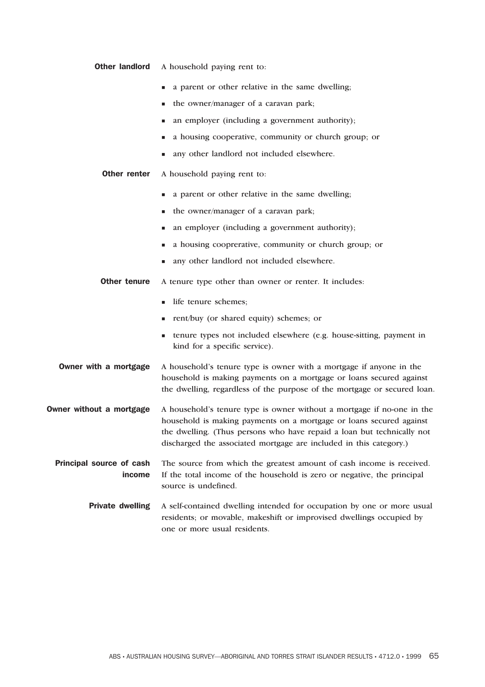| <b>Other landlord</b> |  | A household paying rent to: |  |  |  |
|-----------------------|--|-----------------------------|--|--|--|
|-----------------------|--|-----------------------------|--|--|--|

- n a parent or other relative in the same dwelling;
- n the owner/manager of a caravan park;
- <sup>n</sup> an employer (including a government authority);
- <sup>n</sup> a housing cooperative, community or church group; or
- any other landlord not included elsewhere.
- **Other renter** A household paying rent to:
	- n a parent or other relative in the same dwelling;
	- $\blacksquare$  the owner/manager of a caravan park;
	- <sup>n</sup> an employer (including a government authority);
	- <sup>n</sup> a housing cooprerative, community or church group; or
	- any other landlord not included elsewhere.
- **Other tenure** A tenure type other than owner or renter. It includes:
	- n life tenure schemes:
	- <sup>n</sup> rent/buy (or shared equity) schemes; or
	- <sup>n</sup> tenure types not included elsewhere (e.g. house-sitting, payment in kind for a specific service).
- **Owner with a mortgage** A household's tenure type is owner with a mortgage if anyone in the household is making payments on a mortgage or loans secured against the dwelling, regardless of the purpose of the mortgage or secured loan.
- **Owner without a mortgage** A household's tenure type is owner without a mortgage if no-one in the household is making payments on a mortgage or loans secured against the dwelling. (Thus persons who have repaid a loan but technically not discharged the associated mortgage are included in this category.)
	- **Principal source of cash income** The source from which the greatest amount of cash income is received. If the total income of the household is zero or negative, the principal source is undefined.
		- **Private dwelling** A self-contained dwelling intended for occupation by one or more usual residents; or movable, makeshift or improvised dwellings occupied by one or more usual residents.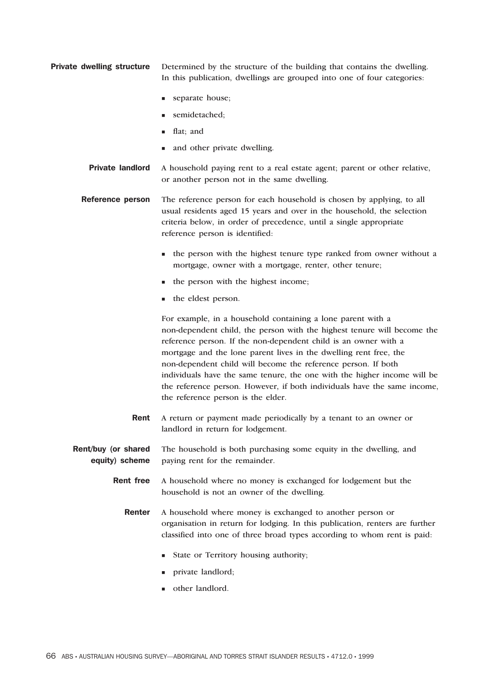**Private dwelling structure** Determined by the structure of the building that contains the dwelling. In this publication, dwellings are grouped into one of four categories:

- separate house;
- n semidetached:
- **n** flat; and
- and other private dwelling.
- **Private landlord** A household paying rent to a real estate agent; parent or other relative, or another person not in the same dwelling.
- **Reference person** The reference person for each household is chosen by applying, to all usual residents aged 15 years and over in the household, the selection criteria below, in order of precedence, until a single appropriate reference person is identified:
	- n the person with the highest tenure type ranked from owner without a mortgage, owner with a mortgage, renter, other tenure;
	- $\blacksquare$  the person with the highest income;
	- the eldest person.

For example, in a household containing a lone parent with a non-dependent child, the person with the highest tenure will become the reference person. If the non-dependent child is an owner with a mortgage and the lone parent lives in the dwelling rent free, the non-dependent child will become the reference person. If both individuals have the same tenure, the one with the higher income will be the reference person. However, if both individuals have the same income, the reference person is the elder.

- **Rent** A return or payment made periodically by a tenant to an owner or landlord in return for lodgement.
- **Rent/buy (or shared equity) scheme** The household is both purchasing some equity in the dwelling, and paying rent for the remainder.
	- **Rent free** A household where no money is exchanged for lodgement but the household is not an owner of the dwelling.
		- **Renter** A household where money is exchanged to another person or organisation in return for lodging. In this publication, renters are further classified into one of three broad types according to whom rent is paid:
			- State or Territory housing authority;
			- <sup>n</sup> private landlord;
			- <sup>n</sup> other landlord.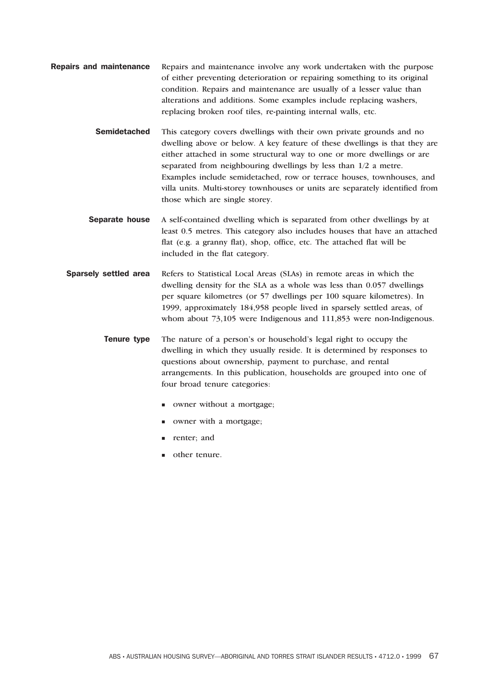- **Repairs and maintenance** Repairs and maintenance involve any work undertaken with the purpose of either preventing deterioration or repairing something to its original condition. Repairs and maintenance are usually of a lesser value than alterations and additions. Some examples include replacing washers, replacing broken roof tiles, re-painting internal walls, etc.
	- **Semidetached** This category covers dwellings with their own private grounds and no dwelling above or below. A key feature of these dwellings is that they are either attached in some structural way to one or more dwellings or are separated from neighbouring dwellings by less than 1/2 a metre. Examples include semidetached, row or terrace houses, townhouses, and villa units. Multi-storey townhouses or units are separately identified from those which are single storey.
	- **Separate house** A self-contained dwelling which is separated from other dwellings by at least 0.5 metres. This category also includes houses that have an attached flat (e.g. a granny flat), shop, office, etc. The attached flat will be included in the flat category.
	- **Sparsely settled area** Refers to Statistical Local Areas (SLAs) in remote areas in which the dwelling density for the SLA as a whole was less than 0.057 dwellings per square kilometres (or 57 dwellings per 100 square kilometres). In 1999, approximately 184,958 people lived in sparsely settled areas, of whom about 73,105 were Indigenous and 111,853 were non-Indigenous.

**Tenure type** The nature of a person's or household's legal right to occupy the dwelling in which they usually reside. It is determined by responses to questions about ownership, payment to purchase, and rental arrangements. In this publication, households are grouped into one of four broad tenure categories:

- <sup>n</sup> owner without a mortgage;
- **n** owner with a mortgage;
- n renter; and
- other tenure.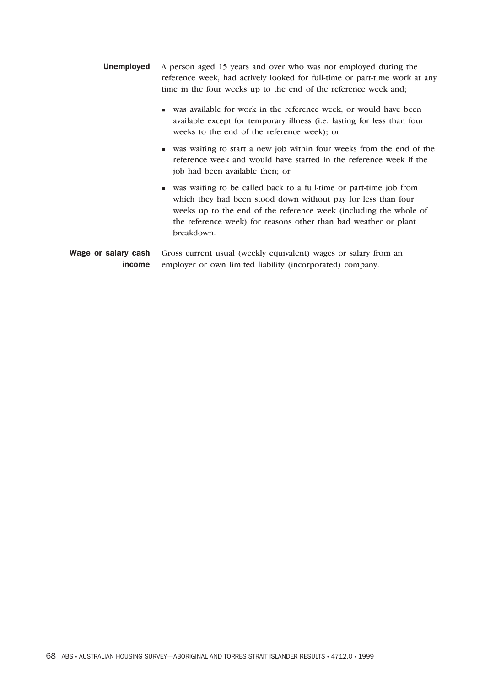- **Unemployed** A person aged 15 years and over who was not employed during the reference week, had actively looked for full-time or part-time work at any time in the four weeks up to the end of the reference week and;
	- <sup>n</sup> was available for work in the reference week, or would have been available except for temporary illness (i.e. lasting for less than four weeks to the end of the reference week); or
	- <sup>n</sup> was waiting to start a new job within four weeks from the end of the reference week and would have started in the reference week if the job had been available then; or
	- <sup>n</sup> was waiting to be called back to a full-time or part-time job from which they had been stood down without pay for less than four weeks up to the end of the reference week (including the whole of the reference week) for reasons other than bad weather or plant breakdown.

```
Wage or salary cash
 income
           Gross current usual (weekly equivalent) wages or salary from an
           employer or own limited liability (incorporated) company.
```